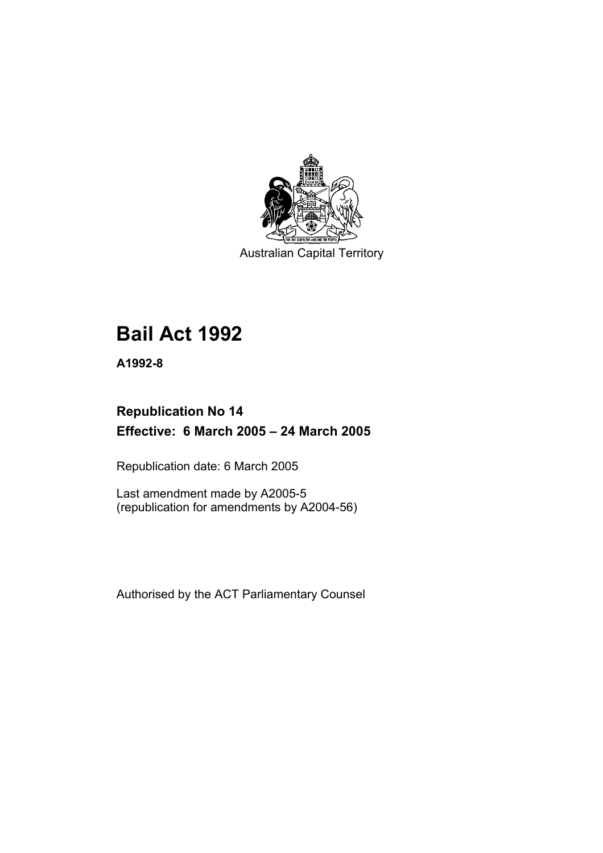

Australian Capital Territory

# **Bail Act 1992**

**A1992-8** 

## **Republication No 14 Effective: 6 March 2005 – 24 March 2005**

Republication date: 6 March 2005

Last amendment made by A2005-5 (republication for amendments by A2004-56)

Authorised by the ACT Parliamentary Counsel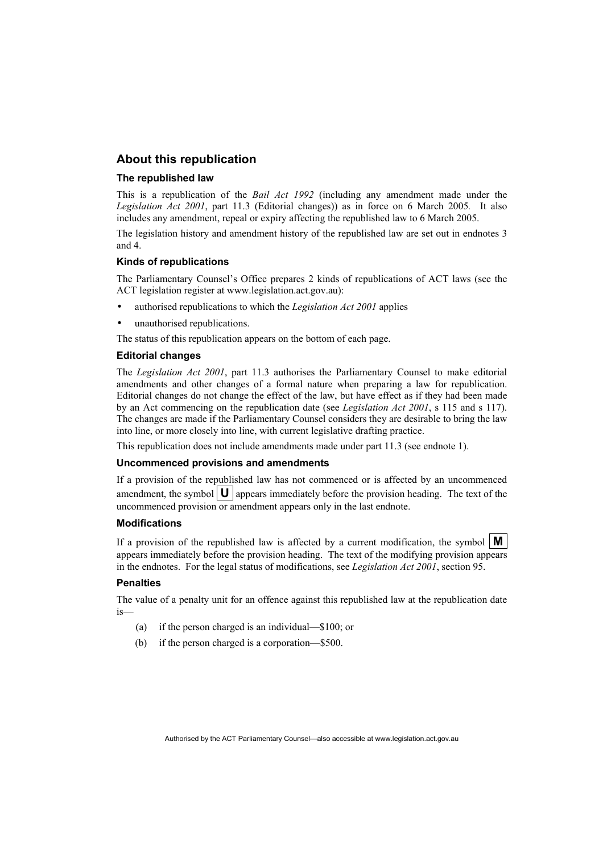## **About this republication**

#### **The republished law**

This is a republication of the *Bail Act 1992* (including any amendment made under the *Legislation Act 2001*, part 11.3 (Editorial changes)) as in force on 6 March 2005*.* It also includes any amendment, repeal or expiry affecting the republished law to 6 March 2005.

The legislation history and amendment history of the republished law are set out in endnotes 3 and 4.

#### **Kinds of republications**

The Parliamentary Counsel's Office prepares 2 kinds of republications of ACT laws (see the ACT legislation register at www.legislation.act.gov.au):

- authorised republications to which the *Legislation Act 2001* applies
- unauthorised republications.

The status of this republication appears on the bottom of each page.

#### **Editorial changes**

The *Legislation Act 2001*, part 11.3 authorises the Parliamentary Counsel to make editorial amendments and other changes of a formal nature when preparing a law for republication. Editorial changes do not change the effect of the law, but have effect as if they had been made by an Act commencing on the republication date (see *Legislation Act 2001*, s 115 and s 117). The changes are made if the Parliamentary Counsel considers they are desirable to bring the law into line, or more closely into line, with current legislative drafting practice.

This republication does not include amendments made under part 11.3 (see endnote 1).

#### **Uncommenced provisions and amendments**

If a provision of the republished law has not commenced or is affected by an uncommenced amendment, the symbol  $\mathbf{U}$  appears immediately before the provision heading. The text of the uncommenced provision or amendment appears only in the last endnote.

#### **Modifications**

If a provision of the republished law is affected by a current modification, the symbol  $\mathbf{M}$ appears immediately before the provision heading. The text of the modifying provision appears in the endnotes. For the legal status of modifications, see *Legislation Act 2001*, section 95.

#### **Penalties**

The value of a penalty unit for an offence against this republished law at the republication date is—

- (a) if the person charged is an individual—\$100; or
- (b) if the person charged is a corporation—\$500.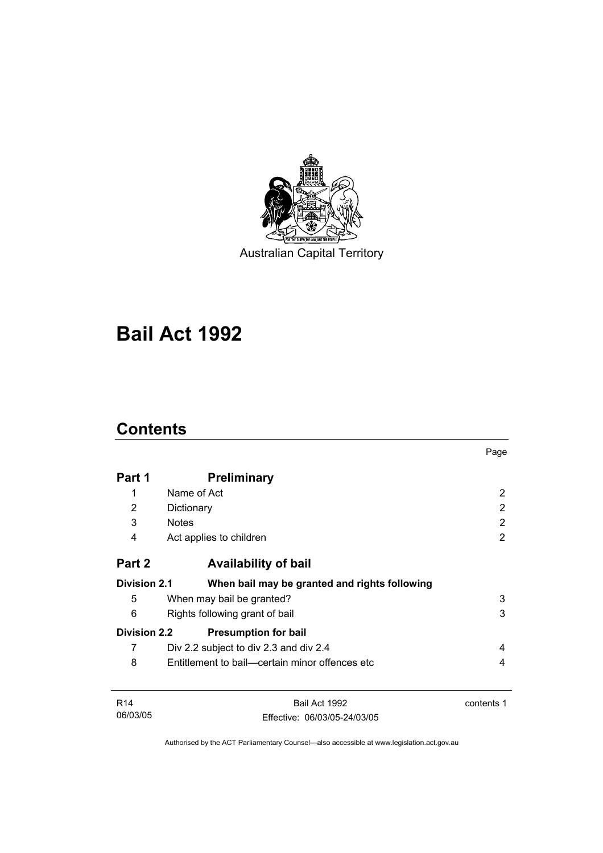

Australian Capital Territory

# **Bail Act 1992**

## **Contents**

|                     |                                                | Page       |  |
|---------------------|------------------------------------------------|------------|--|
| Part 1              | <b>Preliminary</b>                             |            |  |
| 1                   | Name of Act                                    | 2          |  |
| 2                   | Dictionary                                     | 2          |  |
| 3                   | <b>Notes</b>                                   | 2          |  |
| 4                   | Act applies to children                        | 2          |  |
| Part 2              | <b>Availability of bail</b>                    |            |  |
| <b>Division 2.1</b> | When bail may be granted and rights following  |            |  |
| 5                   | When may bail be granted?                      | 3          |  |
| 6                   | 3<br>Rights following grant of bail            |            |  |
| <b>Division 2.2</b> | <b>Presumption for bail</b>                    |            |  |
| 7                   | Div 2.2 subject to div 2.3 and div 2.4         | 4          |  |
| 8                   | Entitlement to bail—certain minor offences etc | 4          |  |
| R <sub>14</sub>     | Bail Act 1992                                  | contents 1 |  |
| 06/03/05            | Effective: 06/03/05-24/03/05                   |            |  |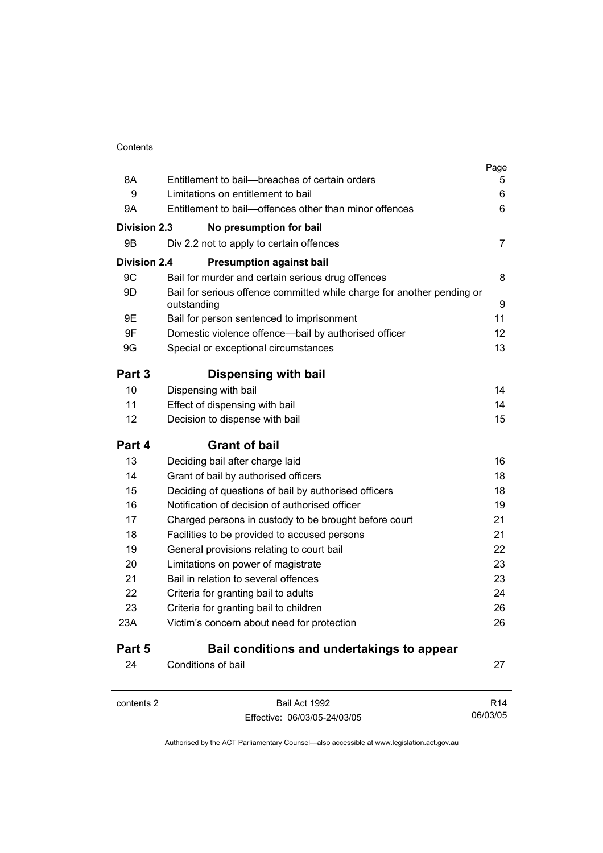|                     |                                                                                       | Page            |
|---------------------|---------------------------------------------------------------------------------------|-----------------|
| 8A<br>9             | Entitlement to bail--breaches of certain orders<br>Limitations on entitlement to bail | 5<br>6          |
| 9A                  | Entitlement to bail—offences other than minor offences                                | 6               |
|                     |                                                                                       |                 |
| <b>Division 2.3</b> | No presumption for bail                                                               |                 |
| 9Β                  | Div 2.2 not to apply to certain offences                                              | 7               |
| <b>Division 2.4</b> | <b>Presumption against bail</b>                                                       |                 |
| 9C                  | Bail for murder and certain serious drug offences                                     | 8               |
| 9D                  | Bail for serious offence committed while charge for another pending or<br>outstanding | 9               |
| 9E                  | Bail for person sentenced to imprisonment                                             | 11              |
| 9F                  | Domestic violence offence-bail by authorised officer                                  | 12              |
| 9G                  | Special or exceptional circumstances                                                  | 13              |
| Part 3              | Dispensing with bail                                                                  |                 |
| 10                  | Dispensing with bail                                                                  | 14              |
| 11                  | Effect of dispensing with bail                                                        | 14              |
| 12                  | Decision to dispense with bail                                                        | 15              |
| Part 4              | <b>Grant of bail</b>                                                                  |                 |
| 13                  | Deciding bail after charge laid                                                       | 16              |
| 14                  | Grant of bail by authorised officers                                                  | 18              |
| 15                  | Deciding of questions of bail by authorised officers                                  | 18              |
| 16                  | Notification of decision of authorised officer                                        | 19              |
| 17                  | Charged persons in custody to be brought before court                                 | 21              |
| 18                  | Facilities to be provided to accused persons                                          | 21              |
| 19                  | General provisions relating to court bail                                             | 22              |
| 20                  | Limitations on power of magistrate                                                    | 23              |
| 21                  | Bail in relation to several offences                                                  | 23              |
| 22                  | Criteria for granting bail to adults                                                  | 24              |
| 23                  | Criteria for granting bail to children                                                | 26              |
| 23A                 | Victim's concern about need for protection                                            | 26              |
| Part 5              | Bail conditions and undertakings to appear                                            |                 |
| 24                  | Conditions of bail                                                                    | 27              |
| contents 2          | Bail Act 1992                                                                         | R <sub>14</sub> |

Effective: 06/03/05-24/03/05

06/03/05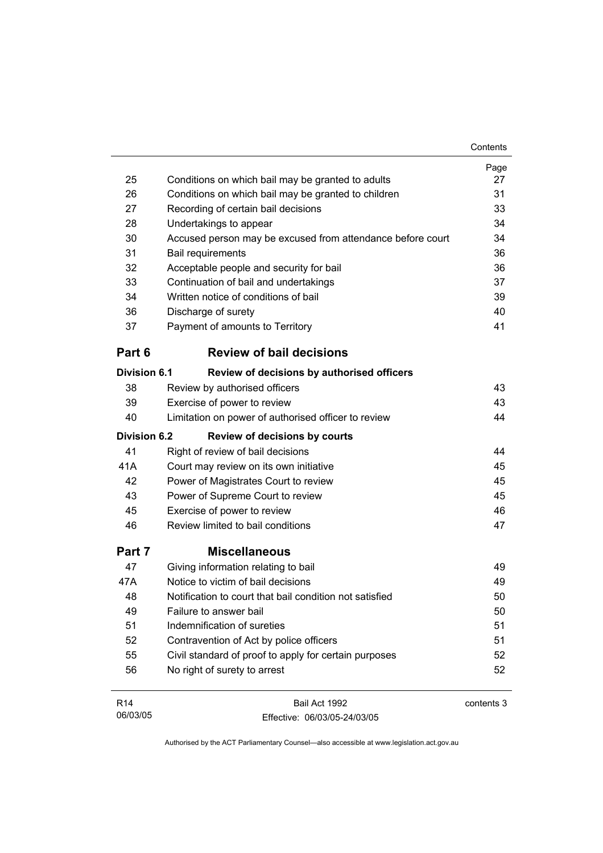|                     |                                                            | Contents   |
|---------------------|------------------------------------------------------------|------------|
|                     |                                                            | Page       |
| 25                  | Conditions on which bail may be granted to adults          | 27         |
| 26                  | Conditions on which bail may be granted to children        | 31         |
| 27                  | Recording of certain bail decisions                        | 33         |
| 28                  | Undertakings to appear                                     | 34         |
| 30                  | Accused person may be excused from attendance before court | 34         |
| 31                  | Bail requirements                                          | 36         |
| 32                  | Acceptable people and security for bail                    | 36         |
| 33                  | Continuation of bail and undertakings                      | 37         |
| 34                  | Written notice of conditions of bail                       | 39         |
| 36                  | Discharge of surety                                        | 40         |
| 37                  | Payment of amounts to Territory                            | 41         |
| Part 6              | <b>Review of bail decisions</b>                            |            |
| <b>Division 6.1</b> | Review of decisions by authorised officers                 |            |
| 38                  | Review by authorised officers                              | 43         |
| 39                  | Exercise of power to review                                | 43         |
| 40                  | Limitation on power of authorised officer to review        | 44         |
| <b>Division 6.2</b> | <b>Review of decisions by courts</b>                       |            |
| 41                  | Right of review of bail decisions                          | 44         |
| 41A                 | Court may review on its own initiative                     | 45         |
| 42                  | Power of Magistrates Court to review                       | 45         |
| 43                  | Power of Supreme Court to review                           | 45         |
| 45                  | Exercise of power to review                                | 46         |
| 46                  | Review limited to bail conditions                          | 47         |
| Part 7              | <b>Miscellaneous</b>                                       |            |
| 47                  | Giving information relating to bail                        | 49         |
| 47A                 | Notice to victim of bail decisions                         | 49         |
| 48                  | Notification to court that bail condition not satisfied    | 50         |
| 49                  | Failure to answer bail                                     | 50         |
| 51                  | Indemnification of sureties                                | 51         |
| 52                  | Contravention of Act by police officers                    | 51         |
| 55                  | Civil standard of proof to apply for certain purposes      | 52         |
| 56                  | No right of surety to arrest                               | 52         |
| R <sub>14</sub>     | Bail Act 1992                                              | contents 3 |

Authorised by the ACT Parliamentary Counsel—also accessible at www.legislation.act.gov.au

Effective: 06/03/05-24/03/05

06/03/05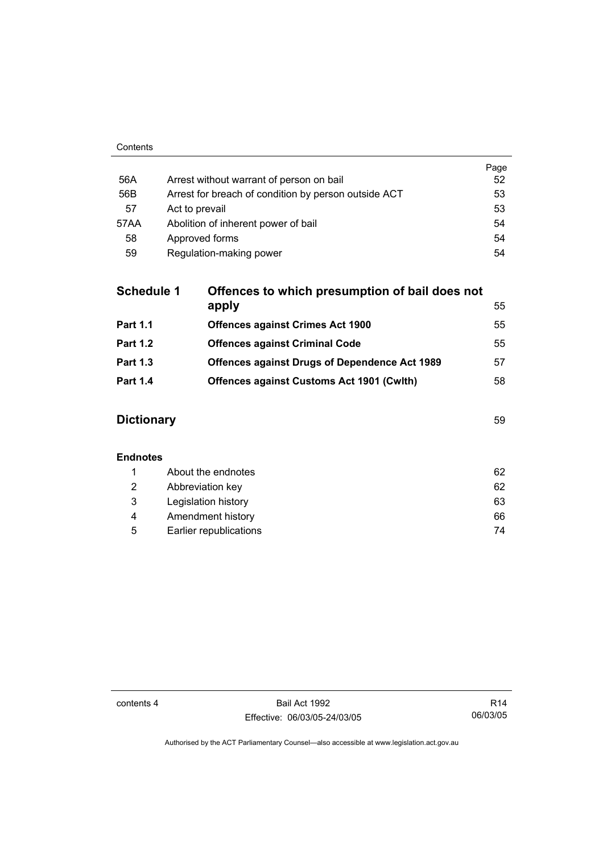|      |                                                      | Page |
|------|------------------------------------------------------|------|
| 56A  | Arrest without warrant of person on bail             | 52   |
| 56B  | Arrest for breach of condition by person outside ACT | 53   |
| 57   | Act to prevail                                       | 53   |
| 57AA | Abolition of inherent power of bail                  | 54   |
| 58   | Approved forms                                       | 54   |
| 59   | Regulation-making power                              | 54   |

| <b>Schedule 1</b> | Offences to which presumption of bail does not       |    |
|-------------------|------------------------------------------------------|----|
|                   | apply                                                | 55 |
| <b>Part 1.1</b>   | <b>Offences against Crimes Act 1900</b>              | 55 |
| <b>Part 1.2</b>   | <b>Offences against Criminal Code</b>                | 55 |
| <b>Part 1.3</b>   | <b>Offences against Drugs of Dependence Act 1989</b> | 57 |
| <b>Part 1.4</b>   | <b>Offences against Customs Act 1901 (Cwith)</b>     | 58 |
|                   |                                                      |    |

## **Dictionary** 59

## **Endnotes**

|   | About the endnotes     | 62 |
|---|------------------------|----|
| 2 | Abbreviation key       | 62 |
| 3 | Legislation history    | 63 |
| 4 | Amendment history      | 66 |
| 5 | Earlier republications | 74 |

contents 4 Bail Act 1992 Effective: 06/03/05-24/03/05

R14 06/03/05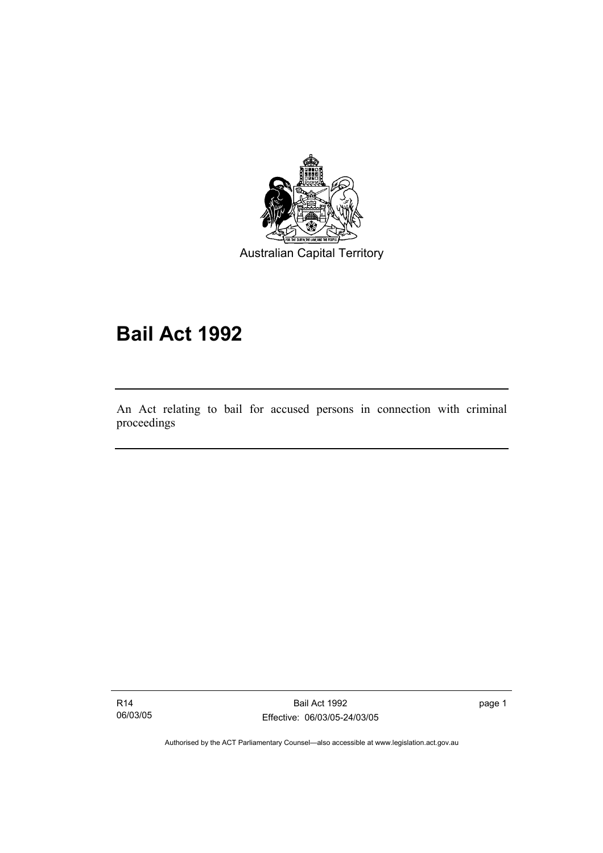

Australian Capital Territory

# **Bail Act 1992**

An Act relating to bail for accused persons in connection with criminal proceedings

R14 06/03/05

I

Bail Act 1992 Effective: 06/03/05-24/03/05 page 1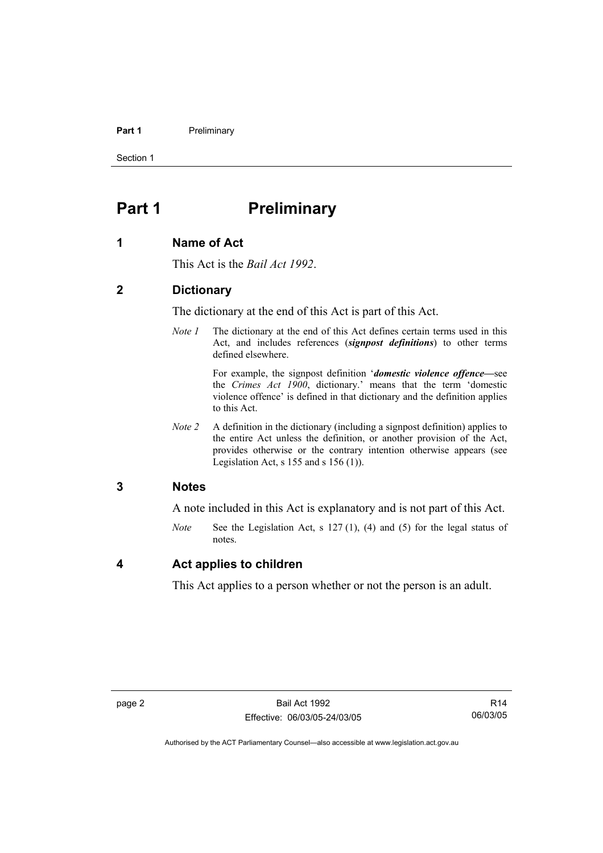#### **Part 1** Preliminary

Section 1

## **Part 1** Preliminary

#### **1 Name of Act**

This Act is the *Bail Act 1992*.

### **2 Dictionary**

The dictionary at the end of this Act is part of this Act.

*Note 1* The dictionary at the end of this Act defines certain terms used in this Act, and includes references (*signpost definitions*) to other terms defined elsewhere.

> For example, the signpost definition '*domestic violence offence—*see the *Crimes Act 1900*, dictionary.' means that the term 'domestic violence offence' is defined in that dictionary and the definition applies to this Act.

*Note 2* A definition in the dictionary (including a signpost definition) applies to the entire Act unless the definition, or another provision of the Act, provides otherwise or the contrary intention otherwise appears (see Legislation Act, s  $155$  and s  $156$  (1)).

## **3 Notes**

A note included in this Act is explanatory and is not part of this Act.

*Note* See the Legislation Act, s 127 (1), (4) and (5) for the legal status of notes.

### **4 Act applies to children**

This Act applies to a person whether or not the person is an adult.

R14 06/03/05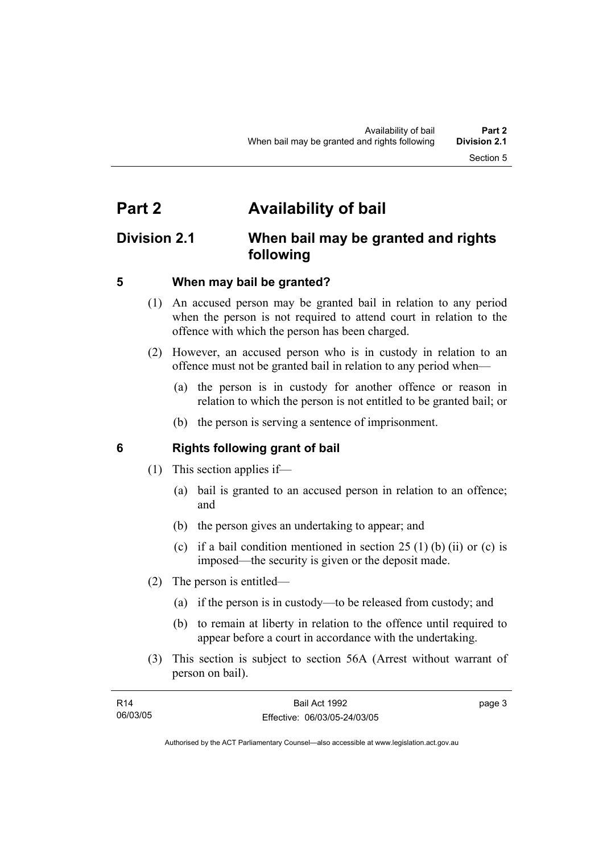## **Part 2 Availability of bail**

## **Division 2.1 When bail may be granted and rights following**

## **5 When may bail be granted?**

- (1) An accused person may be granted bail in relation to any period when the person is not required to attend court in relation to the offence with which the person has been charged.
- (2) However, an accused person who is in custody in relation to an offence must not be granted bail in relation to any period when—
	- (a) the person is in custody for another offence or reason in relation to which the person is not entitled to be granted bail; or
	- (b) the person is serving a sentence of imprisonment.

## **6 Rights following grant of bail**

- (1) This section applies if—
	- (a) bail is granted to an accused person in relation to an offence; and
	- (b) the person gives an undertaking to appear; and
	- (c) if a bail condition mentioned in section  $25(1)$  (b) (ii) or (c) is imposed—the security is given or the deposit made.
- (2) The person is entitled—
	- (a) if the person is in custody—to be released from custody; and
	- (b) to remain at liberty in relation to the offence until required to appear before a court in accordance with the undertaking.
- (3) This section is subject to section 56A (Arrest without warrant of person on bail).

| <b>R14</b> | Bail Act 1992                | page 3 |
|------------|------------------------------|--------|
| 06/03/05   | Effective: 06/03/05-24/03/05 |        |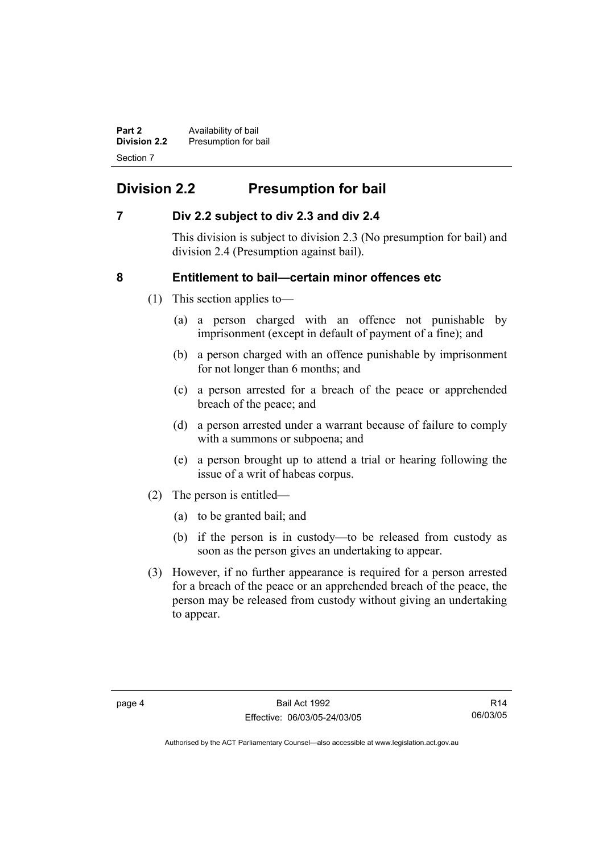**Part 2 Availability of bail Division 2.2** Presumption for bail Section 7

## **Division 2.2 Presumption for bail**

## **7 Div 2.2 subject to div 2.3 and div 2.4**

This division is subject to division 2.3 (No presumption for bail) and division 2.4 (Presumption against bail).

## **8 Entitlement to bail—certain minor offences etc**

- (1) This section applies to—
	- (a) a person charged with an offence not punishable by imprisonment (except in default of payment of a fine); and
	- (b) a person charged with an offence punishable by imprisonment for not longer than 6 months; and
	- (c) a person arrested for a breach of the peace or apprehended breach of the peace; and
	- (d) a person arrested under a warrant because of failure to comply with a summons or subpoena; and
	- (e) a person brought up to attend a trial or hearing following the issue of a writ of habeas corpus.
- (2) The person is entitled—
	- (a) to be granted bail; and
	- (b) if the person is in custody—to be released from custody as soon as the person gives an undertaking to appear.
- (3) However, if no further appearance is required for a person arrested for a breach of the peace or an apprehended breach of the peace, the person may be released from custody without giving an undertaking to appear.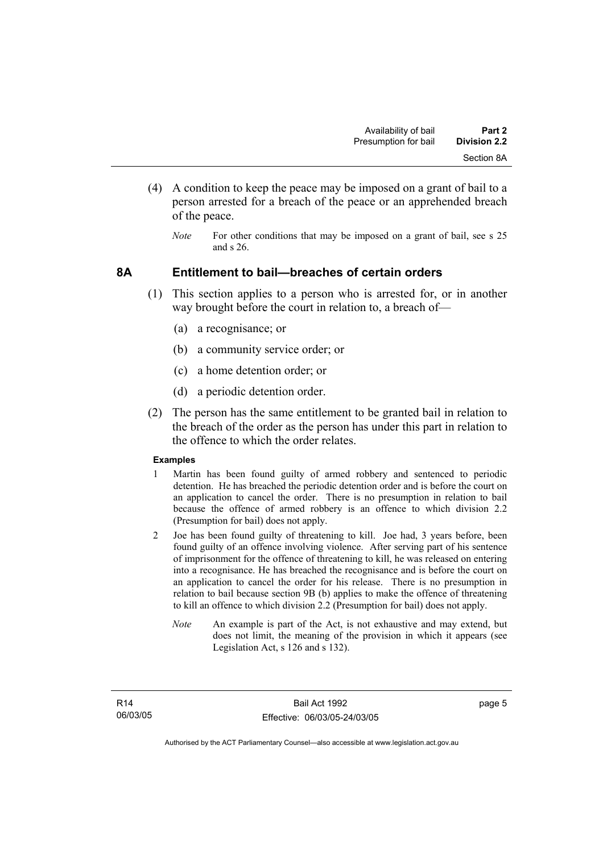- (4) A condition to keep the peace may be imposed on a grant of bail to a person arrested for a breach of the peace or an apprehended breach of the peace.
	- *Note* For other conditions that may be imposed on a grant of bail, see s 25 and s 26.

### **8A Entitlement to bail—breaches of certain orders**

- (1) This section applies to a person who is arrested for, or in another way brought before the court in relation to, a breach of—
	- (a) a recognisance; or
	- (b) a community service order; or
	- (c) a home detention order; or
	- (d) a periodic detention order.
- (2) The person has the same entitlement to be granted bail in relation to the breach of the order as the person has under this part in relation to the offence to which the order relates.

#### **Examples**

- 1 Martin has been found guilty of armed robbery and sentenced to periodic detention. He has breached the periodic detention order and is before the court on an application to cancel the order. There is no presumption in relation to bail because the offence of armed robbery is an offence to which division 2.2 (Presumption for bail) does not apply.
- 2 Joe has been found guilty of threatening to kill. Joe had, 3 years before, been found guilty of an offence involving violence. After serving part of his sentence of imprisonment for the offence of threatening to kill, he was released on entering into a recognisance. He has breached the recognisance and is before the court on an application to cancel the order for his release. There is no presumption in relation to bail because section 9B (b) applies to make the offence of threatening to kill an offence to which division 2.2 (Presumption for bail) does not apply.
	- *Note* An example is part of the Act, is not exhaustive and may extend, but does not limit, the meaning of the provision in which it appears (see Legislation Act, s 126 and s 132).

page 5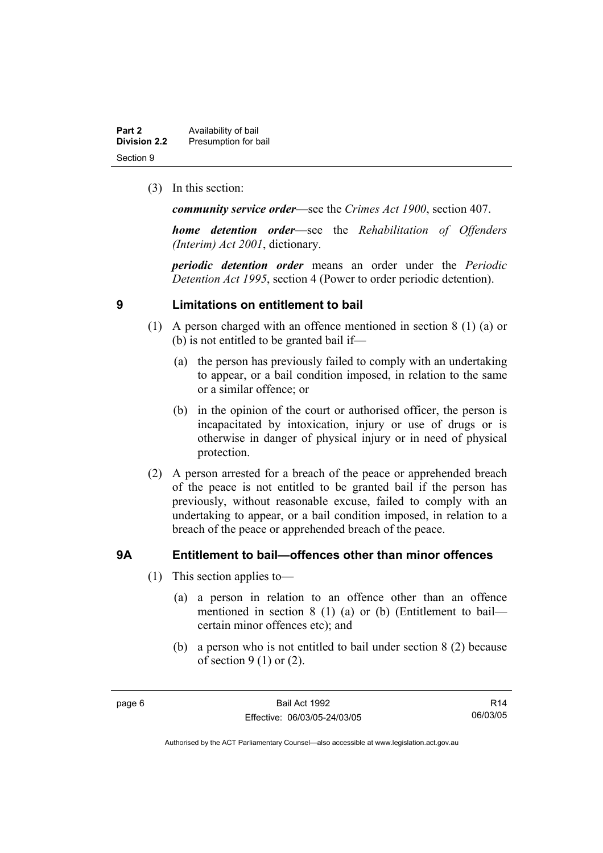| Part 2              | Availability of bail |
|---------------------|----------------------|
| <b>Division 2.2</b> | Presumption for bail |
| Section 9           |                      |

(3) In this section:

*community service order*—see the *Crimes Act 1900*, section 407.

*home detention order*—see the *Rehabilitation of Offenders (Interim) Act 2001*, dictionary.

*periodic detention order* means an order under the *Periodic Detention Act 1995*, section 4 (Power to order periodic detention).

## **9 Limitations on entitlement to bail**

- (1) A person charged with an offence mentioned in section 8 (1) (a) or (b) is not entitled to be granted bail if—
	- (a) the person has previously failed to comply with an undertaking to appear, or a bail condition imposed, in relation to the same or a similar offence; or
	- (b) in the opinion of the court or authorised officer, the person is incapacitated by intoxication, injury or use of drugs or is otherwise in danger of physical injury or in need of physical protection.
- (2) A person arrested for a breach of the peace or apprehended breach of the peace is not entitled to be granted bail if the person has previously, without reasonable excuse, failed to comply with an undertaking to appear, or a bail condition imposed, in relation to a breach of the peace or apprehended breach of the peace.

## **9A Entitlement to bail—offences other than minor offences**

- (1) This section applies to—
	- (a) a person in relation to an offence other than an offence mentioned in section 8 (1) (a) or (b) (Entitlement to bail certain minor offences etc); and
	- (b) a person who is not entitled to bail under section 8 (2) because of section  $9(1)$  or  $(2)$ .

R14 06/03/05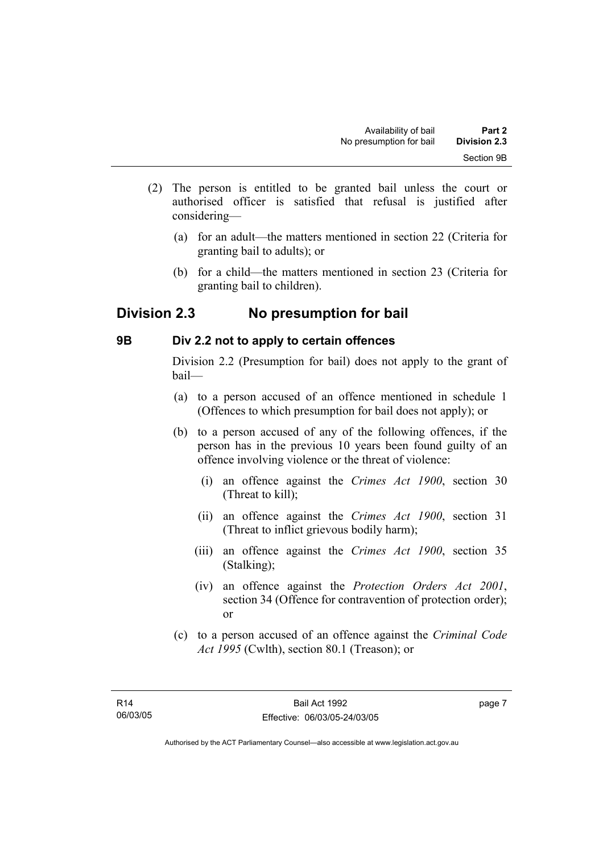- (2) The person is entitled to be granted bail unless the court or authorised officer is satisfied that refusal is justified after considering—
	- (a) for an adult—the matters mentioned in section 22 (Criteria for granting bail to adults); or
	- (b) for a child—the matters mentioned in section 23 (Criteria for granting bail to children).

## **Division 2.3 No presumption for bail**

## **9B Div 2.2 not to apply to certain offences**

Division 2.2 (Presumption for bail) does not apply to the grant of bail—

- (a) to a person accused of an offence mentioned in schedule 1 (Offences to which presumption for bail does not apply); or
- (b) to a person accused of any of the following offences, if the person has in the previous 10 years been found guilty of an offence involving violence or the threat of violence:
	- (i) an offence against the *Crimes Act 1900*, section 30 (Threat to kill);
	- (ii) an offence against the *Crimes Act 1900*, section 31 (Threat to inflict grievous bodily harm);
	- (iii) an offence against the *Crimes Act 1900*, section 35 (Stalking);
	- (iv) an offence against the *Protection Orders Act 2001*, section 34 (Offence for contravention of protection order); or
- (c) to a person accused of an offence against the *Criminal Code Act 1995* (Cwlth), section 80.1 (Treason); or

page 7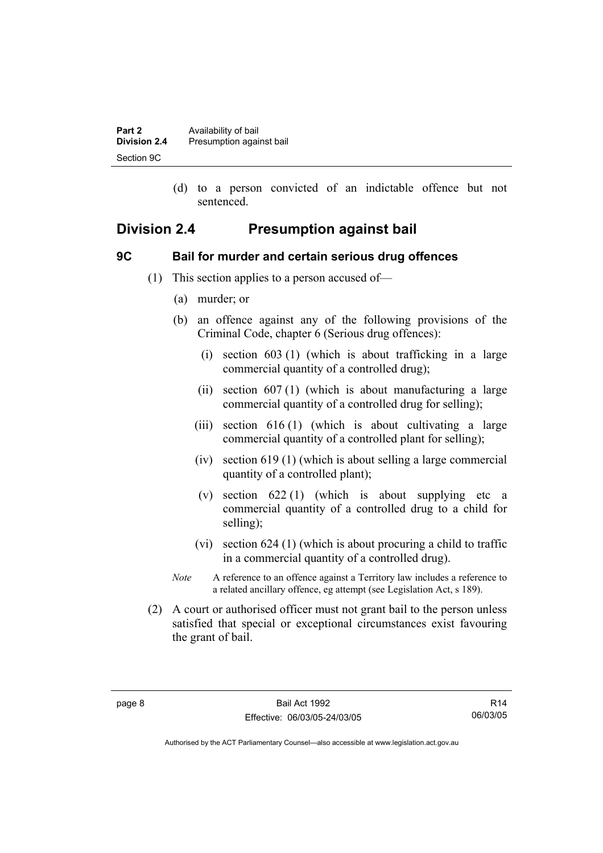| Part 2              | Availability of bail     |
|---------------------|--------------------------|
| <b>Division 2.4</b> | Presumption against bail |
| Section 9C          |                          |

 (d) to a person convicted of an indictable offence but not sentenced.

## **Division 2.4 Presumption against bail**

## **9C Bail for murder and certain serious drug offences**

- (1) This section applies to a person accused of—
	- (a) murder; or
	- (b) an offence against any of the following provisions of the Criminal Code, chapter 6 (Serious drug offences):
		- (i) section 603 (1) (which is about trafficking in a large commercial quantity of a controlled drug);
		- (ii) section 607 (1) (which is about manufacturing a large commercial quantity of a controlled drug for selling);
		- (iii) section 616 (1) (which is about cultivating a large commercial quantity of a controlled plant for selling);
		- (iv) section 619 (1) (which is about selling a large commercial quantity of a controlled plant);
		- (v) section  $622(1)$  (which is about supplying etc a commercial quantity of a controlled drug to a child for selling);
		- (vi) section 624 (1) (which is about procuring a child to traffic in a commercial quantity of a controlled drug).
	- *Note* A reference to an offence against a Territory law includes a reference to a related ancillary offence, eg attempt (see Legislation Act, s 189).
- (2) A court or authorised officer must not grant bail to the person unless satisfied that special or exceptional circumstances exist favouring the grant of bail.

R14 06/03/05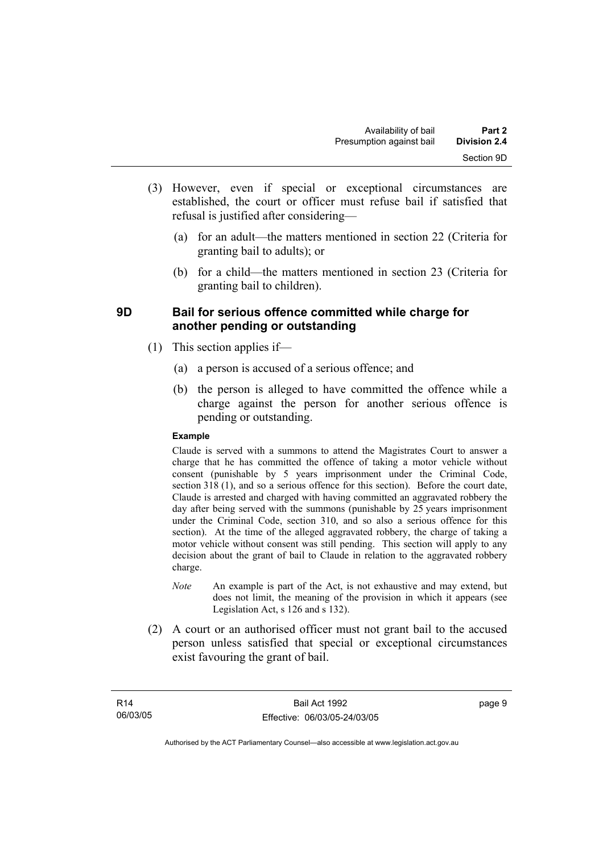- (3) However, even if special or exceptional circumstances are established, the court or officer must refuse bail if satisfied that refusal is justified after considering—
	- (a) for an adult—the matters mentioned in section 22 (Criteria for granting bail to adults); or
	- (b) for a child—the matters mentioned in section 23 (Criteria for granting bail to children).

## **9D Bail for serious offence committed while charge for another pending or outstanding**

- (1) This section applies if—
	- (a) a person is accused of a serious offence; and
	- (b) the person is alleged to have committed the offence while a charge against the person for another serious offence is pending or outstanding.

#### **Example**

Claude is served with a summons to attend the Magistrates Court to answer a charge that he has committed the offence of taking a motor vehicle without consent (punishable by 5 years imprisonment under the Criminal Code, section 318 (1), and so a serious offence for this section). Before the court date, Claude is arrested and charged with having committed an aggravated robbery the day after being served with the summons (punishable by 25 years imprisonment under the Criminal Code, section 310, and so also a serious offence for this section). At the time of the alleged aggravated robbery, the charge of taking a motor vehicle without consent was still pending. This section will apply to any decision about the grant of bail to Claude in relation to the aggravated robbery charge.

- *Note* An example is part of the Act, is not exhaustive and may extend, but does not limit, the meaning of the provision in which it appears (see Legislation Act, s 126 and s 132).
- (2) A court or an authorised officer must not grant bail to the accused person unless satisfied that special or exceptional circumstances exist favouring the grant of bail.

Bail Act 1992 Effective: 06/03/05-24/03/05 page 9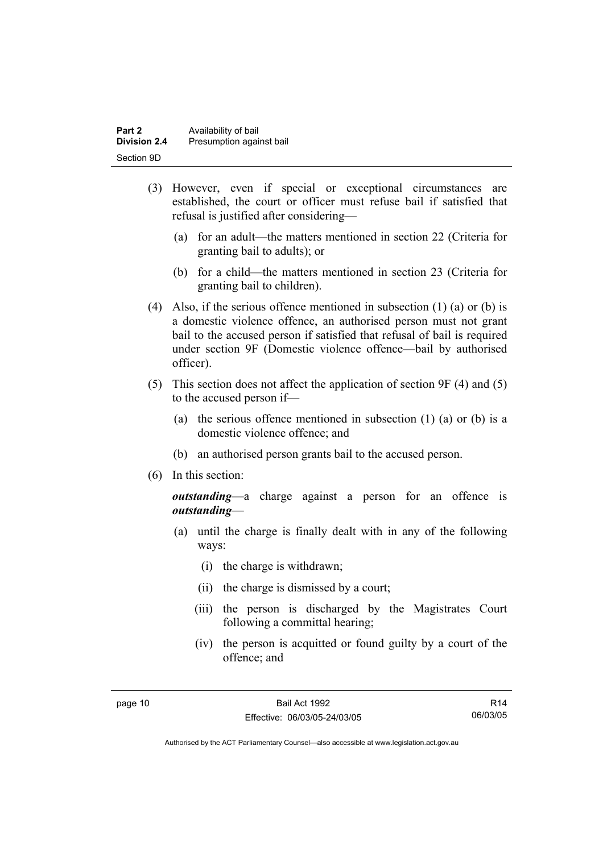| Part 2              | Availability of bail     |
|---------------------|--------------------------|
| <b>Division 2.4</b> | Presumption against bail |
| Section 9D          |                          |

- (3) However, even if special or exceptional circumstances are established, the court or officer must refuse bail if satisfied that refusal is justified after considering—
	- (a) for an adult—the matters mentioned in section 22 (Criteria for granting bail to adults); or
	- (b) for a child—the matters mentioned in section 23 (Criteria for granting bail to children).
- (4) Also, if the serious offence mentioned in subsection (1) (a) or (b) is a domestic violence offence, an authorised person must not grant bail to the accused person if satisfied that refusal of bail is required under section 9F (Domestic violence offence—bail by authorised officer).
- (5) This section does not affect the application of section 9F (4) and (5) to the accused person if—
	- (a) the serious offence mentioned in subsection (1) (a) or (b) is a domestic violence offence; and
	- (b) an authorised person grants bail to the accused person.
- (6) In this section:

*outstanding*—a charge against a person for an offence is *outstanding*—

- (a) until the charge is finally dealt with in any of the following ways:
	- (i) the charge is withdrawn;
	- (ii) the charge is dismissed by a court;
	- (iii) the person is discharged by the Magistrates Court following a committal hearing;
	- (iv) the person is acquitted or found guilty by a court of the offence; and

R14 06/03/05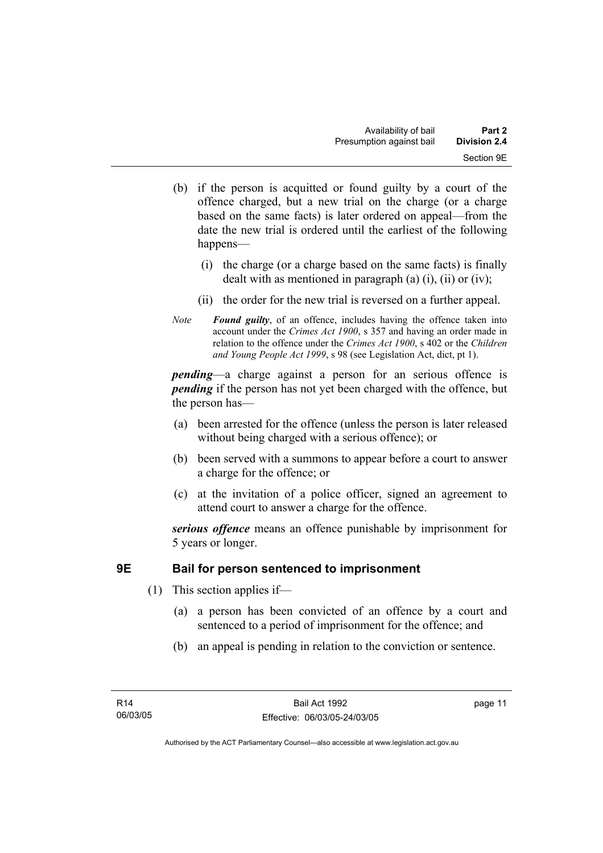- (b) if the person is acquitted or found guilty by a court of the offence charged, but a new trial on the charge (or a charge based on the same facts) is later ordered on appeal—from the date the new trial is ordered until the earliest of the following happens—
	- (i) the charge (or a charge based on the same facts) is finally dealt with as mentioned in paragraph (a)  $(i)$ ,  $(ii)$  or  $(iv)$ ;
	- (ii) the order for the new trial is reversed on a further appeal.
- *Note Found guilty*, of an offence, includes having the offence taken into account under the *Crimes Act 1900*, s 357 and having an order made in relation to the offence under the *Crimes Act 1900*, s 402 or the *Children and Young People Act 1999*, s 98 (see Legislation Act, dict, pt 1).

*pending*—a charge against a person for an serious offence is *pending* if the person has not yet been charged with the offence, but the person has—

- (a) been arrested for the offence (unless the person is later released without being charged with a serious offence); or
- (b) been served with a summons to appear before a court to answer a charge for the offence; or
- (c) at the invitation of a police officer, signed an agreement to attend court to answer a charge for the offence.

*serious offence* means an offence punishable by imprisonment for 5 years or longer.

## **9E Bail for person sentenced to imprisonment**

- (1) This section applies if—
	- (a) a person has been convicted of an offence by a court and sentenced to a period of imprisonment for the offence; and
	- (b) an appeal is pending in relation to the conviction or sentence.

page 11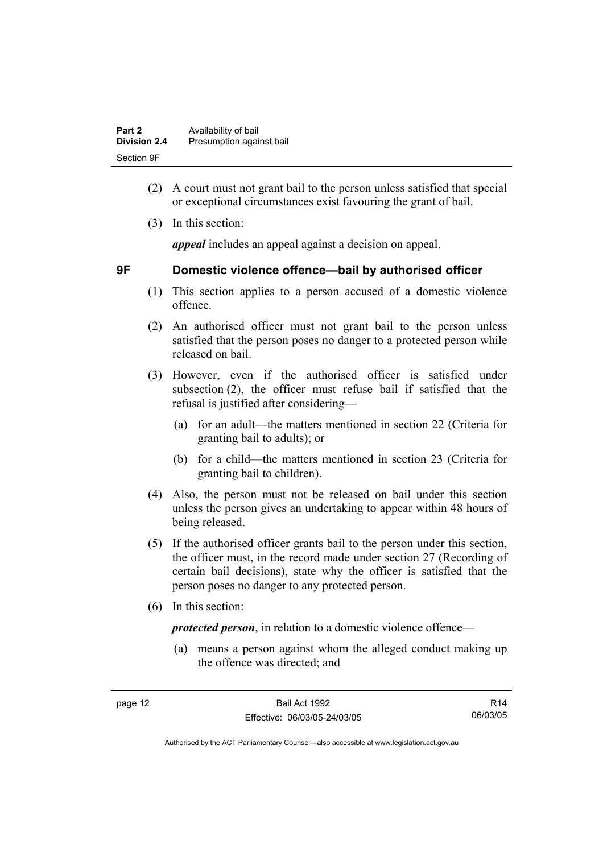| Part 2              | Availability of bail     |
|---------------------|--------------------------|
| <b>Division 2.4</b> | Presumption against bail |
| Section 9F          |                          |

- (2) A court must not grant bail to the person unless satisfied that special or exceptional circumstances exist favouring the grant of bail.
- (3) In this section:

*appeal* includes an appeal against a decision on appeal.

## **9F Domestic violence offence—bail by authorised officer**

- (1) This section applies to a person accused of a domestic violence offence.
- (2) An authorised officer must not grant bail to the person unless satisfied that the person poses no danger to a protected person while released on bail.
- (3) However, even if the authorised officer is satisfied under subsection (2), the officer must refuse bail if satisfied that the refusal is justified after considering—
	- (a) for an adult—the matters mentioned in section 22 (Criteria for granting bail to adults); or
	- (b) for a child—the matters mentioned in section 23 (Criteria for granting bail to children).
- (4) Also, the person must not be released on bail under this section unless the person gives an undertaking to appear within 48 hours of being released.
- (5) If the authorised officer grants bail to the person under this section, the officer must, in the record made under section 27 (Recording of certain bail decisions), state why the officer is satisfied that the person poses no danger to any protected person.
- (6) In this section:

*protected person*, in relation to a domestic violence offence—

 (a) means a person against whom the alleged conduct making up the offence was directed; and

R14 06/03/05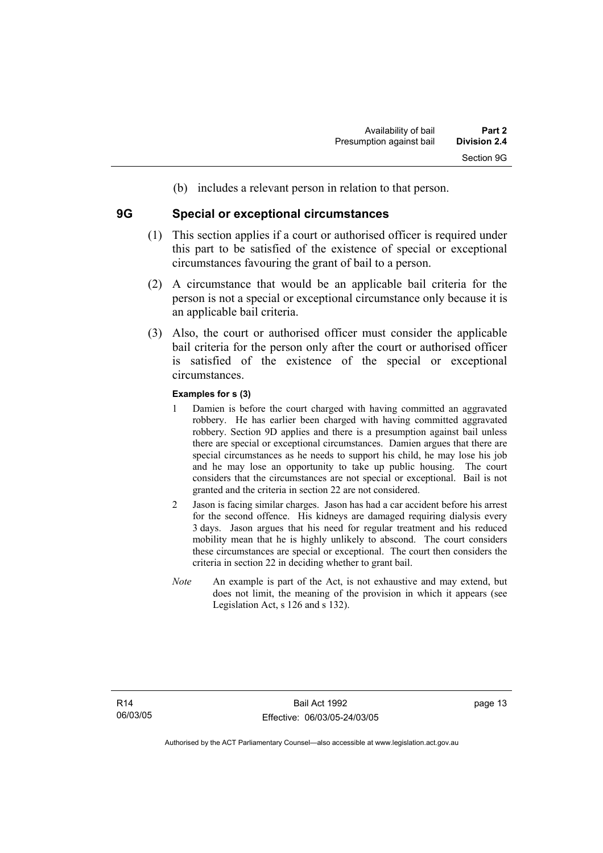(b) includes a relevant person in relation to that person.

### **9G Special or exceptional circumstances**

- (1) This section applies if a court or authorised officer is required under this part to be satisfied of the existence of special or exceptional circumstances favouring the grant of bail to a person.
- (2) A circumstance that would be an applicable bail criteria for the person is not a special or exceptional circumstance only because it is an applicable bail criteria.
- (3) Also, the court or authorised officer must consider the applicable bail criteria for the person only after the court or authorised officer is satisfied of the existence of the special or exceptional circumstances.

#### **Examples for s (3)**

- 1 Damien is before the court charged with having committed an aggravated robbery. He has earlier been charged with having committed aggravated robbery. Section 9D applies and there is a presumption against bail unless there are special or exceptional circumstances. Damien argues that there are special circumstances as he needs to support his child, he may lose his job and he may lose an opportunity to take up public housing. The court considers that the circumstances are not special or exceptional. Bail is not granted and the criteria in section 22 are not considered.
- 2 Jason is facing similar charges. Jason has had a car accident before his arrest for the second offence. His kidneys are damaged requiring dialysis every 3 days. Jason argues that his need for regular treatment and his reduced mobility mean that he is highly unlikely to abscond. The court considers these circumstances are special or exceptional. The court then considers the criteria in section 22 in deciding whether to grant bail.
- *Note* An example is part of the Act, is not exhaustive and may extend, but does not limit, the meaning of the provision in which it appears (see Legislation Act, s 126 and s 132).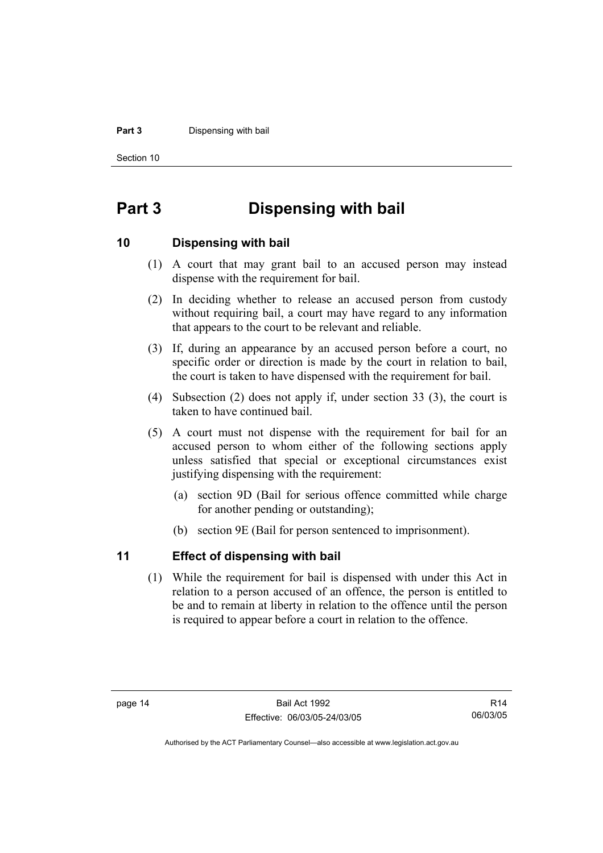#### **Part 3** Dispensing with bail

Section 10

## **Part 3 Dispensing with bail**

### **10 Dispensing with bail**

- (1) A court that may grant bail to an accused person may instead dispense with the requirement for bail.
- (2) In deciding whether to release an accused person from custody without requiring bail, a court may have regard to any information that appears to the court to be relevant and reliable.
- (3) If, during an appearance by an accused person before a court, no specific order or direction is made by the court in relation to bail, the court is taken to have dispensed with the requirement for bail.
- (4) Subsection (2) does not apply if, under section 33 (3), the court is taken to have continued bail.
- (5) A court must not dispense with the requirement for bail for an accused person to whom either of the following sections apply unless satisfied that special or exceptional circumstances exist justifying dispensing with the requirement:
	- (a) section 9D (Bail for serious offence committed while charge for another pending or outstanding);
	- (b) section 9E (Bail for person sentenced to imprisonment).

## **11 Effect of dispensing with bail**

 (1) While the requirement for bail is dispensed with under this Act in relation to a person accused of an offence, the person is entitled to be and to remain at liberty in relation to the offence until the person is required to appear before a court in relation to the offence.

R14 06/03/05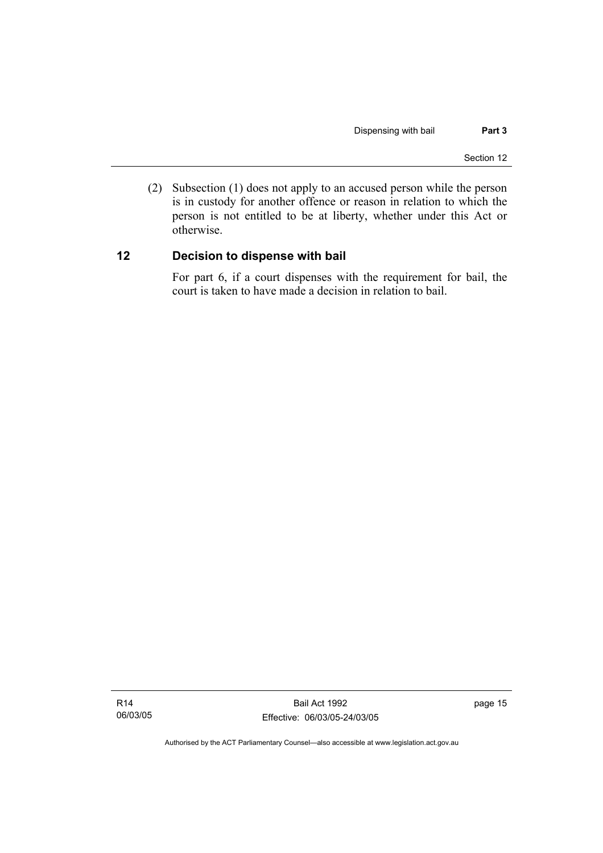(2) Subsection (1) does not apply to an accused person while the person is in custody for another offence or reason in relation to which the person is not entitled to be at liberty, whether under this Act or otherwise.

## **12 Decision to dispense with bail**

For part 6, if a court dispenses with the requirement for bail, the court is taken to have made a decision in relation to bail.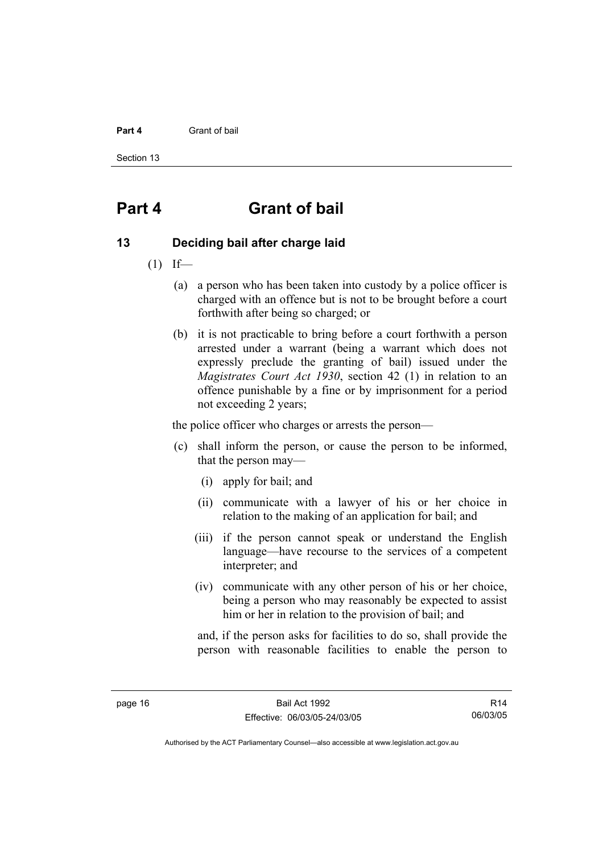#### **Part 4** Grant of bail

Section 13

## **Part 4 Grant of bail**

### **13 Deciding bail after charge laid**

- $(1)$  If—
	- (a) a person who has been taken into custody by a police officer is charged with an offence but is not to be brought before a court forthwith after being so charged; or
	- (b) it is not practicable to bring before a court forthwith a person arrested under a warrant (being a warrant which does not expressly preclude the granting of bail) issued under the *Magistrates Court Act 1930*, section 42 (1) in relation to an offence punishable by a fine or by imprisonment for a period not exceeding 2 years;

the police officer who charges or arrests the person—

- (c) shall inform the person, or cause the person to be informed, that the person may—
	- (i) apply for bail; and
	- (ii) communicate with a lawyer of his or her choice in relation to the making of an application for bail; and
	- (iii) if the person cannot speak or understand the English language—have recourse to the services of a competent interpreter; and
	- (iv) communicate with any other person of his or her choice, being a person who may reasonably be expected to assist him or her in relation to the provision of bail; and

and, if the person asks for facilities to do so, shall provide the person with reasonable facilities to enable the person to

R14 06/03/05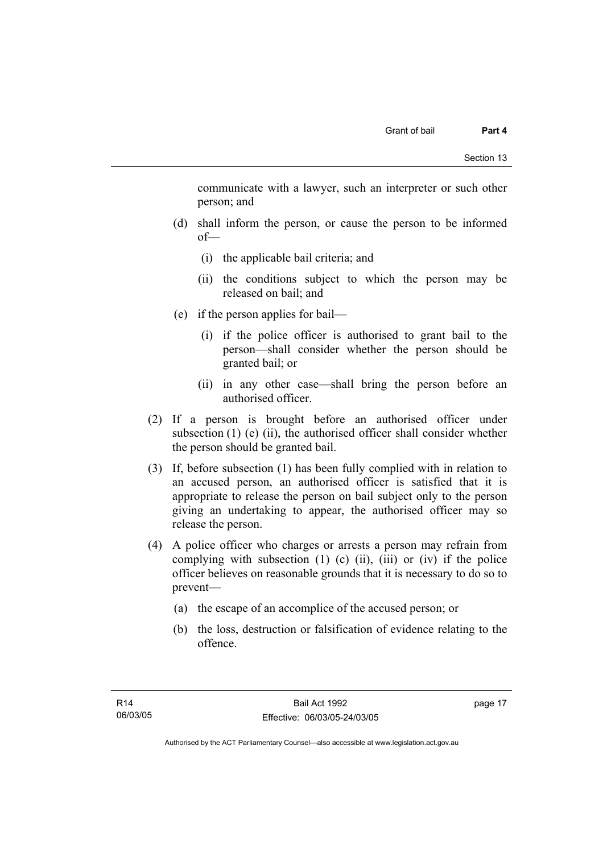communicate with a lawyer, such an interpreter or such other person; and

- (d) shall inform the person, or cause the person to be informed of—
	- (i) the applicable bail criteria; and
	- (ii) the conditions subject to which the person may be released on bail; and
- (e) if the person applies for bail—
	- (i) if the police officer is authorised to grant bail to the person—shall consider whether the person should be granted bail; or
	- (ii) in any other case—shall bring the person before an authorised officer.
- (2) If a person is brought before an authorised officer under subsection  $(1)$  (e)  $(ii)$ , the authorised officer shall consider whether the person should be granted bail.
- (3) If, before subsection (1) has been fully complied with in relation to an accused person, an authorised officer is satisfied that it is appropriate to release the person on bail subject only to the person giving an undertaking to appear, the authorised officer may so release the person.
- (4) A police officer who charges or arrests a person may refrain from complying with subsection  $(1)$   $(c)$   $(ii)$ ,  $(iii)$  or  $(iv)$  if the police officer believes on reasonable grounds that it is necessary to do so to prevent—
	- (a) the escape of an accomplice of the accused person; or
	- (b) the loss, destruction or falsification of evidence relating to the offence.

page 17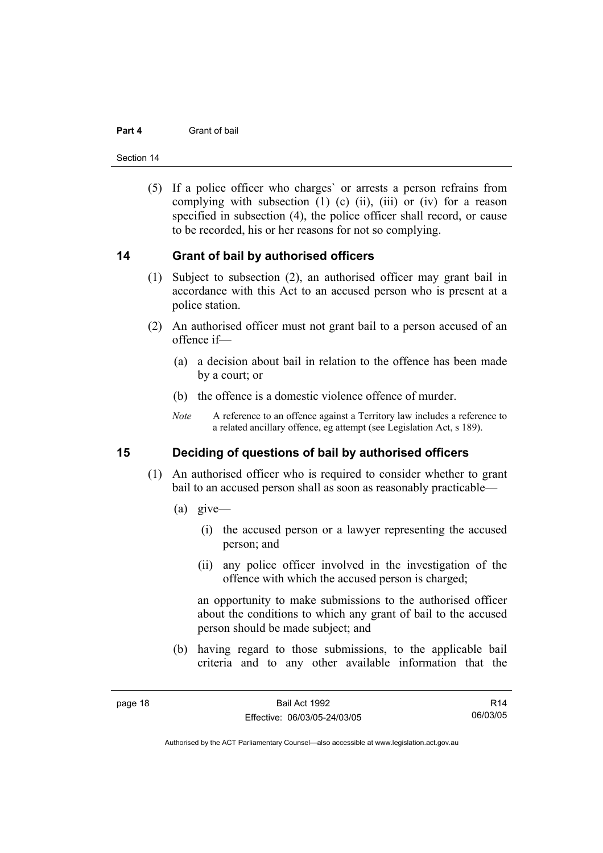#### **Part 4** Grant of bail

Section 14

 (5) If a police officer who charges` or arrests a person refrains from complying with subsection  $(1)$   $(c)$   $(ii)$ ,  $(iii)$  or  $(iv)$  for a reason specified in subsection (4), the police officer shall record, or cause to be recorded, his or her reasons for not so complying.

### **14 Grant of bail by authorised officers**

- (1) Subject to subsection (2), an authorised officer may grant bail in accordance with this Act to an accused person who is present at a police station.
- (2) An authorised officer must not grant bail to a person accused of an offence if—
	- (a) a decision about bail in relation to the offence has been made by a court; or
	- (b) the offence is a domestic violence offence of murder.
	- *Note* A reference to an offence against a Territory law includes a reference to a related ancillary offence, eg attempt (see Legislation Act, s 189).

## **15 Deciding of questions of bail by authorised officers**

- (1) An authorised officer who is required to consider whether to grant bail to an accused person shall as soon as reasonably practicable—
	- (a) give—
		- (i) the accused person or a lawyer representing the accused person; and
		- (ii) any police officer involved in the investigation of the offence with which the accused person is charged;

an opportunity to make submissions to the authorised officer about the conditions to which any grant of bail to the accused person should be made subject; and

 (b) having regard to those submissions, to the applicable bail criteria and to any other available information that the

R14 06/03/05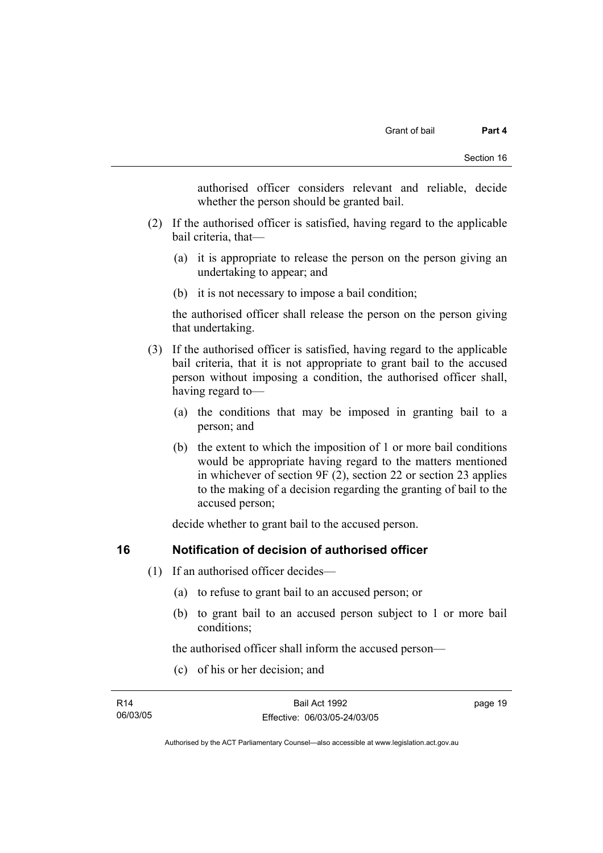authorised officer considers relevant and reliable, decide whether the person should be granted bail.

- (2) If the authorised officer is satisfied, having regard to the applicable bail criteria, that—
	- (a) it is appropriate to release the person on the person giving an undertaking to appear; and
	- (b) it is not necessary to impose a bail condition;

the authorised officer shall release the person on the person giving that undertaking.

- (3) If the authorised officer is satisfied, having regard to the applicable bail criteria, that it is not appropriate to grant bail to the accused person without imposing a condition, the authorised officer shall, having regard to—
	- (a) the conditions that may be imposed in granting bail to a person; and
	- (b) the extent to which the imposition of 1 or more bail conditions would be appropriate having regard to the matters mentioned in whichever of section 9F (2), section 22 or section 23 applies to the making of a decision regarding the granting of bail to the accused person;

decide whether to grant bail to the accused person.

## **16 Notification of decision of authorised officer**

- (1) If an authorised officer decides—
	- (a) to refuse to grant bail to an accused person; or
	- (b) to grant bail to an accused person subject to 1 or more bail conditions;

the authorised officer shall inform the accused person—

(c) of his or her decision; and

| R14      | Bail Act 1992                | page 19 |
|----------|------------------------------|---------|
| 06/03/05 | Effective: 06/03/05-24/03/05 |         |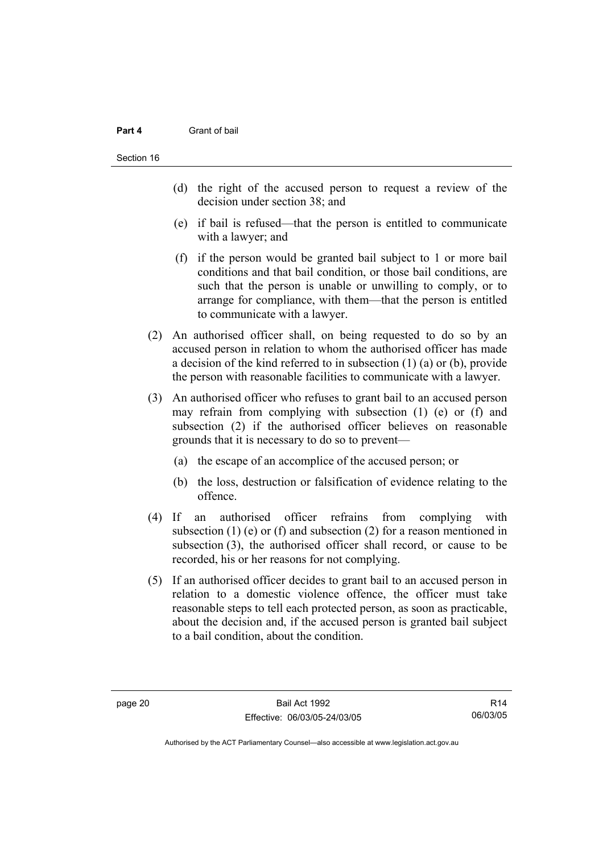#### **Part 4** Grant of bail

- (d) the right of the accused person to request a review of the decision under section 38; and
- (e) if bail is refused—that the person is entitled to communicate with a lawyer; and
- (f) if the person would be granted bail subject to 1 or more bail conditions and that bail condition, or those bail conditions, are such that the person is unable or unwilling to comply, or to arrange for compliance, with them—that the person is entitled to communicate with a lawyer.
- (2) An authorised officer shall, on being requested to do so by an accused person in relation to whom the authorised officer has made a decision of the kind referred to in subsection (1) (a) or (b), provide the person with reasonable facilities to communicate with a lawyer.
- (3) An authorised officer who refuses to grant bail to an accused person may refrain from complying with subsection (1) (e) or (f) and subsection (2) if the authorised officer believes on reasonable grounds that it is necessary to do so to prevent—
	- (a) the escape of an accomplice of the accused person; or
	- (b) the loss, destruction or falsification of evidence relating to the offence.
- (4) If an authorised officer refrains from complying with subsection (1) (e) or (f) and subsection (2) for a reason mentioned in subsection (3), the authorised officer shall record, or cause to be recorded, his or her reasons for not complying.
- (5) If an authorised officer decides to grant bail to an accused person in relation to a domestic violence offence, the officer must take reasonable steps to tell each protected person, as soon as practicable, about the decision and, if the accused person is granted bail subject to a bail condition, about the condition.

R14 06/03/05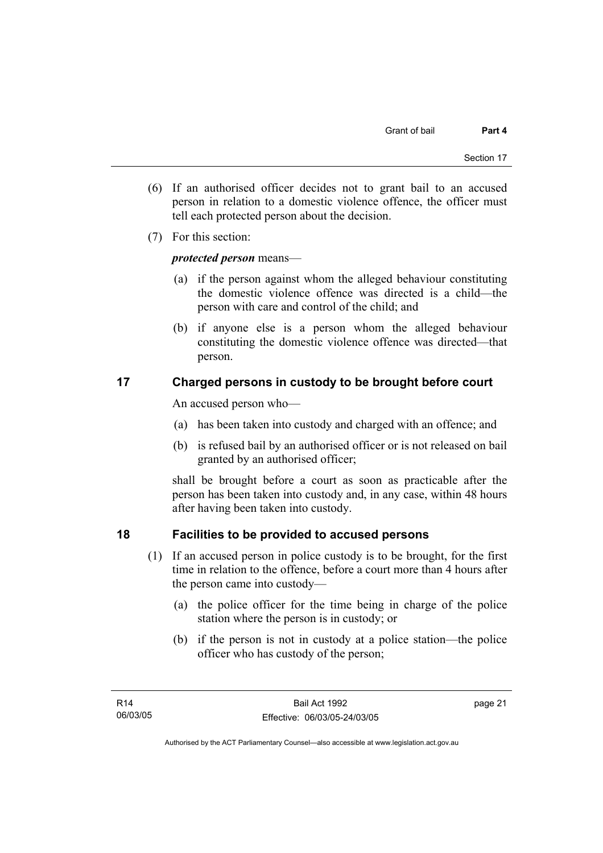- (6) If an authorised officer decides not to grant bail to an accused person in relation to a domestic violence offence, the officer must tell each protected person about the decision.
- (7) For this section:

## *protected person* means—

- (a) if the person against whom the alleged behaviour constituting the domestic violence offence was directed is a child—the person with care and control of the child; and
- (b) if anyone else is a person whom the alleged behaviour constituting the domestic violence offence was directed—that person.

## **17 Charged persons in custody to be brought before court**

An accused person who—

- (a) has been taken into custody and charged with an offence; and
- (b) is refused bail by an authorised officer or is not released on bail granted by an authorised officer;

shall be brought before a court as soon as practicable after the person has been taken into custody and, in any case, within 48 hours after having been taken into custody.

## **18 Facilities to be provided to accused persons**

- (1) If an accused person in police custody is to be brought, for the first time in relation to the offence, before a court more than 4 hours after the person came into custody—
	- (a) the police officer for the time being in charge of the police station where the person is in custody; or
	- (b) if the person is not in custody at a police station—the police officer who has custody of the person;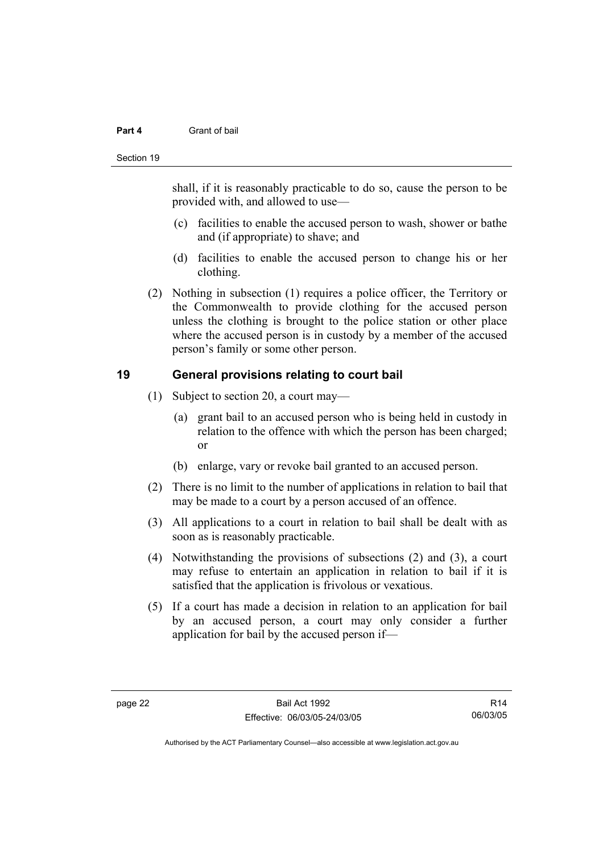#### **Part 4** Grant of bail

#### Section 19

shall, if it is reasonably practicable to do so, cause the person to be provided with, and allowed to use—

- (c) facilities to enable the accused person to wash, shower or bathe and (if appropriate) to shave; and
- (d) facilities to enable the accused person to change his or her clothing.
- (2) Nothing in subsection (1) requires a police officer, the Territory or the Commonwealth to provide clothing for the accused person unless the clothing is brought to the police station or other place where the accused person is in custody by a member of the accused person's family or some other person.

## **19 General provisions relating to court bail**

- (1) Subject to section 20, a court may—
	- (a) grant bail to an accused person who is being held in custody in relation to the offence with which the person has been charged; or
	- (b) enlarge, vary or revoke bail granted to an accused person.
- (2) There is no limit to the number of applications in relation to bail that may be made to a court by a person accused of an offence.
- (3) All applications to a court in relation to bail shall be dealt with as soon as is reasonably practicable.
- (4) Notwithstanding the provisions of subsections (2) and (3), a court may refuse to entertain an application in relation to bail if it is satisfied that the application is frivolous or vexatious.
- (5) If a court has made a decision in relation to an application for bail by an accused person, a court may only consider a further application for bail by the accused person if—

R14 06/03/05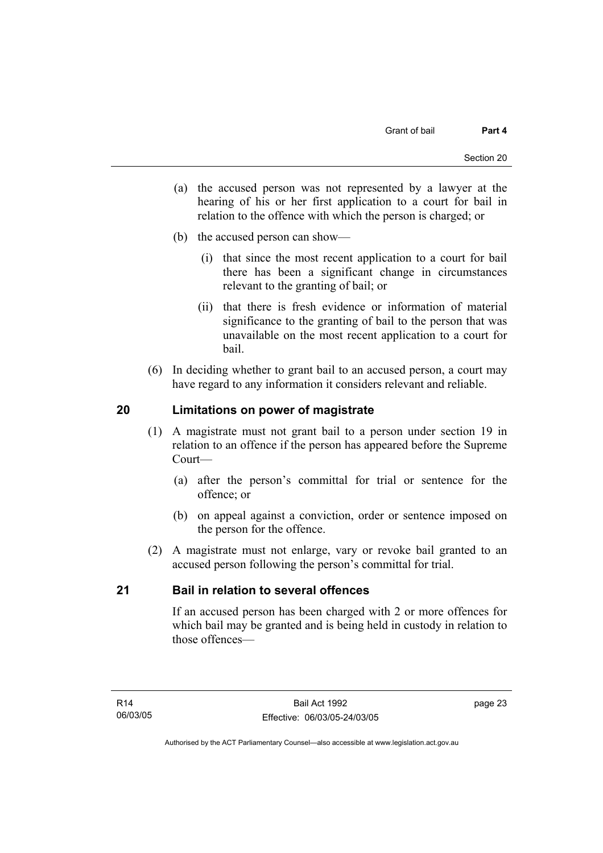- (a) the accused person was not represented by a lawyer at the hearing of his or her first application to a court for bail in relation to the offence with which the person is charged; or
- (b) the accused person can show—
	- (i) that since the most recent application to a court for bail there has been a significant change in circumstances relevant to the granting of bail; or
	- (ii) that there is fresh evidence or information of material significance to the granting of bail to the person that was unavailable on the most recent application to a court for bail.
- (6) In deciding whether to grant bail to an accused person, a court may have regard to any information it considers relevant and reliable.

## **20 Limitations on power of magistrate**

- (1) A magistrate must not grant bail to a person under section 19 in relation to an offence if the person has appeared before the Supreme Court—
	- (a) after the person's committal for trial or sentence for the offence; or
	- (b) on appeal against a conviction, order or sentence imposed on the person for the offence.
- (2) A magistrate must not enlarge, vary or revoke bail granted to an accused person following the person's committal for trial.

## **21 Bail in relation to several offences**

If an accused person has been charged with 2 or more offences for which bail may be granted and is being held in custody in relation to those offences—

page 23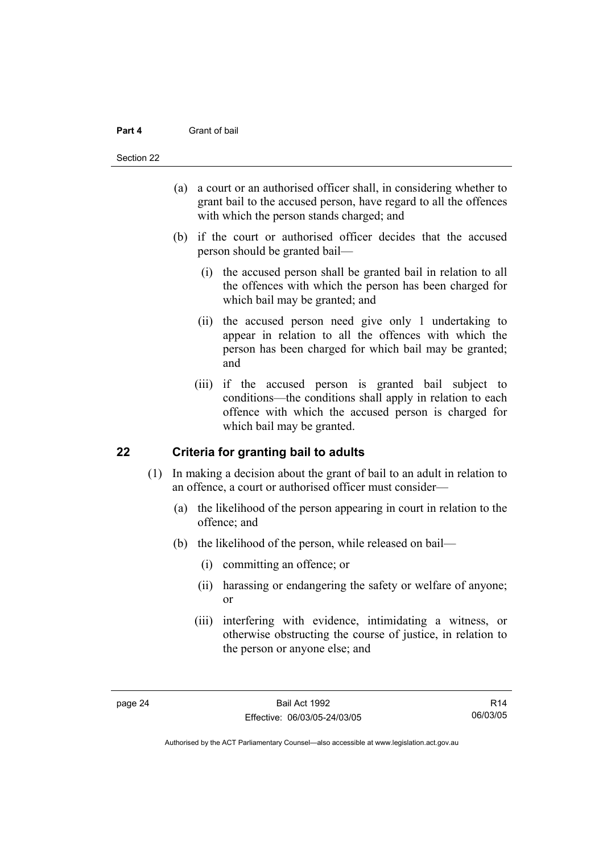#### **Part 4** Grant of bail

#### Section 22

- (a) a court or an authorised officer shall, in considering whether to grant bail to the accused person, have regard to all the offences with which the person stands charged; and
- (b) if the court or authorised officer decides that the accused person should be granted bail—
	- (i) the accused person shall be granted bail in relation to all the offences with which the person has been charged for which bail may be granted; and
	- (ii) the accused person need give only 1 undertaking to appear in relation to all the offences with which the person has been charged for which bail may be granted; and
	- (iii) if the accused person is granted bail subject to conditions—the conditions shall apply in relation to each offence with which the accused person is charged for which bail may be granted.

## **22 Criteria for granting bail to adults**

- (1) In making a decision about the grant of bail to an adult in relation to an offence, a court or authorised officer must consider—
	- (a) the likelihood of the person appearing in court in relation to the offence; and
	- (b) the likelihood of the person, while released on bail—
		- (i) committing an offence; or
		- (ii) harassing or endangering the safety or welfare of anyone; or
		- (iii) interfering with evidence, intimidating a witness, or otherwise obstructing the course of justice, in relation to the person or anyone else; and

R14 06/03/05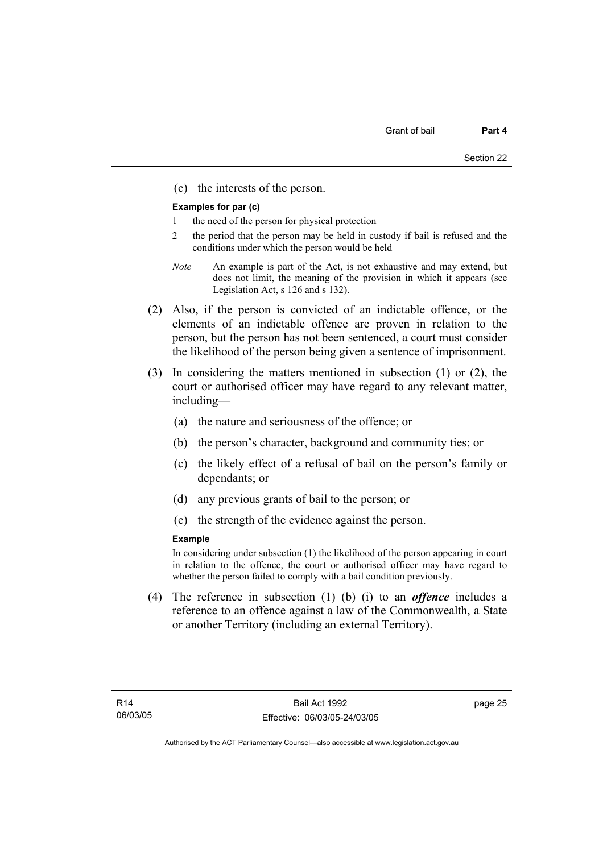(c) the interests of the person.

#### **Examples for par (c)**

- 1 the need of the person for physical protection
- 2 the period that the person may be held in custody if bail is refused and the conditions under which the person would be held
- *Note* An example is part of the Act, is not exhaustive and may extend, but does not limit, the meaning of the provision in which it appears (see Legislation Act, s 126 and s 132).
- (2) Also, if the person is convicted of an indictable offence, or the elements of an indictable offence are proven in relation to the person, but the person has not been sentenced, a court must consider the likelihood of the person being given a sentence of imprisonment.
- (3) In considering the matters mentioned in subsection (1) or (2), the court or authorised officer may have regard to any relevant matter, including—
	- (a) the nature and seriousness of the offence; or
	- (b) the person's character, background and community ties; or
	- (c) the likely effect of a refusal of bail on the person's family or dependants; or
	- (d) any previous grants of bail to the person; or
	- (e) the strength of the evidence against the person.

#### **Example**

In considering under subsection (1) the likelihood of the person appearing in court in relation to the offence, the court or authorised officer may have regard to whether the person failed to comply with a bail condition previously.

 (4) The reference in subsection (1) (b) (i) to an *offence* includes a reference to an offence against a law of the Commonwealth, a State or another Territory (including an external Territory).

page 25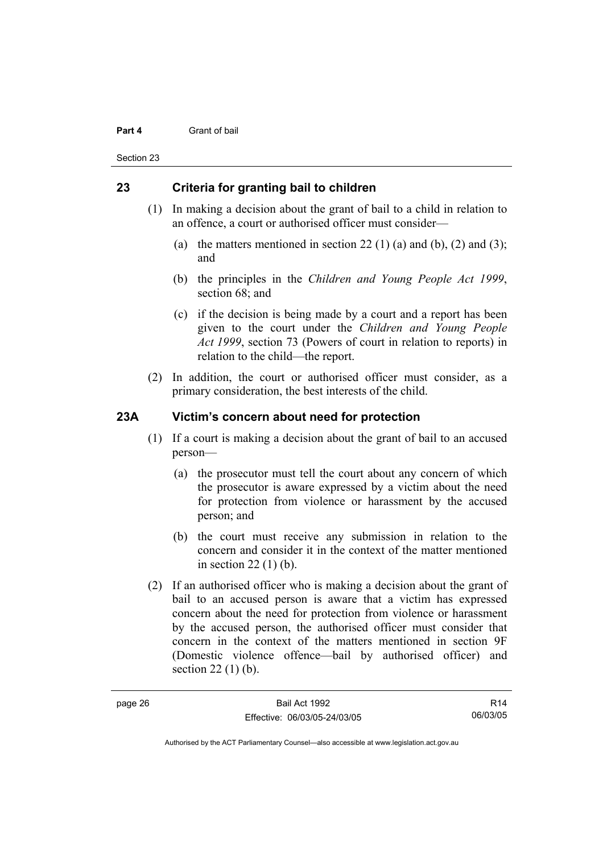#### **Part 4** Grant of bail

Section 23

## **23 Criteria for granting bail to children**

- (1) In making a decision about the grant of bail to a child in relation to an offence, a court or authorised officer must consider—
	- (a) the matters mentioned in section 22 (1) (a) and (b), (2) and (3); and
	- (b) the principles in the *Children and Young People Act 1999*, section 68; and
	- (c) if the decision is being made by a court and a report has been given to the court under the *Children and Young People Act 1999*, section 73 (Powers of court in relation to reports) in relation to the child—the report.
- (2) In addition, the court or authorised officer must consider, as a primary consideration, the best interests of the child.

## **23A Victim's concern about need for protection**

- (1) If a court is making a decision about the grant of bail to an accused person—
	- (a) the prosecutor must tell the court about any concern of which the prosecutor is aware expressed by a victim about the need for protection from violence or harassment by the accused person; and
	- (b) the court must receive any submission in relation to the concern and consider it in the context of the matter mentioned in section 22 (1) (b).
- (2) If an authorised officer who is making a decision about the grant of bail to an accused person is aware that a victim has expressed concern about the need for protection from violence or harassment by the accused person, the authorised officer must consider that concern in the context of the matters mentioned in section 9F (Domestic violence offence—bail by authorised officer) and section 22 (1) (b).

R14 06/03/05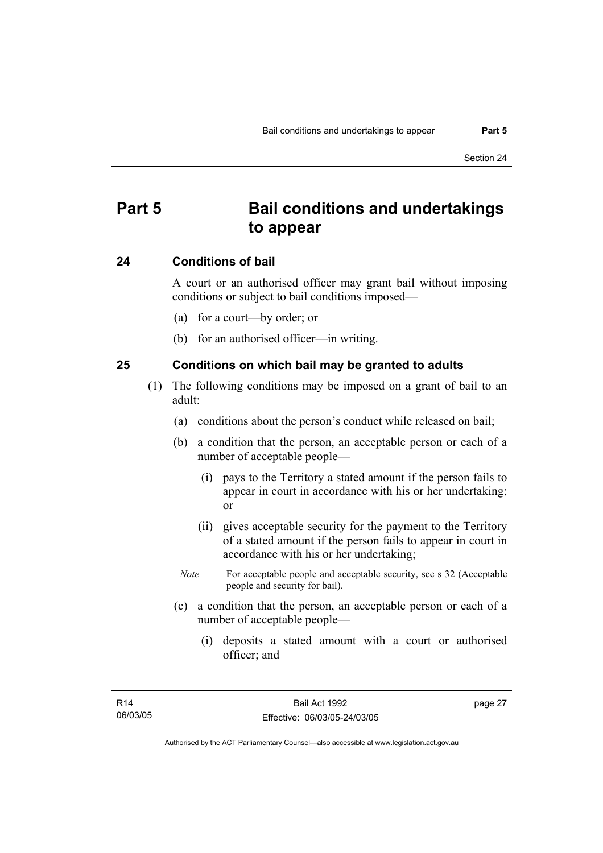## **Part 5 Bail conditions and undertakings to appear**

### **24 Conditions of bail**

A court or an authorised officer may grant bail without imposing conditions or subject to bail conditions imposed—

- (a) for a court—by order; or
- (b) for an authorised officer—in writing.

### **25 Conditions on which bail may be granted to adults**

- (1) The following conditions may be imposed on a grant of bail to an adult:
	- (a) conditions about the person's conduct while released on bail;
	- (b) a condition that the person, an acceptable person or each of a number of acceptable people—
		- (i) pays to the Territory a stated amount if the person fails to appear in court in accordance with his or her undertaking; or
		- (ii) gives acceptable security for the payment to the Territory of a stated amount if the person fails to appear in court in accordance with his or her undertaking;
		- *Note* For acceptable people and acceptable security, see s 32 (Acceptable people and security for bail).
	- (c) a condition that the person, an acceptable person or each of a number of acceptable people—
		- (i) deposits a stated amount with a court or authorised officer; and

page 27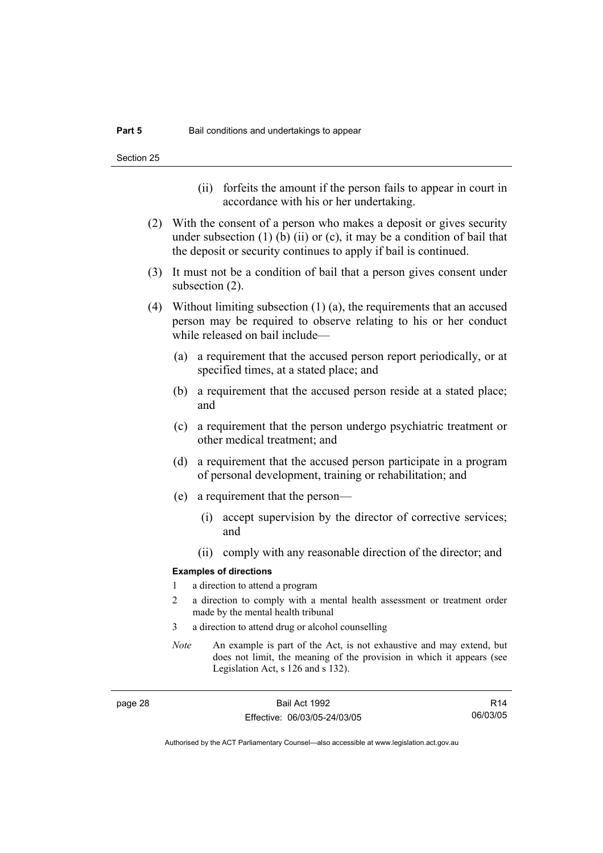- (ii) forfeits the amount if the person fails to appear in court in accordance with his or her undertaking.
- (2) With the consent of a person who makes a deposit or gives security under subsection  $(1)$  (b)  $(ii)$  or  $(c)$ , it may be a condition of bail that the deposit or security continues to apply if bail is continued.
- (3) It must not be a condition of bail that a person gives consent under subsection (2).
- (4) Without limiting subsection (1) (a), the requirements that an accused person may be required to observe relating to his or her conduct while released on bail include—
	- (a) a requirement that the accused person report periodically, or at specified times, at a stated place; and
	- (b) a requirement that the accused person reside at a stated place; and
	- (c) a requirement that the person undergo psychiatric treatment or other medical treatment; and
	- (d) a requirement that the accused person participate in a program of personal development, training or rehabilitation; and
	- (e) a requirement that the person—
		- (i) accept supervision by the director of corrective services; and
		- (ii) comply with any reasonable direction of the director; and

#### **Examples of directions**

- 1 a direction to attend a program
- 2 a direction to comply with a mental health assessment or treatment order made by the mental health tribunal
- 3 a direction to attend drug or alcohol counselling
- *Note* An example is part of the Act, is not exhaustive and may extend, but does not limit, the meaning of the provision in which it appears (see Legislation Act, s 126 and s 132).

page 28 Bail Act 1992 Effective: 06/03/05-24/03/05

R14 06/03/05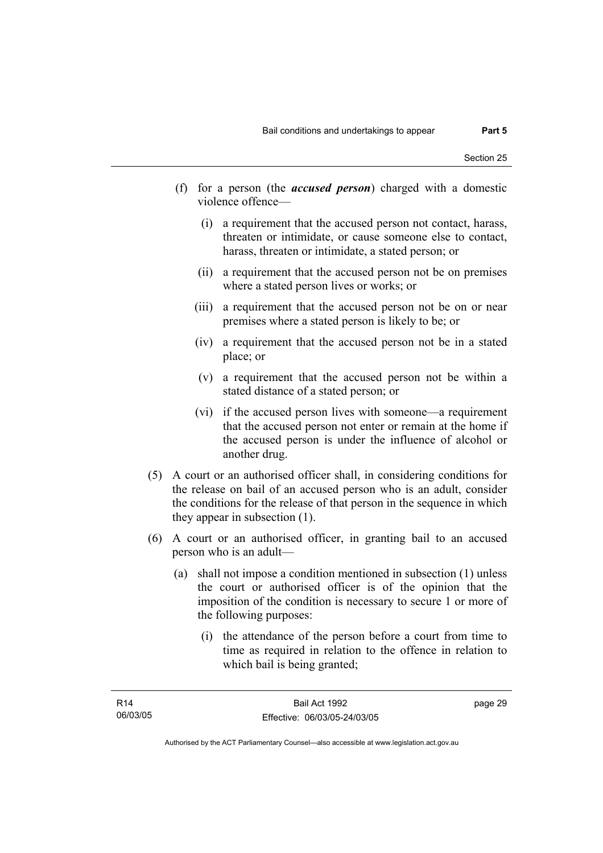- (f) for a person (the *accused person*) charged with a domestic violence offence—
	- (i) a requirement that the accused person not contact, harass, threaten or intimidate, or cause someone else to contact, harass, threaten or intimidate, a stated person; or
	- (ii) a requirement that the accused person not be on premises where a stated person lives or works; or
	- (iii) a requirement that the accused person not be on or near premises where a stated person is likely to be; or
	- (iv) a requirement that the accused person not be in a stated place; or
	- (v) a requirement that the accused person not be within a stated distance of a stated person; or
	- (vi) if the accused person lives with someone—a requirement that the accused person not enter or remain at the home if the accused person is under the influence of alcohol or another drug.
- (5) A court or an authorised officer shall, in considering conditions for the release on bail of an accused person who is an adult, consider the conditions for the release of that person in the sequence in which they appear in subsection (1).
- (6) A court or an authorised officer, in granting bail to an accused person who is an adult—
	- (a) shall not impose a condition mentioned in subsection (1) unless the court or authorised officer is of the opinion that the imposition of the condition is necessary to secure 1 or more of the following purposes:
		- (i) the attendance of the person before a court from time to time as required in relation to the offence in relation to which bail is being granted;

page 29

Authorised by the ACT Parliamentary Counsel—also accessible at www.legislation.act.gov.au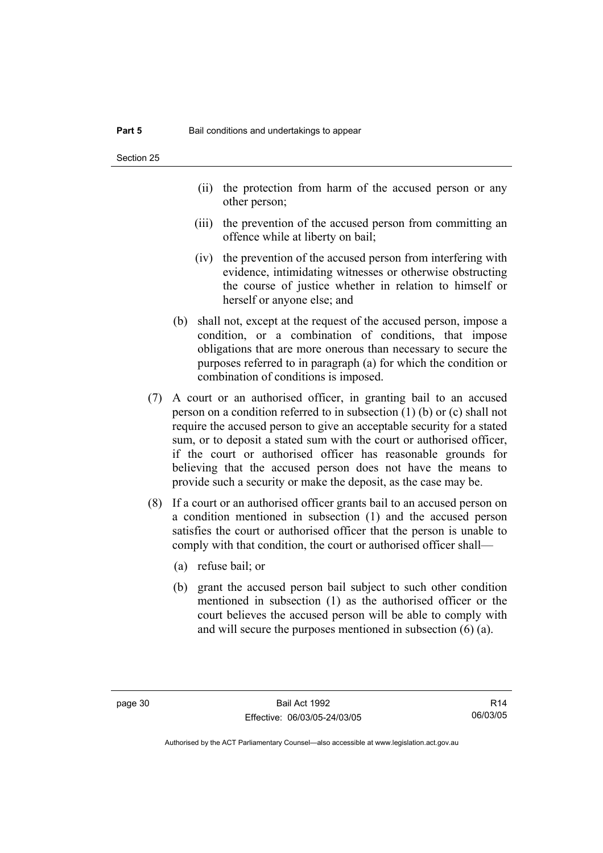- (ii) the protection from harm of the accused person or any other person;
- (iii) the prevention of the accused person from committing an offence while at liberty on bail;
- (iv) the prevention of the accused person from interfering with evidence, intimidating witnesses or otherwise obstructing the course of justice whether in relation to himself or herself or anyone else; and
- (b) shall not, except at the request of the accused person, impose a condition, or a combination of conditions, that impose obligations that are more onerous than necessary to secure the purposes referred to in paragraph (a) for which the condition or combination of conditions is imposed.
- (7) A court or an authorised officer, in granting bail to an accused person on a condition referred to in subsection (1) (b) or (c) shall not require the accused person to give an acceptable security for a stated sum, or to deposit a stated sum with the court or authorised officer, if the court or authorised officer has reasonable grounds for believing that the accused person does not have the means to provide such a security or make the deposit, as the case may be.
- (8) If a court or an authorised officer grants bail to an accused person on a condition mentioned in subsection (1) and the accused person satisfies the court or authorised officer that the person is unable to comply with that condition, the court or authorised officer shall—
	- (a) refuse bail; or
	- (b) grant the accused person bail subject to such other condition mentioned in subsection (1) as the authorised officer or the court believes the accused person will be able to comply with and will secure the purposes mentioned in subsection (6) (a).

R14 06/03/05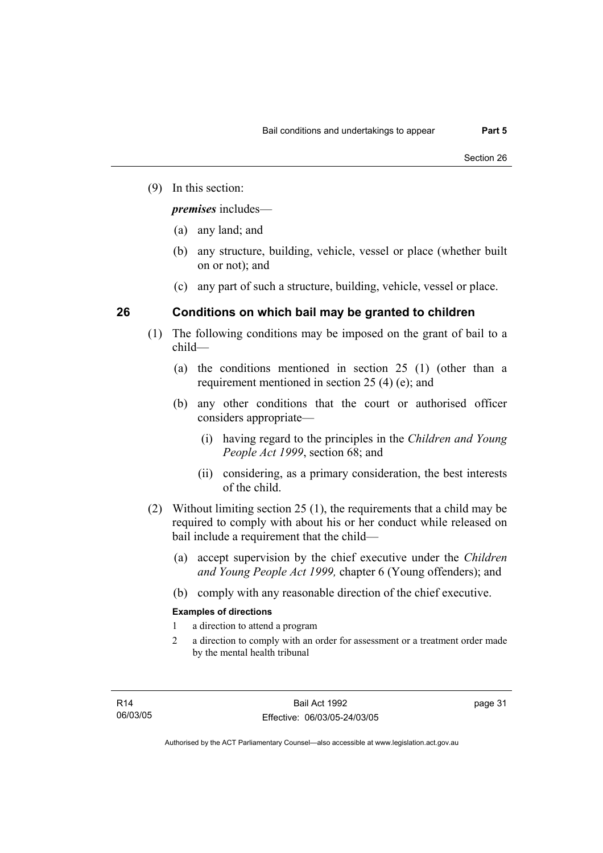(9) In this section:

*premises* includes—

- (a) any land; and
- (b) any structure, building, vehicle, vessel or place (whether built on or not); and
- (c) any part of such a structure, building, vehicle, vessel or place.

# **26 Conditions on which bail may be granted to children**

- (1) The following conditions may be imposed on the grant of bail to a child—
	- (a) the conditions mentioned in section 25 (1) (other than a requirement mentioned in section 25 (4) (e); and
	- (b) any other conditions that the court or authorised officer considers appropriate—
		- (i) having regard to the principles in the *Children and Young People Act 1999*, section 68; and
		- (ii) considering, as a primary consideration, the best interests of the child.
- (2) Without limiting section 25 (1), the requirements that a child may be required to comply with about his or her conduct while released on bail include a requirement that the child—
	- (a) accept supervision by the chief executive under the *Children and Young People Act 1999,* chapter 6 (Young offenders); and
	- (b) comply with any reasonable direction of the chief executive.

# **Examples of directions**

- 1 a direction to attend a program
- 2 a direction to comply with an order for assessment or a treatment order made by the mental health tribunal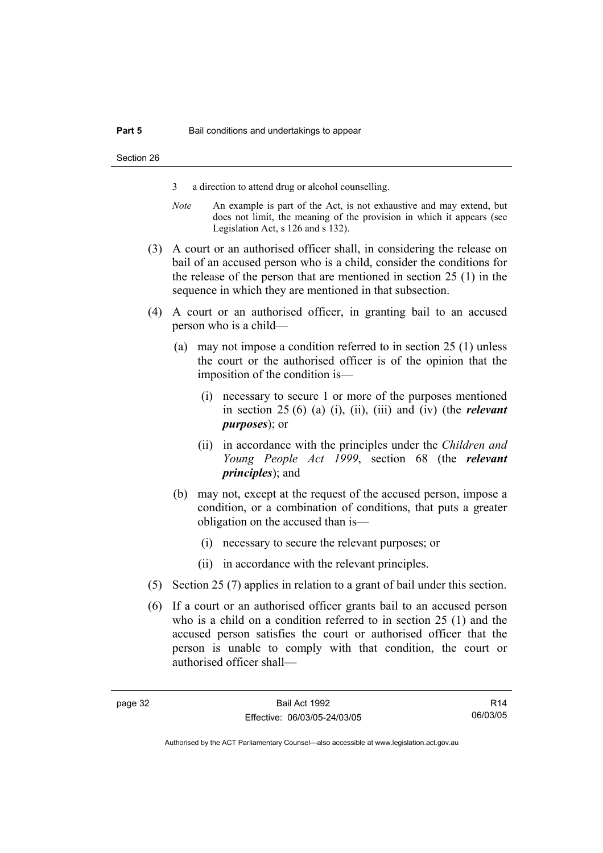- 3 a direction to attend drug or alcohol counselling.
- *Note* An example is part of the Act, is not exhaustive and may extend, but does not limit, the meaning of the provision in which it appears (see Legislation Act, s 126 and s 132).
- (3) A court or an authorised officer shall, in considering the release on bail of an accused person who is a child, consider the conditions for the release of the person that are mentioned in section 25 (1) in the sequence in which they are mentioned in that subsection.
- (4) A court or an authorised officer, in granting bail to an accused person who is a child—
	- (a) may not impose a condition referred to in section 25 (1) unless the court or the authorised officer is of the opinion that the imposition of the condition is—
		- (i) necessary to secure 1 or more of the purposes mentioned in section 25 (6) (a) (i), (ii), (iii) and (iv) (the *relevant purposes*); or
		- (ii) in accordance with the principles under the *Children and Young People Act 1999*, section 68 (the *relevant principles*); and
	- (b) may not, except at the request of the accused person, impose a condition, or a combination of conditions, that puts a greater obligation on the accused than is—
		- (i) necessary to secure the relevant purposes; or
		- (ii) in accordance with the relevant principles.
- (5) Section 25 (7) applies in relation to a grant of bail under this section.
- (6) If a court or an authorised officer grants bail to an accused person who is a child on a condition referred to in section 25 (1) and the accused person satisfies the court or authorised officer that the person is unable to comply with that condition, the court or authorised officer shall—

R14 06/03/05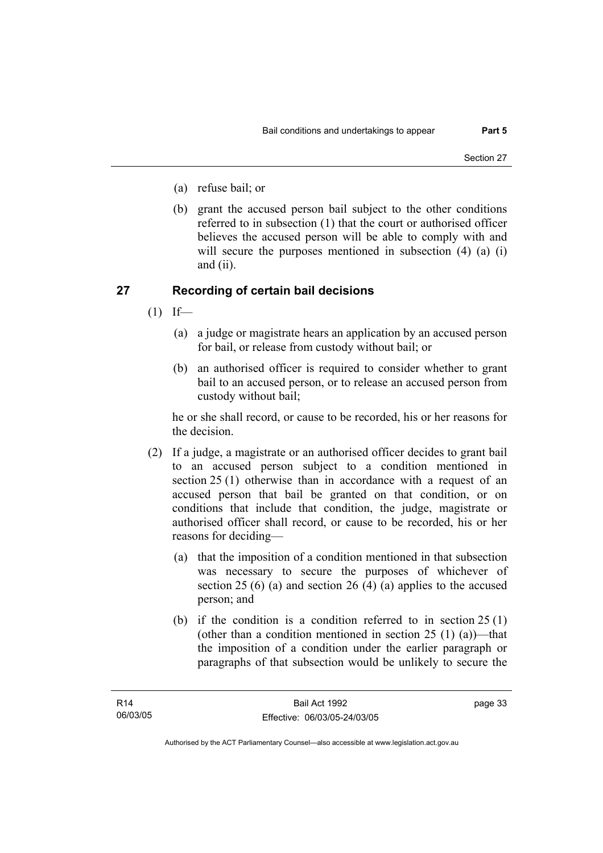- (a) refuse bail; or
- (b) grant the accused person bail subject to the other conditions referred to in subsection (1) that the court or authorised officer believes the accused person will be able to comply with and will secure the purposes mentioned in subsection (4) (a) (i) and (ii).

# **27 Recording of certain bail decisions**

- $(1)$  If—
	- (a) a judge or magistrate hears an application by an accused person for bail, or release from custody without bail; or
	- (b) an authorised officer is required to consider whether to grant bail to an accused person, or to release an accused person from custody without bail;

he or she shall record, or cause to be recorded, his or her reasons for the decision.

- (2) If a judge, a magistrate or an authorised officer decides to grant bail to an accused person subject to a condition mentioned in section 25 (1) otherwise than in accordance with a request of an accused person that bail be granted on that condition, or on conditions that include that condition, the judge, magistrate or authorised officer shall record, or cause to be recorded, his or her reasons for deciding—
	- (a) that the imposition of a condition mentioned in that subsection was necessary to secure the purposes of whichever of section 25 (6) (a) and section 26 (4) (a) applies to the accused person; and
	- (b) if the condition is a condition referred to in section 25 (1) (other than a condition mentioned in section  $25(1)(a)$ )—that the imposition of a condition under the earlier paragraph or paragraphs of that subsection would be unlikely to secure the

page 33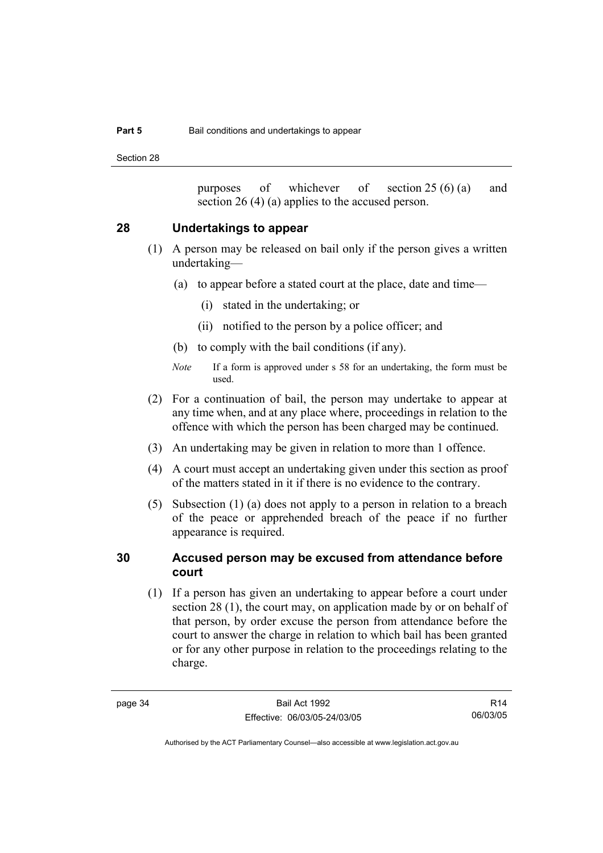Section 28

purposes of whichever of section 25 (6) (a) and section 26 (4) (a) applies to the accused person.

## **28 Undertakings to appear**

- (1) A person may be released on bail only if the person gives a written undertaking—
	- (a) to appear before a stated court at the place, date and time—
		- (i) stated in the undertaking; or
		- (ii) notified to the person by a police officer; and
	- (b) to comply with the bail conditions (if any).
	- *Note* If a form is approved under s 58 for an undertaking, the form must be used.
- (2) For a continuation of bail, the person may undertake to appear at any time when, and at any place where, proceedings in relation to the offence with which the person has been charged may be continued.
- (3) An undertaking may be given in relation to more than 1 offence.
- (4) A court must accept an undertaking given under this section as proof of the matters stated in it if there is no evidence to the contrary.
- (5) Subsection (1) (a) does not apply to a person in relation to a breach of the peace or apprehended breach of the peace if no further appearance is required.

# **30 Accused person may be excused from attendance before court**

 (1) If a person has given an undertaking to appear before a court under section 28 (1), the court may, on application made by or on behalf of that person, by order excuse the person from attendance before the court to answer the charge in relation to which bail has been granted or for any other purpose in relation to the proceedings relating to the charge.

R14 06/03/05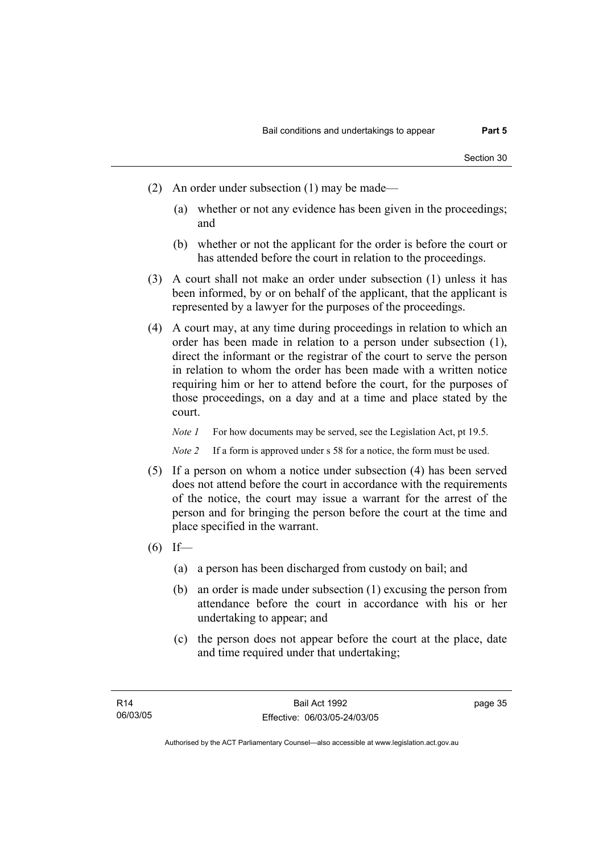- (2) An order under subsection (1) may be made—
	- (a) whether or not any evidence has been given in the proceedings; and
	- (b) whether or not the applicant for the order is before the court or has attended before the court in relation to the proceedings.
- (3) A court shall not make an order under subsection (1) unless it has been informed, by or on behalf of the applicant, that the applicant is represented by a lawyer for the purposes of the proceedings.
- (4) A court may, at any time during proceedings in relation to which an order has been made in relation to a person under subsection (1), direct the informant or the registrar of the court to serve the person in relation to whom the order has been made with a written notice requiring him or her to attend before the court, for the purposes of those proceedings, on a day and at a time and place stated by the court.

*Note 1* For how documents may be served, see the Legislation Act, pt 19.5.

*Note 2* If a form is approved under s 58 for a notice, the form must be used.

- (5) If a person on whom a notice under subsection (4) has been served does not attend before the court in accordance with the requirements of the notice, the court may issue a warrant for the arrest of the person and for bringing the person before the court at the time and place specified in the warrant.
- $(6)$  If—
	- (a) a person has been discharged from custody on bail; and
	- (b) an order is made under subsection (1) excusing the person from attendance before the court in accordance with his or her undertaking to appear; and
	- (c) the person does not appear before the court at the place, date and time required under that undertaking;

page 35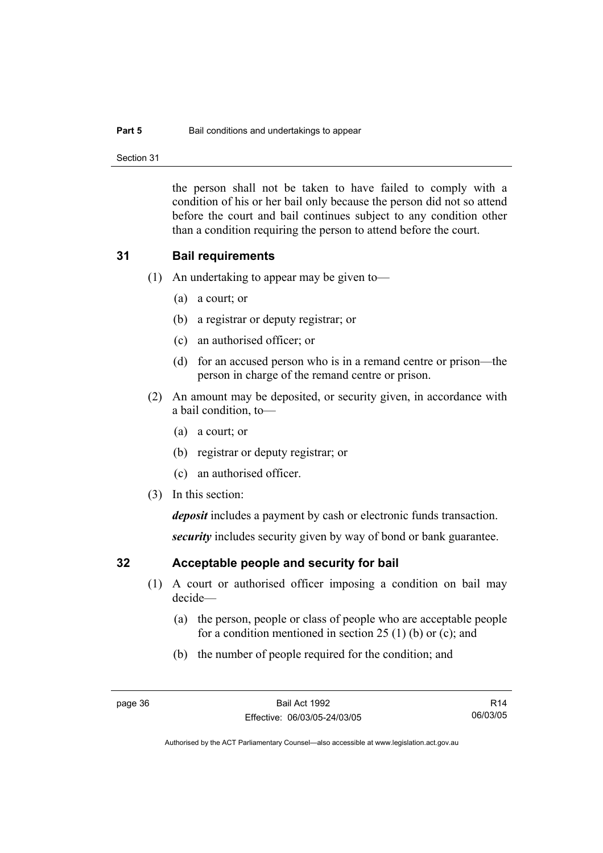### **Part 5 Bail conditions and undertakings to appear**

Section 31

the person shall not be taken to have failed to comply with a condition of his or her bail only because the person did not so attend before the court and bail continues subject to any condition other than a condition requiring the person to attend before the court.

## **31 Bail requirements**

- (1) An undertaking to appear may be given to—
	- (a) a court; or
	- (b) a registrar or deputy registrar; or
	- (c) an authorised officer; or
	- (d) for an accused person who is in a remand centre or prison—the person in charge of the remand centre or prison.
- (2) An amount may be deposited, or security given, in accordance with a bail condition, to—
	- (a) a court; or
	- (b) registrar or deputy registrar; or
	- (c) an authorised officer.
- (3) In this section:

*deposit* includes a payment by cash or electronic funds transaction.

*security* includes security given by way of bond or bank guarantee.

# **32 Acceptable people and security for bail**

- (1) A court or authorised officer imposing a condition on bail may decide—
	- (a) the person, people or class of people who are acceptable people for a condition mentioned in section 25 (1) (b) or (c); and
	- (b) the number of people required for the condition; and

R14 06/03/05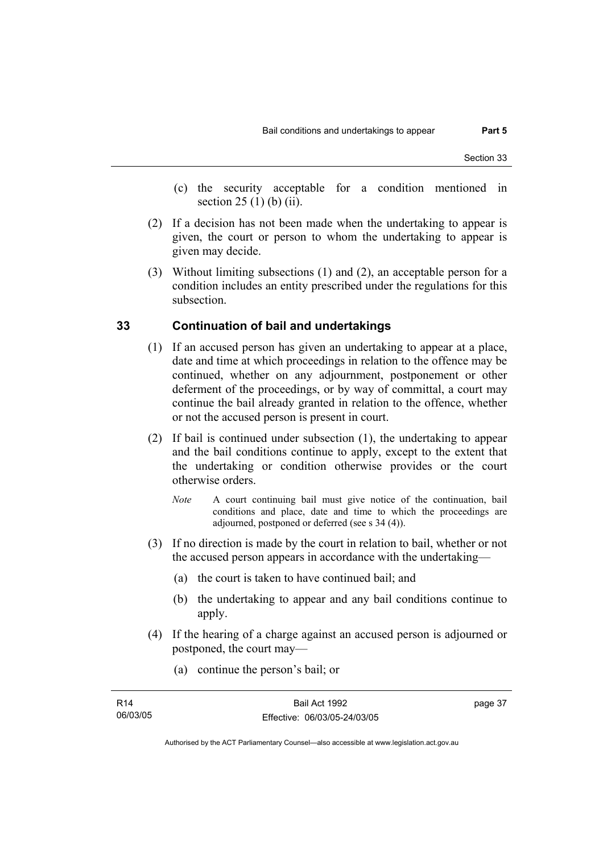- (c) the security acceptable for a condition mentioned in section 25 (1) (b) (ii).
- (2) If a decision has not been made when the undertaking to appear is given, the court or person to whom the undertaking to appear is given may decide.
- (3) Without limiting subsections (1) and (2), an acceptable person for a condition includes an entity prescribed under the regulations for this subsection.

# **33 Continuation of bail and undertakings**

- (1) If an accused person has given an undertaking to appear at a place, date and time at which proceedings in relation to the offence may be continued, whether on any adjournment, postponement or other deferment of the proceedings, or by way of committal, a court may continue the bail already granted in relation to the offence, whether or not the accused person is present in court.
- (2) If bail is continued under subsection (1), the undertaking to appear and the bail conditions continue to apply, except to the extent that the undertaking or condition otherwise provides or the court otherwise orders.
	- *Note* A court continuing bail must give notice of the continuation, bail conditions and place, date and time to which the proceedings are adjourned, postponed or deferred (see s 34 (4)).
- (3) If no direction is made by the court in relation to bail, whether or not the accused person appears in accordance with the undertaking—
	- (a) the court is taken to have continued bail; and
	- (b) the undertaking to appear and any bail conditions continue to apply.
- (4) If the hearing of a charge against an accused person is adjourned or postponed, the court may—
	- (a) continue the person's bail; or

| R14      | Bail Act 1992                | page 37 |
|----------|------------------------------|---------|
| 06/03/05 | Effective: 06/03/05-24/03/05 |         |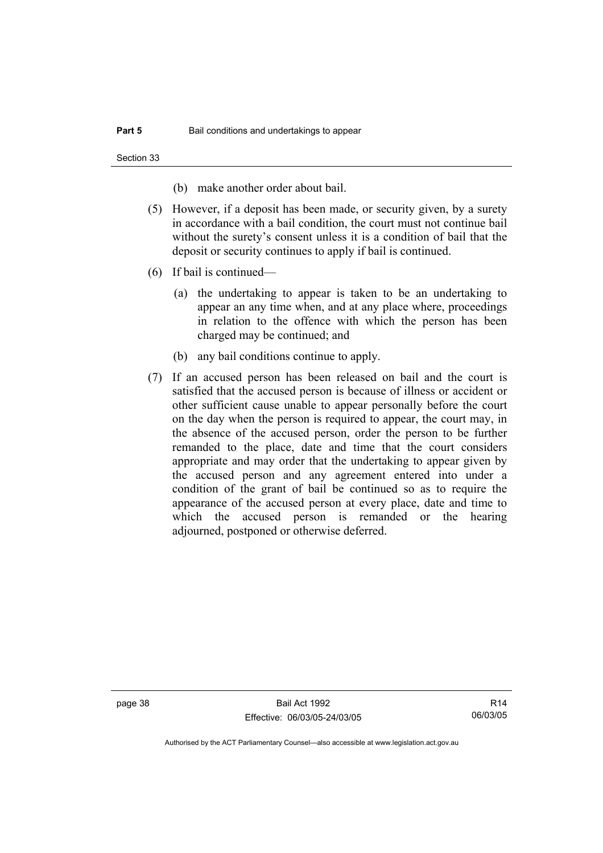Section 33

(b) make another order about bail.

- (5) However, if a deposit has been made, or security given, by a surety in accordance with a bail condition, the court must not continue bail without the surety's consent unless it is a condition of bail that the deposit or security continues to apply if bail is continued.
- (6) If bail is continued—
	- (a) the undertaking to appear is taken to be an undertaking to appear an any time when, and at any place where, proceedings in relation to the offence with which the person has been charged may be continued; and
	- (b) any bail conditions continue to apply.
- (7) If an accused person has been released on bail and the court is satisfied that the accused person is because of illness or accident or other sufficient cause unable to appear personally before the court on the day when the person is required to appear, the court may, in the absence of the accused person, order the person to be further remanded to the place, date and time that the court considers appropriate and may order that the undertaking to appear given by the accused person and any agreement entered into under a condition of the grant of bail be continued so as to require the appearance of the accused person at every place, date and time to which the accused person is remanded or the hearing adjourned, postponed or otherwise deferred.

page 38 Bail Act 1992 Effective: 06/03/05-24/03/05

R14 06/03/05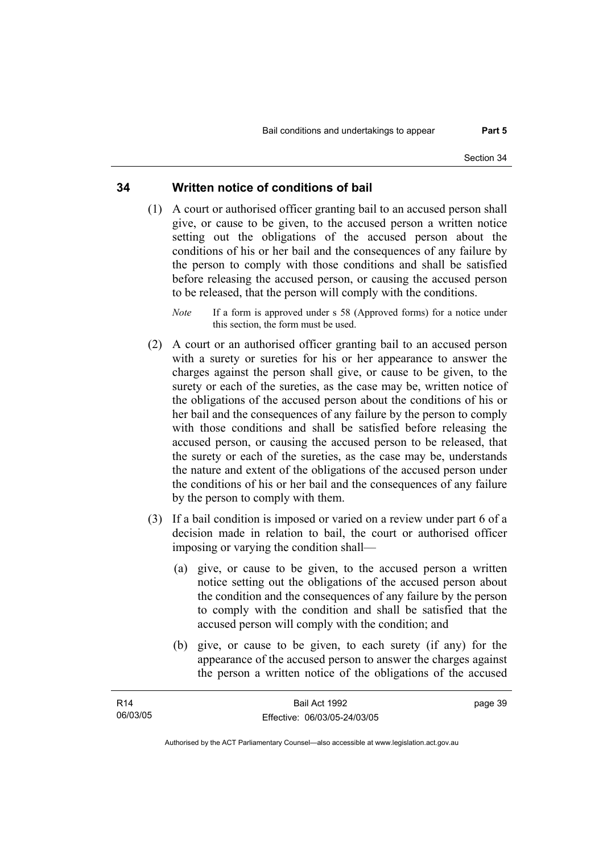# **34 Written notice of conditions of bail**

- (1) A court or authorised officer granting bail to an accused person shall give, or cause to be given, to the accused person a written notice setting out the obligations of the accused person about the conditions of his or her bail and the consequences of any failure by the person to comply with those conditions and shall be satisfied before releasing the accused person, or causing the accused person to be released, that the person will comply with the conditions.
	- *Note* If a form is approved under s 58 (Approved forms) for a notice under this section, the form must be used.
- (2) A court or an authorised officer granting bail to an accused person with a surety or sureties for his or her appearance to answer the charges against the person shall give, or cause to be given, to the surety or each of the sureties, as the case may be, written notice of the obligations of the accused person about the conditions of his or her bail and the consequences of any failure by the person to comply with those conditions and shall be satisfied before releasing the accused person, or causing the accused person to be released, that the surety or each of the sureties, as the case may be, understands the nature and extent of the obligations of the accused person under the conditions of his or her bail and the consequences of any failure by the person to comply with them.
- (3) If a bail condition is imposed or varied on a review under part 6 of a decision made in relation to bail, the court or authorised officer imposing or varying the condition shall—
	- (a) give, or cause to be given, to the accused person a written notice setting out the obligations of the accused person about the condition and the consequences of any failure by the person to comply with the condition and shall be satisfied that the accused person will comply with the condition; and
	- (b) give, or cause to be given, to each surety (if any) for the appearance of the accused person to answer the charges against the person a written notice of the obligations of the accused

| R <sub>14</sub> | Bail Act 1992                | page 39 |
|-----------------|------------------------------|---------|
| 06/03/05        | Effective: 06/03/05-24/03/05 |         |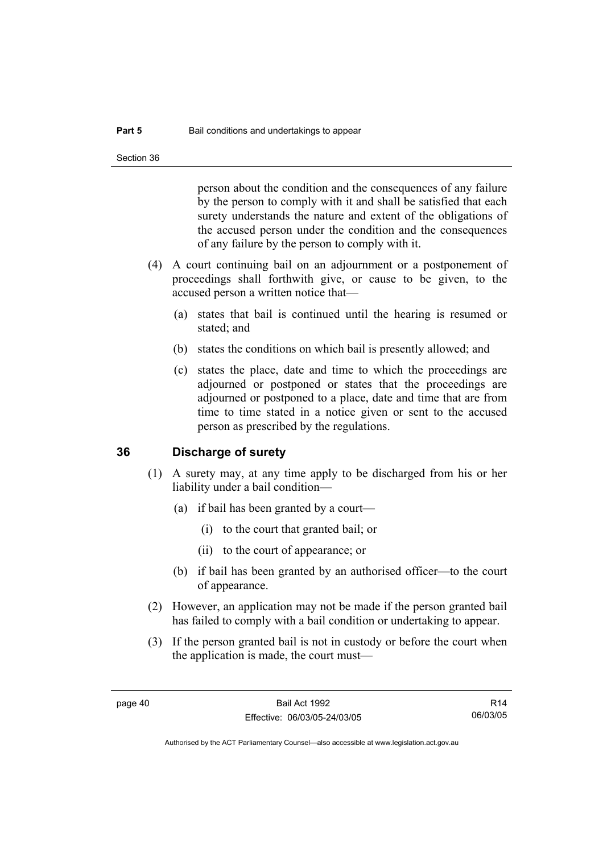person about the condition and the consequences of any failure by the person to comply with it and shall be satisfied that each surety understands the nature and extent of the obligations of the accused person under the condition and the consequences of any failure by the person to comply with it.

- (4) A court continuing bail on an adjournment or a postponement of proceedings shall forthwith give, or cause to be given, to the accused person a written notice that—
	- (a) states that bail is continued until the hearing is resumed or stated; and
	- (b) states the conditions on which bail is presently allowed; and
	- (c) states the place, date and time to which the proceedings are adjourned or postponed or states that the proceedings are adjourned or postponed to a place, date and time that are from time to time stated in a notice given or sent to the accused person as prescribed by the regulations.

### **36 Discharge of surety**

- (1) A surety may, at any time apply to be discharged from his or her liability under a bail condition—
	- (a) if bail has been granted by a court—
		- (i) to the court that granted bail; or
		- (ii) to the court of appearance; or
	- (b) if bail has been granted by an authorised officer—to the court of appearance.
- (2) However, an application may not be made if the person granted bail has failed to comply with a bail condition or undertaking to appear.
- (3) If the person granted bail is not in custody or before the court when the application is made, the court must—

R14 06/03/05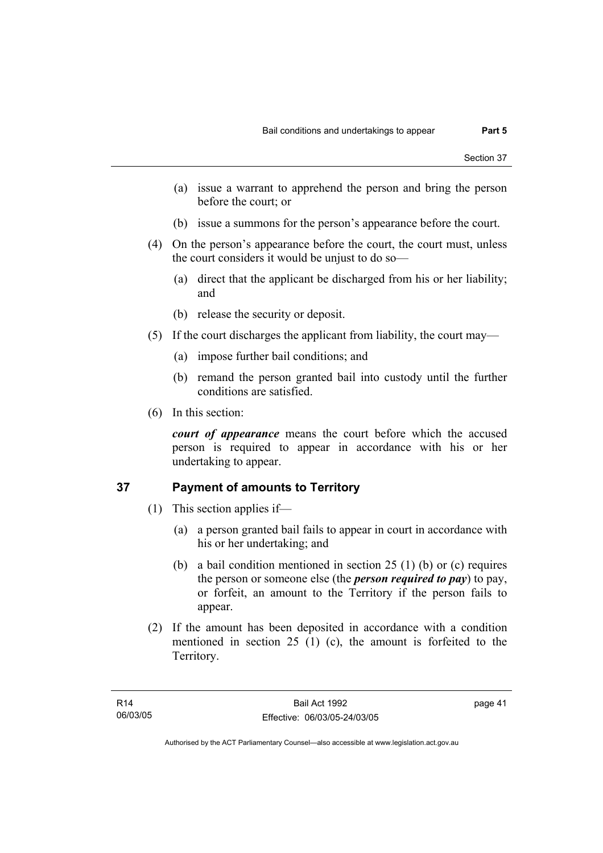- (a) issue a warrant to apprehend the person and bring the person before the court; or
- (b) issue a summons for the person's appearance before the court.
- (4) On the person's appearance before the court, the court must, unless the court considers it would be unjust to do so—
	- (a) direct that the applicant be discharged from his or her liability; and
	- (b) release the security or deposit.
- (5) If the court discharges the applicant from liability, the court may—
	- (a) impose further bail conditions; and
	- (b) remand the person granted bail into custody until the further conditions are satisfied.
- (6) In this section:

*court of appearance* means the court before which the accused person is required to appear in accordance with his or her undertaking to appear.

# **37 Payment of amounts to Territory**

- (1) This section applies if—
	- (a) a person granted bail fails to appear in court in accordance with his or her undertaking; and
	- (b) a bail condition mentioned in section 25 (1) (b) or (c) requires the person or someone else (the *person required to pay*) to pay, or forfeit, an amount to the Territory if the person fails to appear.
- (2) If the amount has been deposited in accordance with a condition mentioned in section 25 (1) (c), the amount is forfeited to the Territory.

page 41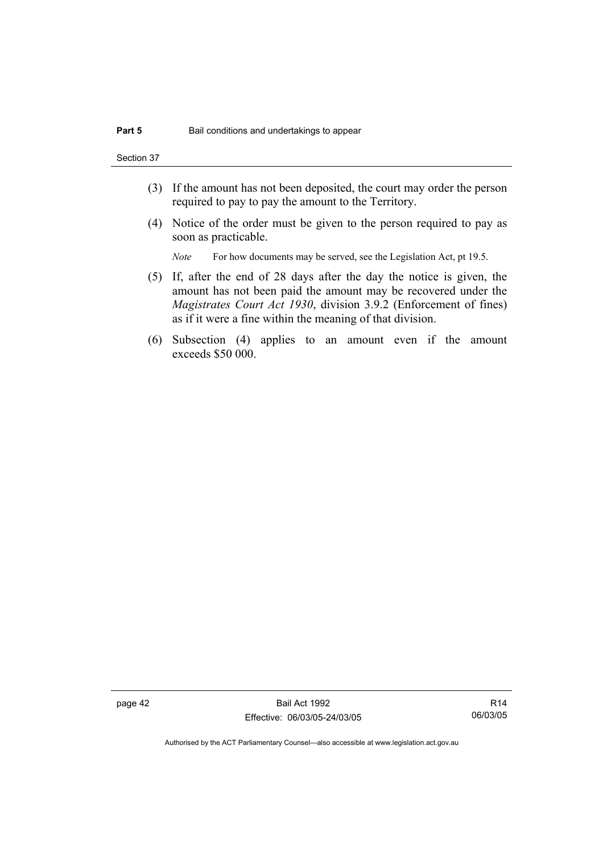Section 37

- (3) If the amount has not been deposited, the court may order the person required to pay to pay the amount to the Territory.
- (4) Notice of the order must be given to the person required to pay as soon as practicable.

*Note* For how documents may be served, see the Legislation Act, pt 19.5.

- (5) If, after the end of 28 days after the day the notice is given, the amount has not been paid the amount may be recovered under the *Magistrates Court Act 1930*, division 3.9.2 (Enforcement of fines) as if it were a fine within the meaning of that division.
- (6) Subsection (4) applies to an amount even if the amount exceeds \$50 000.

page 42 Bail Act 1992 Effective: 06/03/05-24/03/05

R14 06/03/05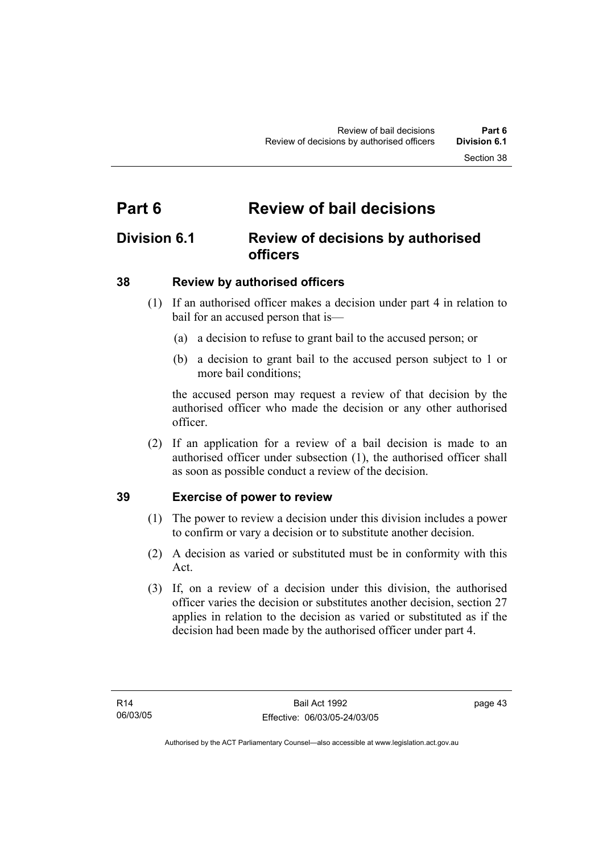# **Part 6 Review of bail decisions**

# **Division 6.1 Review of decisions by authorised officers**

# **38 Review by authorised officers**

- (1) If an authorised officer makes a decision under part 4 in relation to bail for an accused person that is—
	- (a) a decision to refuse to grant bail to the accused person; or
	- (b) a decision to grant bail to the accused person subject to 1 or more bail conditions;

the accused person may request a review of that decision by the authorised officer who made the decision or any other authorised officer.

 (2) If an application for a review of a bail decision is made to an authorised officer under subsection (1), the authorised officer shall as soon as possible conduct a review of the decision.

# **39 Exercise of power to review**

- (1) The power to review a decision under this division includes a power to confirm or vary a decision or to substitute another decision.
- (2) A decision as varied or substituted must be in conformity with this Act.
- (3) If, on a review of a decision under this division, the authorised officer varies the decision or substitutes another decision, section 27 applies in relation to the decision as varied or substituted as if the decision had been made by the authorised officer under part 4.

page 43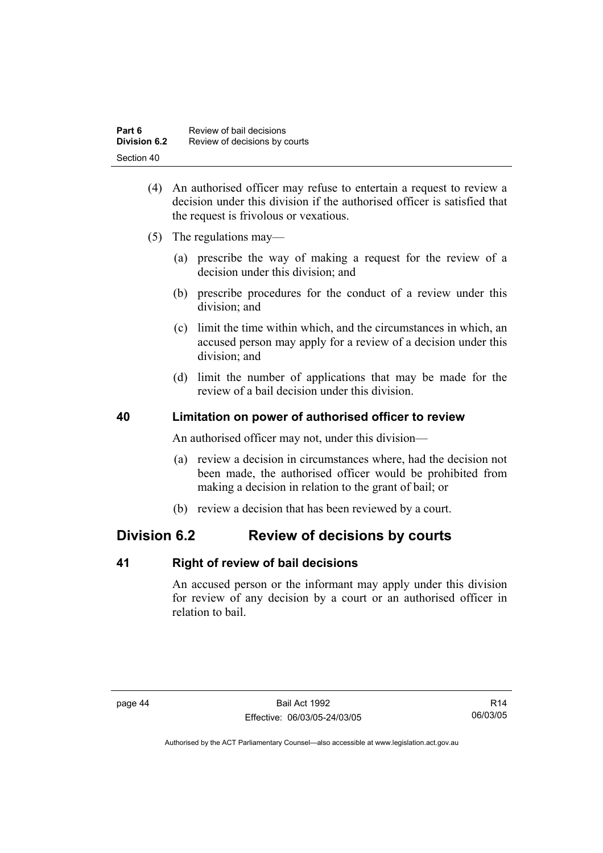| Part 6              | Review of bail decisions      |
|---------------------|-------------------------------|
| <b>Division 6.2</b> | Review of decisions by courts |
| Section 40          |                               |

- (4) An authorised officer may refuse to entertain a request to review a decision under this division if the authorised officer is satisfied that the request is frivolous or vexatious.
- (5) The regulations may—
	- (a) prescribe the way of making a request for the review of a decision under this division; and
	- (b) prescribe procedures for the conduct of a review under this division; and
	- (c) limit the time within which, and the circumstances in which, an accused person may apply for a review of a decision under this division; and
	- (d) limit the number of applications that may be made for the review of a bail decision under this division.

# **40 Limitation on power of authorised officer to review**

An authorised officer may not, under this division—

- (a) review a decision in circumstances where, had the decision not been made, the authorised officer would be prohibited from making a decision in relation to the grant of bail; or
- (b) review a decision that has been reviewed by a court.

# **Division 6.2 Review of decisions by courts**

# **41 Right of review of bail decisions**

An accused person or the informant may apply under this division for review of any decision by a court or an authorised officer in relation to bail.

R14 06/03/05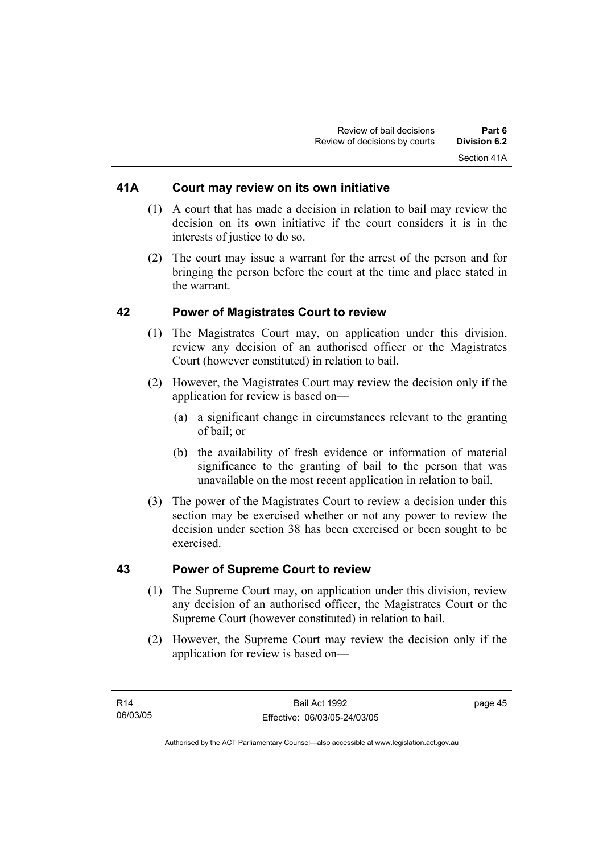# **41A Court may review on its own initiative**

- (1) A court that has made a decision in relation to bail may review the decision on its own initiative if the court considers it is in the interests of justice to do so.
- (2) The court may issue a warrant for the arrest of the person and for bringing the person before the court at the time and place stated in the warrant.

# **42 Power of Magistrates Court to review**

- (1) The Magistrates Court may, on application under this division, review any decision of an authorised officer or the Magistrates Court (however constituted) in relation to bail.
- (2) However, the Magistrates Court may review the decision only if the application for review is based on—
	- (a) a significant change in circumstances relevant to the granting of bail; or
	- (b) the availability of fresh evidence or information of material significance to the granting of bail to the person that was unavailable on the most recent application in relation to bail.
- (3) The power of the Magistrates Court to review a decision under this section may be exercised whether or not any power to review the decision under section 38 has been exercised or been sought to be exercised.

# **43 Power of Supreme Court to review**

- (1) The Supreme Court may, on application under this division, review any decision of an authorised officer, the Magistrates Court or the Supreme Court (however constituted) in relation to bail.
- (2) However, the Supreme Court may review the decision only if the application for review is based on—

page 45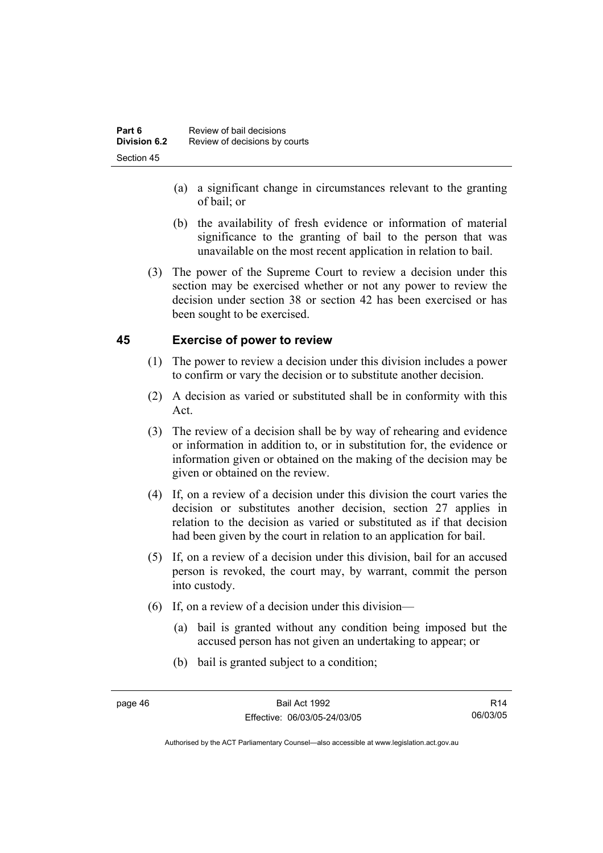- (a) a significant change in circumstances relevant to the granting of bail; or
- (b) the availability of fresh evidence or information of material significance to the granting of bail to the person that was unavailable on the most recent application in relation to bail.
- (3) The power of the Supreme Court to review a decision under this section may be exercised whether or not any power to review the decision under section 38 or section 42 has been exercised or has been sought to be exercised.

# **45 Exercise of power to review**

- (1) The power to review a decision under this division includes a power to confirm or vary the decision or to substitute another decision.
- (2) A decision as varied or substituted shall be in conformity with this Act.
- (3) The review of a decision shall be by way of rehearing and evidence or information in addition to, or in substitution for, the evidence or information given or obtained on the making of the decision may be given or obtained on the review.
- (4) If, on a review of a decision under this division the court varies the decision or substitutes another decision, section 27 applies in relation to the decision as varied or substituted as if that decision had been given by the court in relation to an application for bail.
- (5) If, on a review of a decision under this division, bail for an accused person is revoked, the court may, by warrant, commit the person into custody.
- (6) If, on a review of a decision under this division—
	- (a) bail is granted without any condition being imposed but the accused person has not given an undertaking to appear; or
	- (b) bail is granted subject to a condition;

R14 06/03/05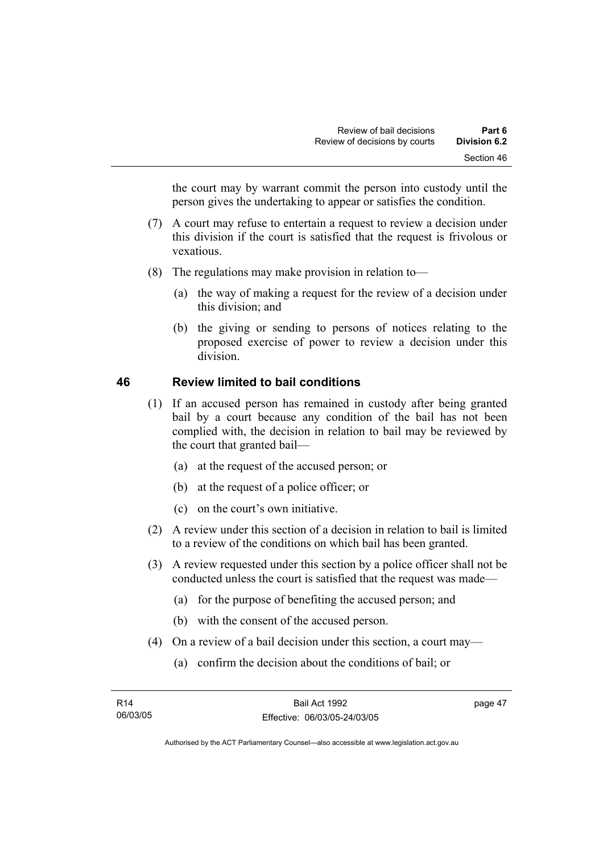the court may by warrant commit the person into custody until the person gives the undertaking to appear or satisfies the condition.

- (7) A court may refuse to entertain a request to review a decision under this division if the court is satisfied that the request is frivolous or vexatious.
- (8) The regulations may make provision in relation to—
	- (a) the way of making a request for the review of a decision under this division; and
	- (b) the giving or sending to persons of notices relating to the proposed exercise of power to review a decision under this division.

# **46 Review limited to bail conditions**

- (1) If an accused person has remained in custody after being granted bail by a court because any condition of the bail has not been complied with, the decision in relation to bail may be reviewed by the court that granted bail—
	- (a) at the request of the accused person; or
	- (b) at the request of a police officer; or
	- (c) on the court's own initiative.
- (2) A review under this section of a decision in relation to bail is limited to a review of the conditions on which bail has been granted.
- (3) A review requested under this section by a police officer shall not be conducted unless the court is satisfied that the request was made—
	- (a) for the purpose of benefiting the accused person; and
	- (b) with the consent of the accused person.
- (4) On a review of a bail decision under this section, a court may—
	- (a) confirm the decision about the conditions of bail; or

page 47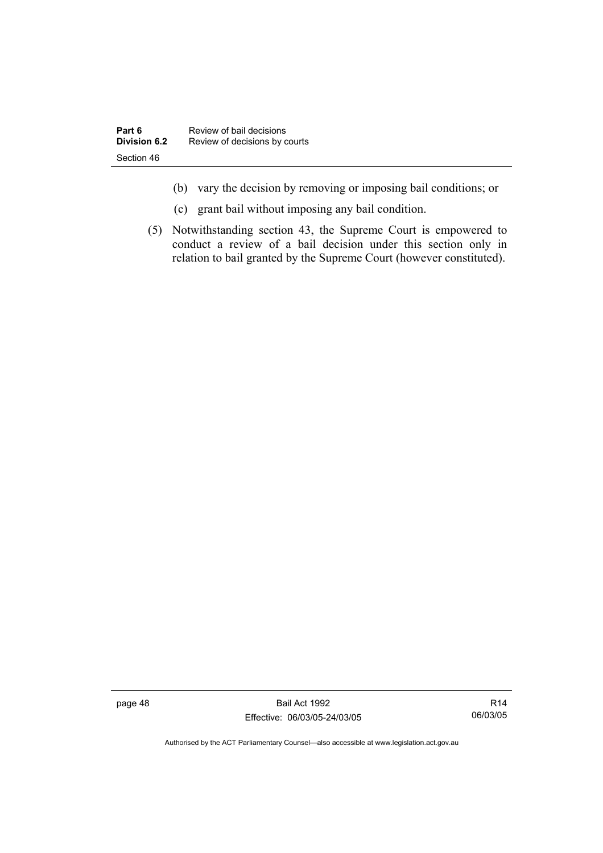- (b) vary the decision by removing or imposing bail conditions; or
- (c) grant bail without imposing any bail condition.
- (5) Notwithstanding section 43, the Supreme Court is empowered to conduct a review of a bail decision under this section only in relation to bail granted by the Supreme Court (however constituted).

page 48 Bail Act 1992 Effective: 06/03/05-24/03/05

R14 06/03/05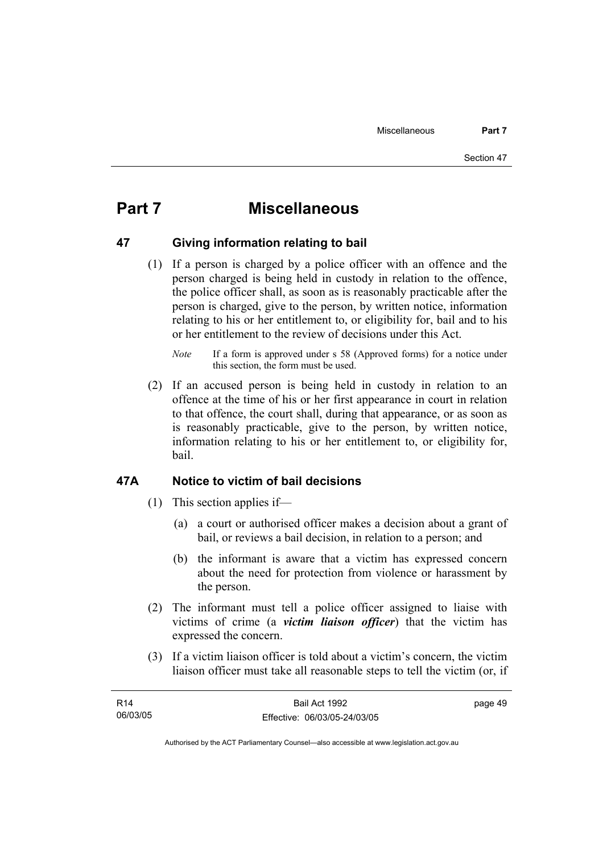# **Part 7 Miscellaneous**

## **47 Giving information relating to bail**

 (1) If a person is charged by a police officer with an offence and the person charged is being held in custody in relation to the offence, the police officer shall, as soon as is reasonably practicable after the person is charged, give to the person, by written notice, information relating to his or her entitlement to, or eligibility for, bail and to his or her entitlement to the review of decisions under this Act.

 (2) If an accused person is being held in custody in relation to an offence at the time of his or her first appearance in court in relation to that offence, the court shall, during that appearance, or as soon as is reasonably practicable, give to the person, by written notice, information relating to his or her entitlement to, or eligibility for, bail.

# **47A Notice to victim of bail decisions**

- (1) This section applies if—
	- (a) a court or authorised officer makes a decision about a grant of bail, or reviews a bail decision, in relation to a person; and
	- (b) the informant is aware that a victim has expressed concern about the need for protection from violence or harassment by the person.
- (2) The informant must tell a police officer assigned to liaise with victims of crime (a *victim liaison officer*) that the victim has expressed the concern.
- (3) If a victim liaison officer is told about a victim's concern, the victim liaison officer must take all reasonable steps to tell the victim (or, if

| R14      | Bail Act 1992                | page 49 |
|----------|------------------------------|---------|
| 06/03/05 | Effective: 06/03/05-24/03/05 |         |

*Note* If a form is approved under s 58 (Approved forms) for a notice under this section, the form must be used.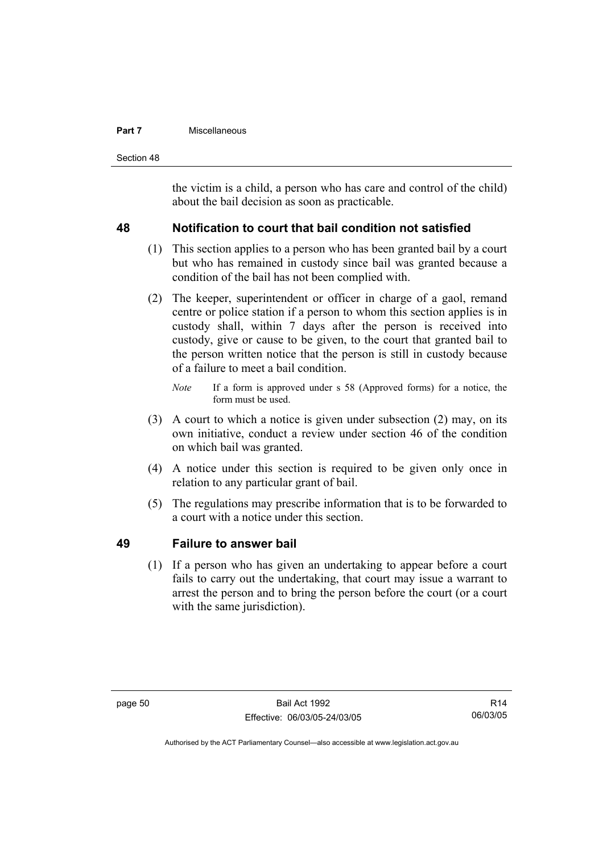### **Part 7 Miscellaneous**

Section 48

the victim is a child, a person who has care and control of the child) about the bail decision as soon as practicable.

# **48 Notification to court that bail condition not satisfied**

- (1) This section applies to a person who has been granted bail by a court but who has remained in custody since bail was granted because a condition of the bail has not been complied with.
- (2) The keeper, superintendent or officer in charge of a gaol, remand centre or police station if a person to whom this section applies is in custody shall, within 7 days after the person is received into custody, give or cause to be given, to the court that granted bail to the person written notice that the person is still in custody because of a failure to meet a bail condition.
	- *Note* If a form is approved under s 58 (Approved forms) for a notice, the form must be used.
- (3) A court to which a notice is given under subsection (2) may, on its own initiative, conduct a review under section 46 of the condition on which bail was granted.
- (4) A notice under this section is required to be given only once in relation to any particular grant of bail.
- (5) The regulations may prescribe information that is to be forwarded to a court with a notice under this section.

# **49 Failure to answer bail**

 (1) If a person who has given an undertaking to appear before a court fails to carry out the undertaking, that court may issue a warrant to arrest the person and to bring the person before the court (or a court with the same jurisdiction).

R14 06/03/05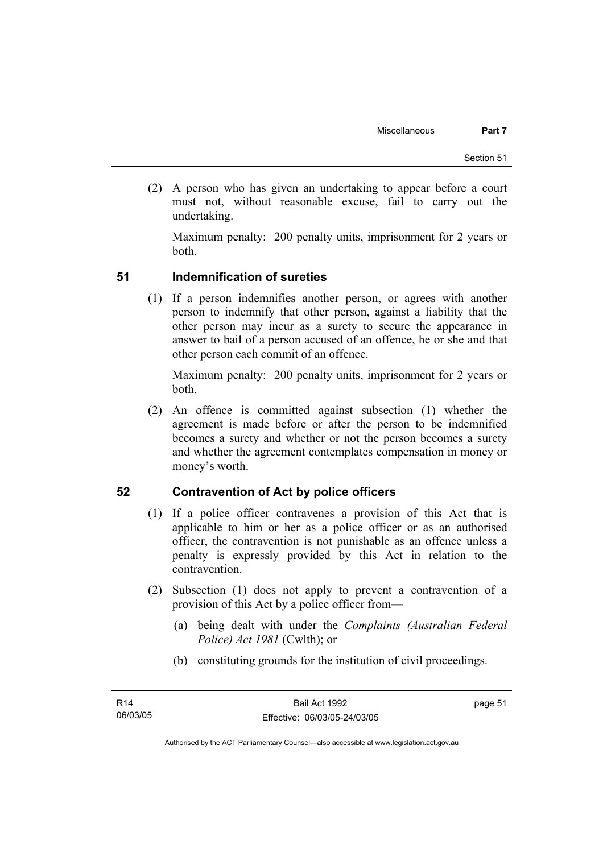(2) A person who has given an undertaking to appear before a court must not, without reasonable excuse, fail to carry out the undertaking.

Maximum penalty: 200 penalty units, imprisonment for 2 years or both.

# **51 Indemnification of sureties**

 (1) If a person indemnifies another person, or agrees with another person to indemnify that other person, against a liability that the other person may incur as a surety to secure the appearance in answer to bail of a person accused of an offence, he or she and that other person each commit of an offence.

Maximum penalty: 200 penalty units, imprisonment for 2 years or both.

 (2) An offence is committed against subsection (1) whether the agreement is made before or after the person to be indemnified becomes a surety and whether or not the person becomes a surety and whether the agreement contemplates compensation in money or money's worth.

# **52 Contravention of Act by police officers**

- (1) If a police officer contravenes a provision of this Act that is applicable to him or her as a police officer or as an authorised officer, the contravention is not punishable as an offence unless a penalty is expressly provided by this Act in relation to the contravention.
- (2) Subsection (1) does not apply to prevent a contravention of a provision of this Act by a police officer from—
	- (a) being dealt with under the *Complaints (Australian Federal Police) Act 1981* (Cwlth); or
	- (b) constituting grounds for the institution of civil proceedings.

page 51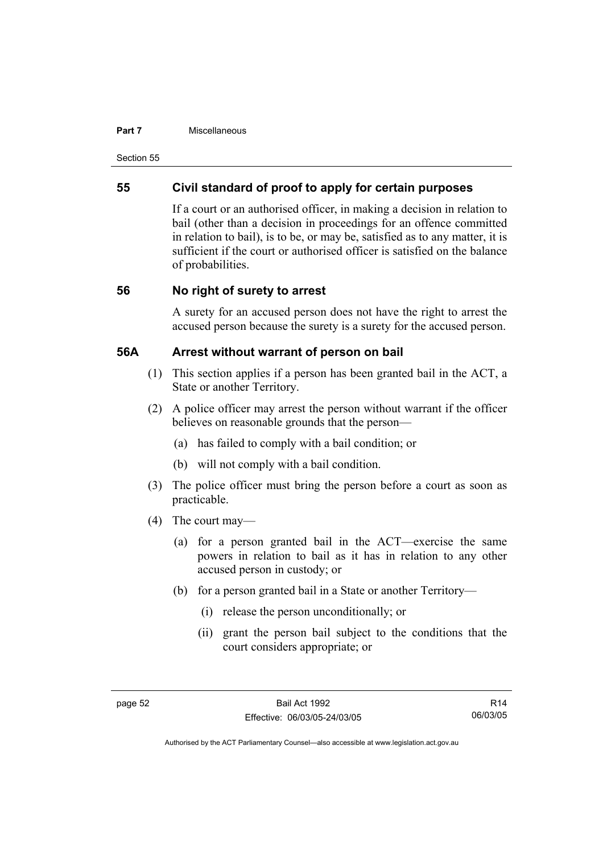#### **Part 7 Miscellaneous**

Section 55

# **55 Civil standard of proof to apply for certain purposes**

If a court or an authorised officer, in making a decision in relation to bail (other than a decision in proceedings for an offence committed in relation to bail), is to be, or may be, satisfied as to any matter, it is sufficient if the court or authorised officer is satisfied on the balance of probabilities.

# **56 No right of surety to arrest**

A surety for an accused person does not have the right to arrest the accused person because the surety is a surety for the accused person.

## **56A Arrest without warrant of person on bail**

- (1) This section applies if a person has been granted bail in the ACT, a State or another Territory.
- (2) A police officer may arrest the person without warrant if the officer believes on reasonable grounds that the person—
	- (a) has failed to comply with a bail condition; or
	- (b) will not comply with a bail condition.
- (3) The police officer must bring the person before a court as soon as practicable.
- (4) The court may—
	- (a) for a person granted bail in the ACT—exercise the same powers in relation to bail as it has in relation to any other accused person in custody; or
	- (b) for a person granted bail in a State or another Territory—
		- (i) release the person unconditionally; or
		- (ii) grant the person bail subject to the conditions that the court considers appropriate; or

R14 06/03/05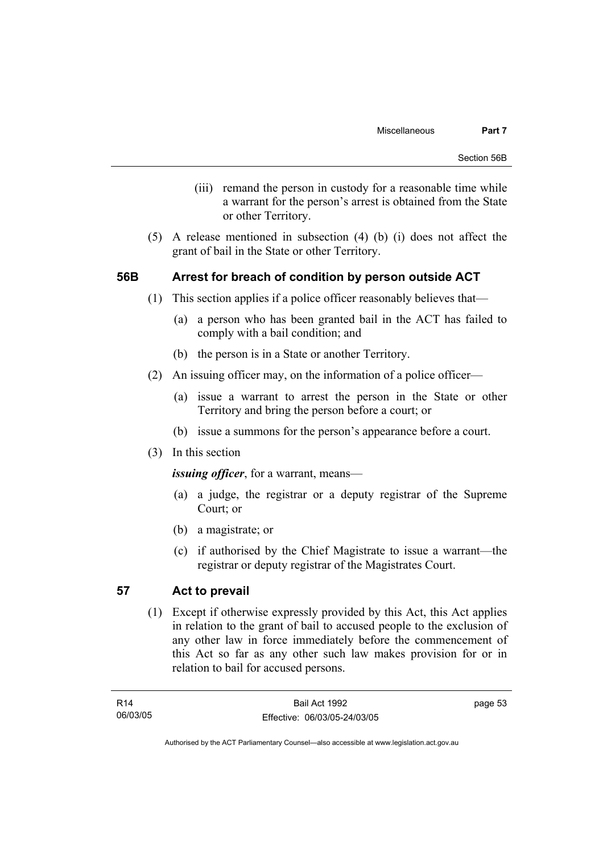- (iii) remand the person in custody for a reasonable time while a warrant for the person's arrest is obtained from the State or other Territory.
- (5) A release mentioned in subsection (4) (b) (i) does not affect the grant of bail in the State or other Territory.

# **56B Arrest for breach of condition by person outside ACT**

- (1) This section applies if a police officer reasonably believes that—
	- (a) a person who has been granted bail in the ACT has failed to comply with a bail condition; and
	- (b) the person is in a State or another Territory.
- (2) An issuing officer may, on the information of a police officer—
	- (a) issue a warrant to arrest the person in the State or other Territory and bring the person before a court; or
	- (b) issue a summons for the person's appearance before a court.
- (3) In this section

*issuing officer*, for a warrant, means—

- (a) a judge, the registrar or a deputy registrar of the Supreme Court; or
- (b) a magistrate; or
- (c) if authorised by the Chief Magistrate to issue a warrant—the registrar or deputy registrar of the Magistrates Court.

# **57 Act to prevail**

 (1) Except if otherwise expressly provided by this Act, this Act applies in relation to the grant of bail to accused people to the exclusion of any other law in force immediately before the commencement of this Act so far as any other such law makes provision for or in relation to bail for accused persons.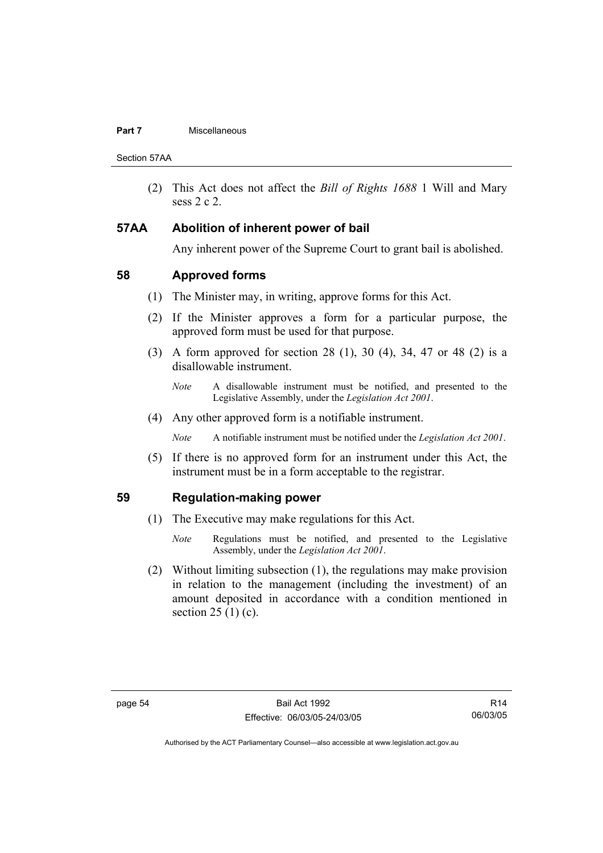### **Part 7 Miscellaneous**

Section 57AA

 (2) This Act does not affect the *Bill of Rights 1688* 1 Will and Mary sess 2 c 2.

## **57AA Abolition of inherent power of bail**

Any inherent power of the Supreme Court to grant bail is abolished.

# **58 Approved forms**

- (1) The Minister may, in writing, approve forms for this Act.
- (2) If the Minister approves a form for a particular purpose, the approved form must be used for that purpose.
- (3) A form approved for section 28 (1), 30 (4), 34, 47 or 48 (2) is a disallowable instrument.
	- *Note* A disallowable instrument must be notified, and presented to the Legislative Assembly, under the *Legislation Act 2001*.
- (4) Any other approved form is a notifiable instrument.

*Note* A notifiable instrument must be notified under the *Legislation Act 2001*.

 (5) If there is no approved form for an instrument under this Act, the instrument must be in a form acceptable to the registrar.

# **59 Regulation-making power**

- (1) The Executive may make regulations for this Act.
	- *Note* Regulations must be notified, and presented to the Legislative Assembly, under the *Legislation Act 2001*.
- (2) Without limiting subsection (1), the regulations may make provision in relation to the management (including the investment) of an amount deposited in accordance with a condition mentioned in section  $25(1)(c)$ .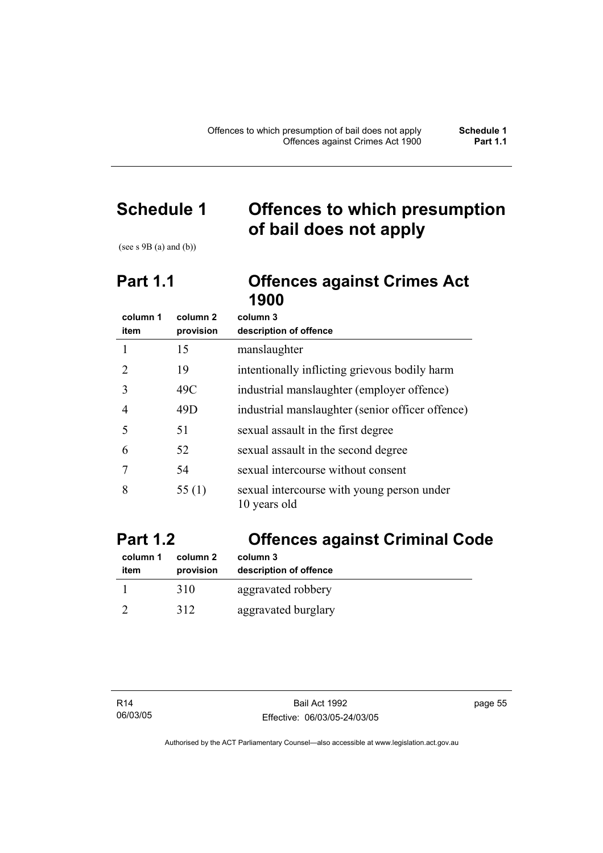# **Schedule 1 Offences to which presumption of bail does not apply**

(see s  $9B$  (a) and (b))

# **Part 1.1 Offences against Crimes Act 1900**

| column 1       | column 2  | column 3                                                   |
|----------------|-----------|------------------------------------------------------------|
| item           | provision | description of offence                                     |
|                | 15        | manslaughter                                               |
| 2              | 19        | intentionally inflicting grievous bodily harm              |
| 3              | 49C       | industrial manslaughter (employer offence)                 |
| $\overline{4}$ | 49D       | industrial manslaughter (senior officer offence)           |
| 5              | 51        | sexual assault in the first degree                         |
| 6              | 52        | sexual assault in the second degree                        |
|                | 54        | sexual intercourse without consent                         |
| 8              | 55 $(1)$  | sexual intercourse with young person under<br>10 years old |

# **Part 1.2 Offences against Criminal Code**

| column 1 | column 2  | column 3               |
|----------|-----------|------------------------|
| item     | provision | description of offence |
|          | 310       | aggravated robbery     |
|          | 312       | aggravated burglary    |

page 55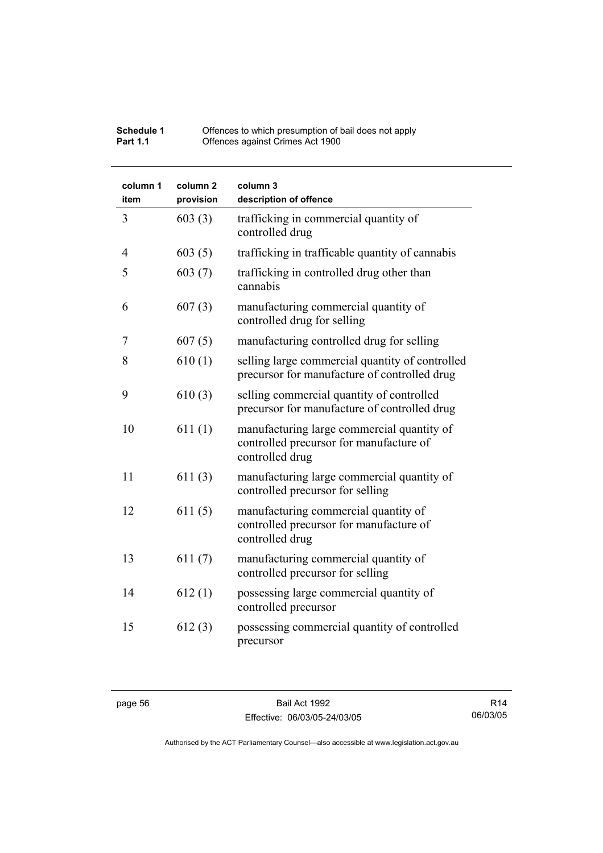| Schedule 1      | Offences to which presumption of bail does not apply |
|-----------------|------------------------------------------------------|
| <b>Part 1.1</b> | Offences against Crimes Act 1900                     |

| column 1<br>item | column <sub>2</sub><br>provision | column 3<br>description of offence                                                                       |
|------------------|----------------------------------|----------------------------------------------------------------------------------------------------------|
| 3                | 603(3)                           | trafficking in commercial quantity of<br>controlled drug                                                 |
| 4                | 603(5)                           | trafficking in trafficable quantity of cannabis                                                          |
| 5                | 603(7)                           | trafficking in controlled drug other than<br>cannabis                                                    |
| 6                | 607(3)                           | manufacturing commercial quantity of<br>controlled drug for selling                                      |
| 7                | 607(5)                           | manufacturing controlled drug for selling                                                                |
| 8                | 610(1)                           | selling large commercial quantity of controlled<br>precursor for manufacture of controlled drug          |
| 9                | 610(3)                           | selling commercial quantity of controlled<br>precursor for manufacture of controlled drug                |
| 10               | 611(1)                           | manufacturing large commercial quantity of<br>controlled precursor for manufacture of<br>controlled drug |
| 11               | 611(3)                           | manufacturing large commercial quantity of<br>controlled precursor for selling                           |
| 12               | 611(5)                           | manufacturing commercial quantity of<br>controlled precursor for manufacture of<br>controlled drug       |
| 13               | 611(7)                           | manufacturing commercial quantity of<br>controlled precursor for selling                                 |
| 14               | 612(1)                           | possessing large commercial quantity of<br>controlled precursor                                          |
| 15               | 612(3)                           | possessing commercial quantity of controlled<br>precursor                                                |

R14 06/03/05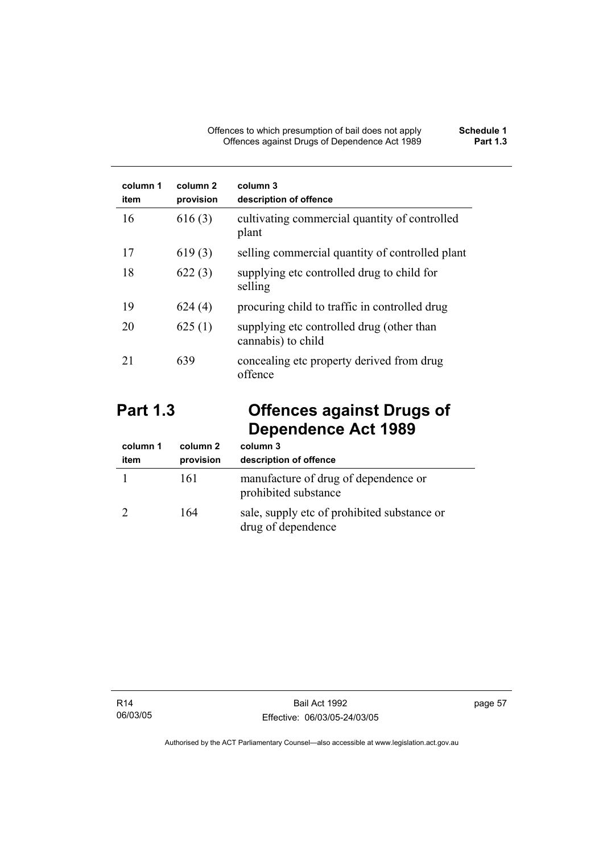| column 1<br>item | column 2<br>provision | column 3<br>description of offence                              |
|------------------|-----------------------|-----------------------------------------------------------------|
| 16               | 616(3)                | cultivating commercial quantity of controlled<br>plant          |
| 17               | 619(3)                | selling commercial quantity of controlled plant                 |
| 18               | 622(3)                | supplying etc controlled drug to child for<br>selling           |
| 19               | 624(4)                | procuring child to traffic in controlled drug                   |
| 20               | 625(1)                | supplying etc controlled drug (other than<br>cannabis) to child |
| 21               | 639                   | concealing etc property derived from drug<br>offence            |

# **Part 1.3 Offences against Drugs of Dependence Act 1989**

| column 1<br>item | column 2<br>provision | column 3<br>description of offence                                |
|------------------|-----------------------|-------------------------------------------------------------------|
|                  | 161                   | manufacture of drug of dependence or<br>prohibited substance      |
|                  | 164                   | sale, supply etc of prohibited substance or<br>drug of dependence |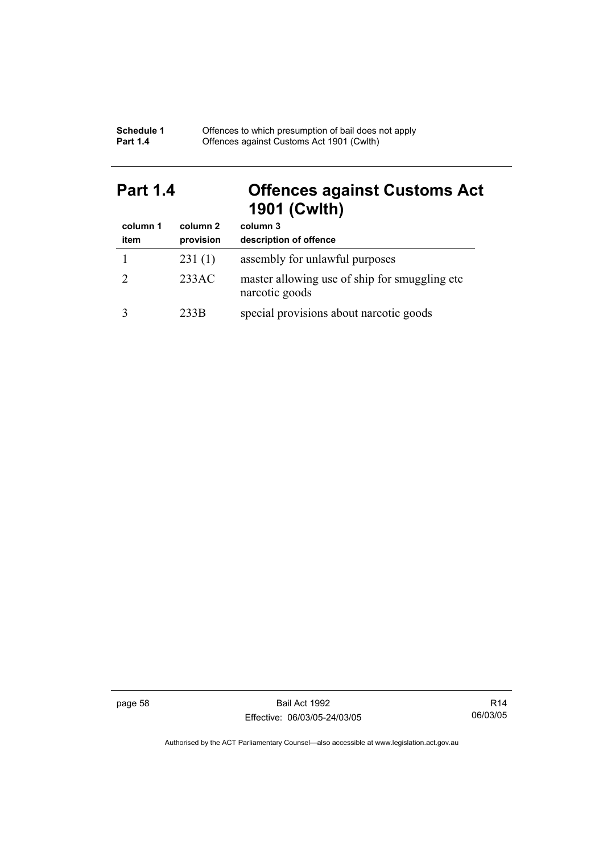| Schedule 1      | Offences to which presumption of bail does not apply |
|-----------------|------------------------------------------------------|
| <b>Part 1.4</b> | Offences against Customs Act 1901 (Cwith)            |

# **Part 1.4 Offences against Customs Act 1901 (Cwlth)**

| column 1 | column 2  | column 3                                                         |
|----------|-----------|------------------------------------------------------------------|
| item     | provision | description of offence                                           |
|          | 231(1)    | assembly for unlawful purposes                                   |
|          | 233AC     | master allowing use of ship for smuggling etc.<br>narcotic goods |
|          | 233B      | special provisions about narcotic goods                          |

page 58 Bail Act 1992 Effective: 06/03/05-24/03/05

R14 06/03/05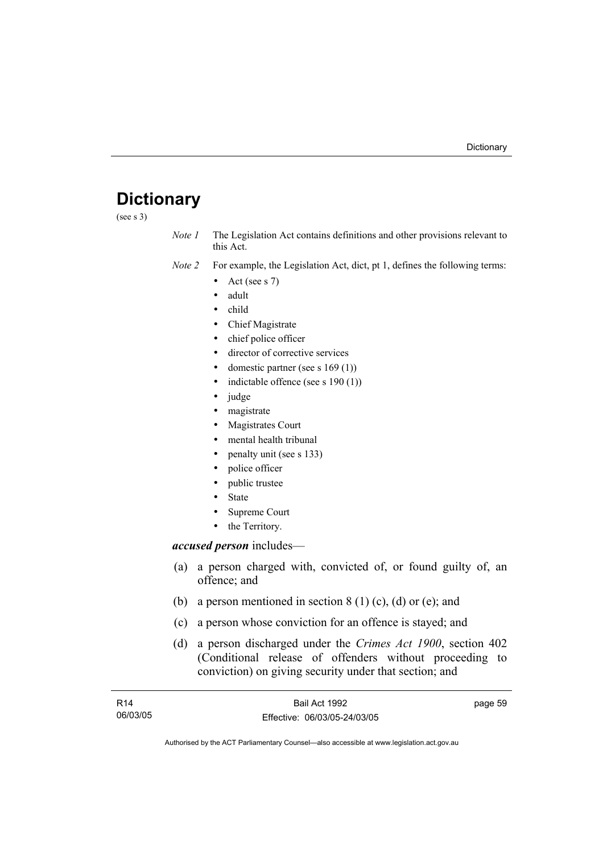# **Dictionary**

(see s 3)

*Note 1* The Legislation Act contains definitions and other provisions relevant to this Act.

*Note 2* For example, the Legislation Act, dict, pt 1, defines the following terms:

- Act (see s  $7$ )
- adult
- child
- Chief Magistrate
- chief police officer
- director of corrective services
- domestic partner (see s  $169(1)$ )
- indictable offence (see s  $190(1)$ )
- judge
- magistrate
- Magistrates Court
- mental health tribunal
- penalty unit (see s 133)
- police officer
- public trustee
- **State**
- Supreme Court
- the Territory.

### *accused person* includes—

- (a) a person charged with, convicted of, or found guilty of, an offence; and
- (b) a person mentioned in section  $8(1)(c)$ , (d) or (e); and
- (c) a person whose conviction for an offence is stayed; and
- (d) a person discharged under the *Crimes Act 1900*, section 402 (Conditional release of offenders without proceeding to conviction) on giving security under that section; and

| R14      | Bail Act 1992                | page 59 |
|----------|------------------------------|---------|
| 06/03/05 | Effective: 06/03/05-24/03/05 |         |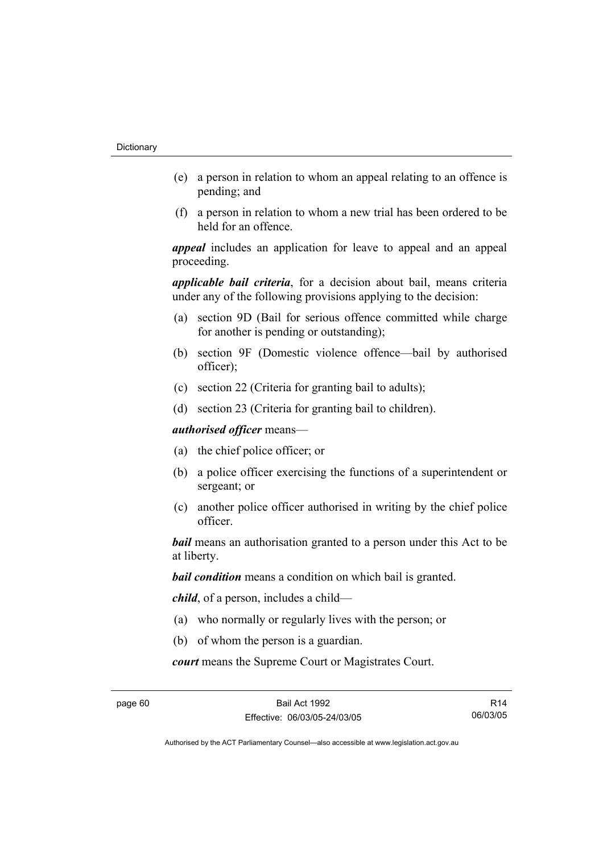- (e) a person in relation to whom an appeal relating to an offence is pending; and
- (f) a person in relation to whom a new trial has been ordered to be held for an offence.

*appeal* includes an application for leave to appeal and an appeal proceeding.

*applicable bail criteria*, for a decision about bail, means criteria under any of the following provisions applying to the decision:

- (a) section 9D (Bail for serious offence committed while charge for another is pending or outstanding);
- (b) section 9F (Domestic violence offence—bail by authorised officer);
- (c) section 22 (Criteria for granting bail to adults);
- (d) section 23 (Criteria for granting bail to children).

*authorised officer* means—

- (a) the chief police officer; or
- (b) a police officer exercising the functions of a superintendent or sergeant; or
- (c) another police officer authorised in writing by the chief police officer.

*bail* means an authorisation granted to a person under this Act to be at liberty.

*bail condition* means a condition on which bail is granted.

*child*, of a person, includes a child—

- (a) who normally or regularly lives with the person; or
- (b) of whom the person is a guardian.

*court* means the Supreme Court or Magistrates Court.

page 60 Bail Act 1992 Effective: 06/03/05-24/03/05

R14 06/03/05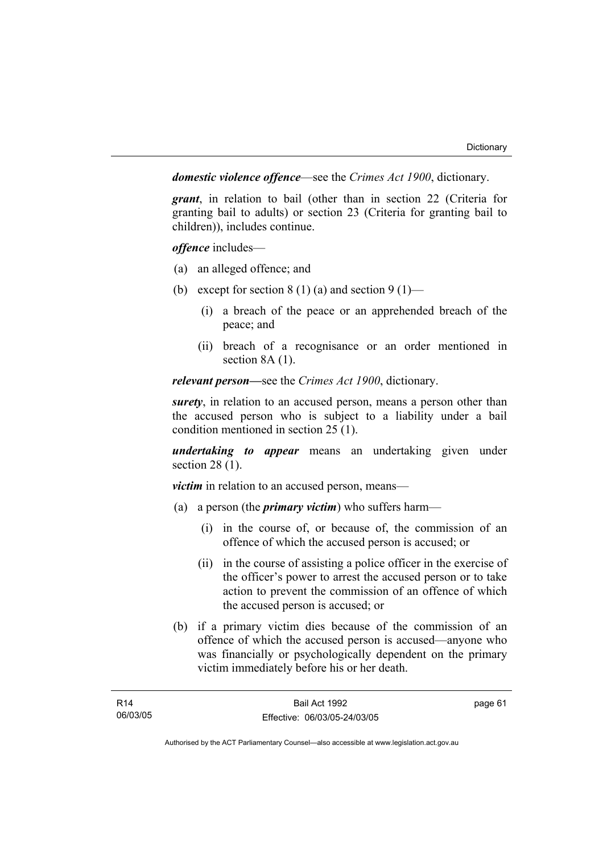*domestic violence offence*—see the *Crimes Act 1900*, dictionary.

*grant*, in relation to bail (other than in section 22 (Criteria for granting bail to adults) or section 23 (Criteria for granting bail to children)), includes continue.

*offence* includes—

- (a) an alleged offence; and
- (b) except for section  $8(1)(a)$  and section  $9(1)$ 
	- (i) a breach of the peace or an apprehended breach of the peace; and
	- (ii) breach of a recognisance or an order mentioned in section 8A (1).

*relevant person—*see the *Crimes Act 1900*, dictionary.

*surety*, in relation to an accused person, means a person other than the accused person who is subject to a liability under a bail condition mentioned in section 25 (1).

*undertaking to appear* means an undertaking given under section 28 (1).

*victim* in relation to an accused person, means—

- (a) a person (the *primary victim*) who suffers harm—
	- (i) in the course of, or because of, the commission of an offence of which the accused person is accused; or
	- (ii) in the course of assisting a police officer in the exercise of the officer's power to arrest the accused person or to take action to prevent the commission of an offence of which the accused person is accused; or
- (b) if a primary victim dies because of the commission of an offence of which the accused person is accused—anyone who was financially or psychologically dependent on the primary victim immediately before his or her death.

page 61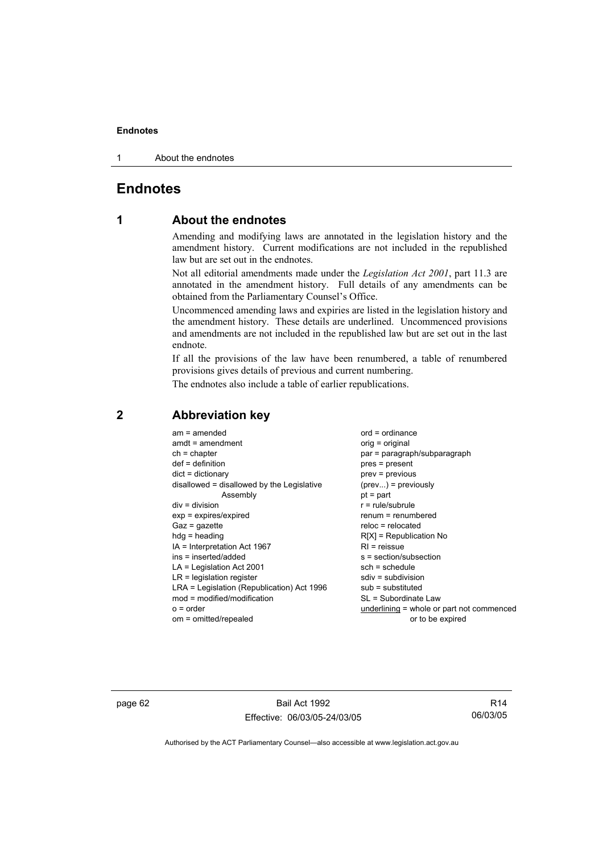1 About the endnotes

# **Endnotes**

# **1 About the endnotes**

Amending and modifying laws are annotated in the legislation history and the amendment history. Current modifications are not included in the republished law but are set out in the endnotes.

Not all editorial amendments made under the *Legislation Act 2001*, part 11.3 are annotated in the amendment history. Full details of any amendments can be obtained from the Parliamentary Counsel's Office.

Uncommenced amending laws and expiries are listed in the legislation history and the amendment history. These details are underlined. Uncommenced provisions and amendments are not included in the republished law but are set out in the last endnote.

If all the provisions of the law have been renumbered, a table of renumbered provisions gives details of previous and current numbering.

The endnotes also include a table of earlier republications.

| $am = amended$<br>$amdt = amendment$       | $ord = ordinance$<br>$orig = original$    |
|--------------------------------------------|-------------------------------------------|
| $ch = chapter$                             | par = paragraph/subparagraph              |
| $def = definition$                         | pres = present                            |
| $dict = dictionary$                        | prev = previous                           |
| disallowed = disallowed by the Legislative | $(\text{prev}) = \text{previously}$       |
| Assembly                                   | $pt = part$                               |
| $div = division$                           | $r = rule/subrule$                        |
| $exp = expires/expired$                    | renum = renumbered                        |
| $Gaz = gazette$                            | $reloc = relocated$                       |
| $hdg =$ heading                            | $R[X]$ = Republication No                 |
| IA = Interpretation Act 1967               | $RI = reissue$                            |
| ins = inserted/added                       | $s = section/subsection$                  |
| $LA =$ Legislation Act 2001                | $sch = schedule$                          |
| $LR =$ legislation register                | $sdiv = subdivision$                      |
| LRA = Legislation (Republication) Act 1996 | $sub =$ substituted                       |
| $mod = modified/modification$              | SL = Subordinate Law                      |
| $o = order$                                | underlining = whole or part not commenced |
| om = omitted/repealed                      | or to be expired                          |
|                                            |                                           |

# **2 Abbreviation key**

page 62 Bail Act 1992 Effective: 06/03/05-24/03/05

R14 06/03/05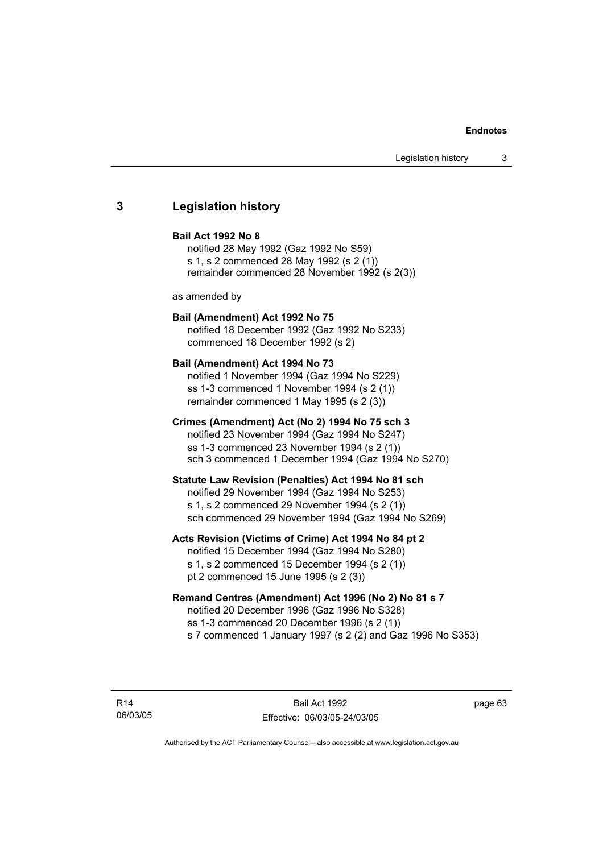### **3 Legislation history**

### **Bail Act 1992 No 8**

notified 28 May 1992 (Gaz 1992 No S59) s 1, s 2 commenced 28 May 1992 (s 2 (1)) remainder commenced 28 November 1992 (s 2(3))

as amended by

### **Bail (Amendment) Act 1992 No 75**

notified 18 December 1992 (Gaz 1992 No S233) commenced 18 December 1992 (s 2)

### **Bail (Amendment) Act 1994 No 73**

notified 1 November 1994 (Gaz 1994 No S229) ss 1-3 commenced 1 November 1994 (s 2 (1)) remainder commenced 1 May 1995 (s 2 (3))

### **Crimes (Amendment) Act (No 2) 1994 No 75 sch 3**

notified 23 November 1994 (Gaz 1994 No S247) ss 1-3 commenced 23 November 1994 (s 2 (1)) sch 3 commenced 1 December 1994 (Gaz 1994 No S270)

### **Statute Law Revision (Penalties) Act 1994 No 81 sch**

notified 29 November 1994 (Gaz 1994 No S253) s 1, s 2 commenced 29 November 1994 (s 2 (1)) sch commenced 29 November 1994 (Gaz 1994 No S269)

### **Acts Revision (Victims of Crime) Act 1994 No 84 pt 2**

notified 15 December 1994 (Gaz 1994 No S280) s 1, s 2 commenced 15 December 1994 (s 2 (1)) pt 2 commenced 15 June 1995 (s 2 (3))

### **Remand Centres (Amendment) Act 1996 (No 2) No 81 s 7**

notified 20 December 1996 (Gaz 1996 No S328) ss 1-3 commenced 20 December 1996 (s 2 (1)) s 7 commenced 1 January 1997 (s 2 (2) and Gaz 1996 No S353)

R14 06/03/05 page 63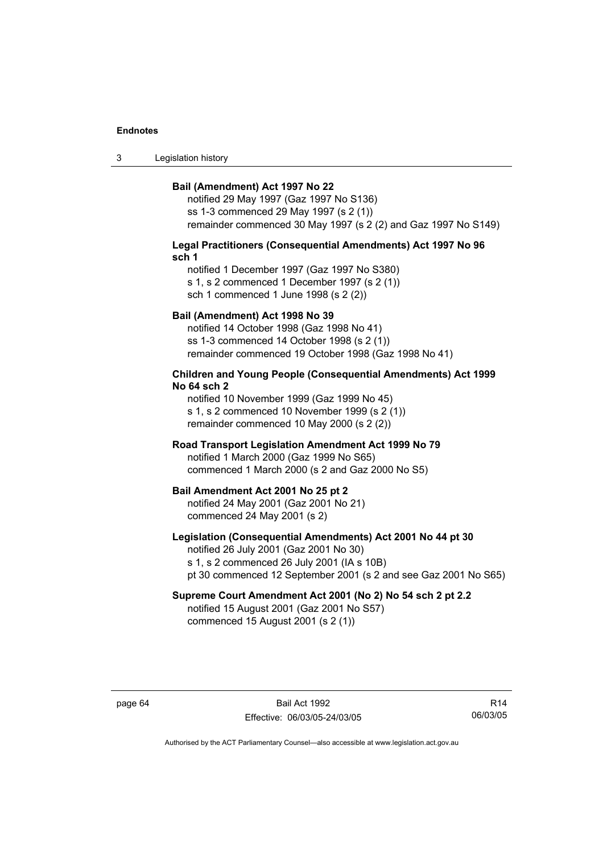3 Legislation history

### **Bail (Amendment) Act 1997 No 22**

notified 29 May 1997 (Gaz 1997 No S136) ss 1-3 commenced 29 May 1997 (s 2 (1)) remainder commenced 30 May 1997 (s 2 (2) and Gaz 1997 No S149)

### **Legal Practitioners (Consequential Amendments) Act 1997 No 96 sch 1**

notified 1 December 1997 (Gaz 1997 No S380) s 1, s 2 commenced 1 December 1997 (s 2 (1)) sch 1 commenced 1 June 1998 (s 2 (2))

### **Bail (Amendment) Act 1998 No 39**

notified 14 October 1998 (Gaz 1998 No 41) ss 1-3 commenced 14 October 1998 (s 2 (1)) remainder commenced 19 October 1998 (Gaz 1998 No 41)

### **Children and Young People (Consequential Amendments) Act 1999 No 64 sch 2**

notified 10 November 1999 (Gaz 1999 No 45) s 1, s 2 commenced 10 November 1999 (s 2 (1)) remainder commenced 10 May 2000 (s 2 (2))

### **Road Transport Legislation Amendment Act 1999 No 79**

notified 1 March 2000 (Gaz 1999 No S65) commenced 1 March 2000 (s 2 and Gaz 2000 No S5)

### **Bail Amendment Act 2001 No 25 pt 2**

notified 24 May 2001 (Gaz 2001 No 21) commenced 24 May 2001 (s 2)

### **Legislation (Consequential Amendments) Act 2001 No 44 pt 30**

notified 26 July 2001 (Gaz 2001 No 30) s 1, s 2 commenced 26 July 2001 (IA s 10B) pt 30 commenced 12 September 2001 (s 2 and see Gaz 2001 No S65)

# **Supreme Court Amendment Act 2001 (No 2) No 54 sch 2 pt 2.2**

notified 15 August 2001 (Gaz 2001 No S57) commenced 15 August 2001 (s 2 (1))

page 64 Bail Act 1992 Effective: 06/03/05-24/03/05

R14 06/03/05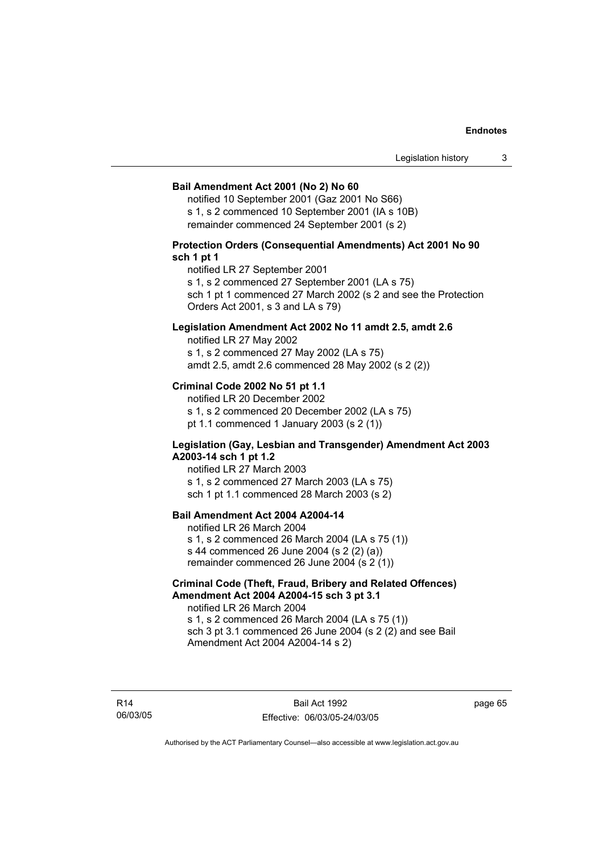### **Bail Amendment Act 2001 (No 2) No 60**

notified 10 September 2001 (Gaz 2001 No S66) s 1, s 2 commenced 10 September 2001 (IA s 10B) remainder commenced 24 September 2001 (s 2)

### **Protection Orders (Consequential Amendments) Act 2001 No 90 sch 1 pt 1**

notified LR 27 September 2001

s 1, s 2 commenced 27 September 2001 (LA s 75)

sch 1 pt 1 commenced 27 March 2002 (s 2 and see the Protection Orders Act 2001, s 3 and LA s 79)

### **Legislation Amendment Act 2002 No 11 amdt 2.5, amdt 2.6**

notified LR 27 May 2002 s 1, s 2 commenced 27 May 2002 (LA s 75) amdt 2.5, amdt 2.6 commenced 28 May 2002 (s 2 (2))

### **Criminal Code 2002 No 51 pt 1.1**

notified LR 20 December 2002 s 1, s 2 commenced 20 December 2002 (LA s 75) pt 1.1 commenced 1 January 2003 (s 2 (1))

### **Legislation (Gay, Lesbian and Transgender) Amendment Act 2003 A2003-14 sch 1 pt 1.2**

notified LR 27 March 2003 s 1, s 2 commenced 27 March 2003 (LA s 75) sch 1 pt 1.1 commenced 28 March 2003 (s 2)

### **Bail Amendment Act 2004 A2004-14**

notified LR 26 March 2004 s 1, s 2 commenced 26 March 2004 (LA s 75 (1)) s 44 commenced 26 June 2004 (s 2 (2) (a)) remainder commenced 26 June 2004 (s 2 (1))

### **Criminal Code (Theft, Fraud, Bribery and Related Offences) Amendment Act 2004 A2004-15 sch 3 pt 3.1**

notified LR 26 March 2004 s 1, s 2 commenced 26 March 2004 (LA s 75 (1)) sch 3 pt 3.1 commenced 26 June 2004 (s 2 (2) and see Bail Amendment Act 2004 A2004-14 s 2)

R14 06/03/05 page 65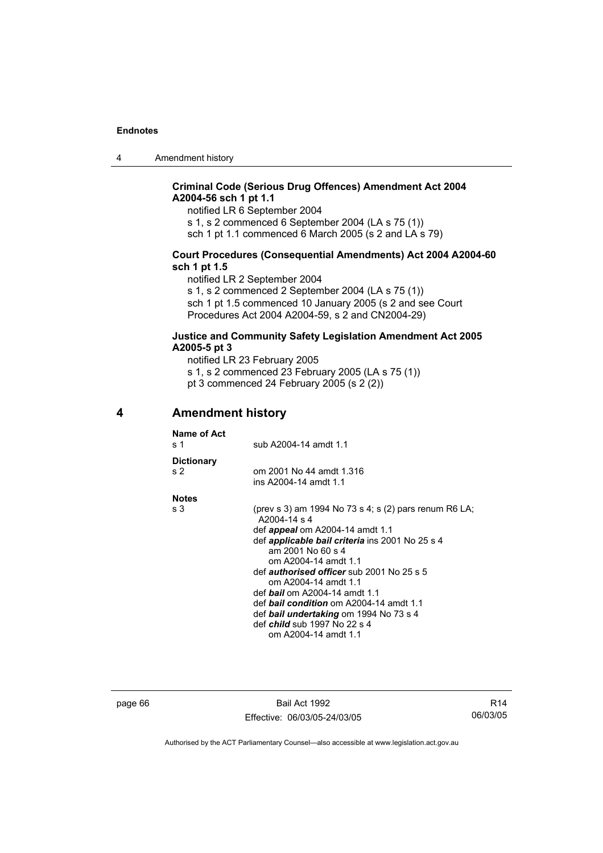4 Amendment history

### **Criminal Code (Serious Drug Offences) Amendment Act 2004 A2004-56 sch 1 pt 1.1**

notified LR 6 September 2004

s 1, s 2 commenced 6 September 2004 (LA s 75 (1))

sch 1 pt 1.1 commenced 6 March 2005 (s 2 and LA s 79)

### **Court Procedures (Consequential Amendments) Act 2004 A2004-60 sch 1 pt 1.5**

notified LR 2 September 2004

s 1, s 2 commenced 2 September 2004 (LA s 75 (1)) sch 1 pt 1.5 commenced 10 January 2005 (s 2 and see Court Procedures Act 2004 A2004-59, s 2 and CN2004-29)

### **Justice and Community Safety Legislation Amendment Act 2005 A2005-5 pt 3**

notified LR 23 February 2005

- s 1, s 2 commenced 23 February 2005 (LA s 75 (1))
- pt 3 commenced 24 February 2005 (s 2 (2))

### **4 Amendment history**

| Name of Act<br>s 1                  | sub A2004-14 amdt 1.1                                                                                                                                                                                                                                                                                                                                                                                                                                                                                 |
|-------------------------------------|-------------------------------------------------------------------------------------------------------------------------------------------------------------------------------------------------------------------------------------------------------------------------------------------------------------------------------------------------------------------------------------------------------------------------------------------------------------------------------------------------------|
| <b>Dictionary</b><br>s <sub>2</sub> | om 2001 No 44 amdt 1.316<br>ins A2004-14 amdt 1.1                                                                                                                                                                                                                                                                                                                                                                                                                                                     |
| <b>Notes</b>                        |                                                                                                                                                                                                                                                                                                                                                                                                                                                                                                       |
| s 3                                 | (prev s 3) am 1994 No 73 s 4; s (2) pars renum R6 LA;<br>A2004-14 s 4<br>def <i>appeal</i> om A2004-14 amdt 1.1<br>def <b>applicable bail criteria</b> ins 2001 No 25 s 4<br>am 2001 No 60 s 4<br>om A2004-14 amdt 1.1<br>def <i>authorised officer</i> sub 2001 No 25 s 5<br>om A2004-14 amdt 1.1<br>def <b>bail</b> om A2004-14 amdt 1.1<br>def <b>bail condition</b> om A2004-14 amdt 1.1<br>def bail undertaking om 1994 No 73 s 4<br>def <i>child</i> sub 1997 No 22 s 4<br>om A2004-14 amdt 1.1 |
|                                     |                                                                                                                                                                                                                                                                                                                                                                                                                                                                                                       |

page 66 Bail Act 1992 Effective: 06/03/05-24/03/05

R14 06/03/05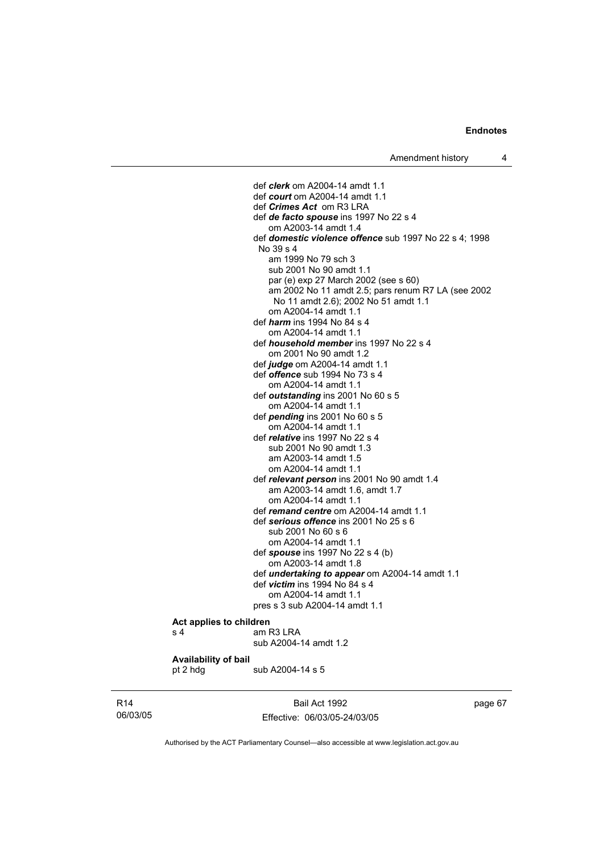def *clerk* om A2004-14 amdt 1.1 def *court* om A2004-14 amdt 1.1 def *Crimes Act* om R3 LRA def *de facto spouse* ins 1997 No 22 s 4 om A2003-14 amdt 1.4 def *domestic violence offence* sub 1997 No 22 s 4; 1998 No 39 s 4 am 1999 No 79 sch 3 sub 2001 No 90 amdt 1.1 par (e) exp 27 March 2002 (see s 60) am 2002 No 11 amdt 2.5; pars renum R7 LA (see 2002 No 11 amdt 2.6); 2002 No 51 amdt 1.1 om A2004-14 amdt 1.1 def *harm* ins 1994 No 84 s 4 om A2004-14 amdt 1.1 def *household member* ins 1997 No 22 s 4 om 2001 No 90 amdt 1.2 def *judge* om A2004-14 amdt 1.1 def *offence* sub 1994 No 73 s 4 om A2004-14 amdt 1.1 def *outstanding* ins 2001 No 60 s 5 om A2004-14 amdt 1.1 def *pending* ins 2001 No 60 s 5 om A2004-14 amdt 1.1 def *relative* ins 1997 No 22 s 4 sub 2001 No 90 amdt 1.3 am A2003-14 amdt 1.5 om A2004-14 amdt 1.1 def *relevant person* ins 2001 No 90 amdt 1.4 am A2003-14 amdt 1.6, amdt 1.7 om A2004-14 amdt 1.1 def *remand centre* om A2004-14 amdt 1.1 def *serious offence* ins 2001 No 25 s 6 sub 2001 No 60 s 6 om A2004-14 amdt 1.1 def *spouse* ins 1997 No 22 s 4 (b) om A2003-14 amdt 1.8 def *undertaking to appear* om A2004-14 amdt 1.1 def *victim* ins 1994 No 84 s 4 om A2004-14 amdt 1.1 pres s 3 sub A2004-14 amdt 1.1

#### **Act applies to children**  s 4 am R3 LRA

pt 2 hdg sub A2004-14 s 5

sub A2004-14 amdt 1.2

## **Availability of bail**

R14 06/03/05

Bail Act 1992 Effective: 06/03/05-24/03/05 page 67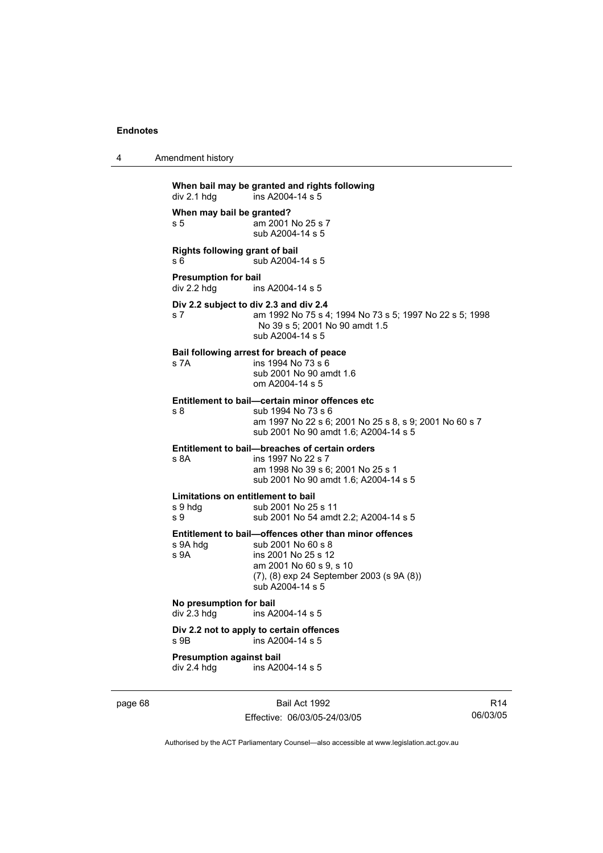| 4 | Amendment history |  |
|---|-------------------|--|
|   |                   |  |

**When bail may be granted and rights following**   $div 2.1$  hdg ins A2004-14 s 5 **When may bail be granted?**  s 5 am 2001 No 25 s 7 sub A2004-14 s 5 **Rights following grant of bail**  s 6 sub A2004-14 s 5 **Presumption for bail**<br>div 2.2 hdg ins ins A2004-14 s 5 **Div 2.2 subject to div 2.3 and div 2.4** s 7 am 1992 No 75 s 4; 1994 No 73 s 5; 1997 No 22 s 5; 1998 No 39 s 5; 2001 No 90 amdt 1.5 sub A2004-14 s 5 **Bail following arrest for breach of peace** s 7A ins 1994 No 73 s 6 sub 2001 No 90 amdt 1.6 om A2004-14 s 5 **Entitlement to bail—certain minor offences etc** s 8 sub 1994 No 73 s 6 am 1997 No 22 s 6; 2001 No 25 s 8, s 9; 2001 No 60 s 7 sub 2001 No 90 amdt 1.6; A2004-14 s 5 **Entitlement to bail—breaches of certain orders** s 8A ins 1997 No 22 s 7 am 1998 No 39 s 6; 2001 No 25 s 1 sub 2001 No 90 amdt 1.6; A2004-14 s 5 **Limitations on entitlement to bail**<br>
s 9 hdg<br> **sub 2001 No 25** sub 2001 No 25 s 11 s 9 sub 2001 No 54 amdt 2.2; A2004-14 s 5 **Entitlement to bail—offences other than minor offences**  s 9A hdg sub 2001 No 60 s 8<br>s 9A ins 2001 No 25 s 12 ins 2001 No 25 s 12 am 2001 No 60 s 9, s 10 (7), (8) exp 24 September 2003 (s 9A (8)) sub A2004-14 s 5 **No presumption for bail**  div 2.3 hdg ins A2004-14 s 5 **Div 2.2 not to apply to certain offences**  s 9B ins A2004-14 s 5 **Presumption against bail**  div 2.4 hdg ins A2004-14 s 5

page 68 Bail Act 1992 Effective: 06/03/05-24/03/05

R14 06/03/05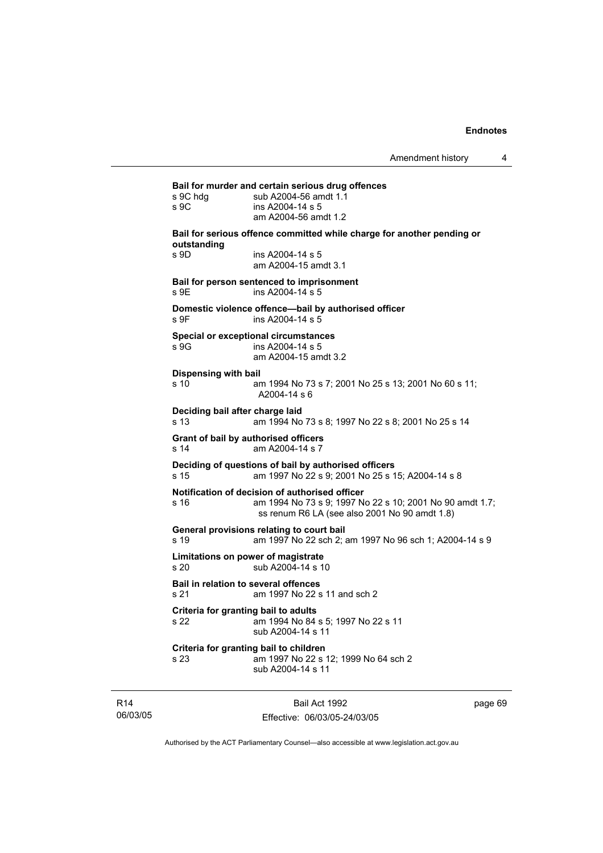**Bail for murder and certain serious drug offences**  s 9C hdg sub A2004-56 amdt 1.1 s 9C ins A2004-14 s 5 am A2004-56 amdt 1.2 **Bail for serious offence committed while charge for another pending or outstanding**  s 9D ins A2004-14 s 5 am A2004-15 amdt 3.1 **Bail for person sentenced to imprisonment**  s 9E ins A2004-14 s 5 **Domestic violence offence—bail by authorised officer**  s 9F ins A2004-14 s 5 **Special or exceptional circumstances**  s 9G ins A2004-14 s 5 am A2004-15 amdt 3.2 **Dispensing with bail** s 10 am 1994 No 73 s 7; 2001 No 25 s 13; 2001 No 60 s 11; A2004-14 s 6 **Deciding bail after charge laid** s 13 am 1994 No 73 s 8; 1997 No 22 s 8; 2001 No 25 s 14 **Grant of bail by authorised officers**  s 14 am A2004-14 s 7 **Deciding of questions of bail by authorised officers** s 15 am 1997 No 22 s 9; 2001 No 25 s 15; A2004-14 s 8 **Notification of decision of authorised officer** s 16 am 1994 No 73 s 9; 1997 No 22 s 10; 2001 No 90 amdt 1.7; ss renum R6 LA (see also 2001 No 90 amdt 1.8) **General provisions relating to court bail** s 19 am 1997 No 22 sch 2; am 1997 No 96 sch 1; A2004-14 s 9 **Limitations on power of magistrate**  s 20 sub A2004-14 s 10 **Bail in relation to several offences** s 21 am 1997 No 22 s 11 and sch 2 **Criteria for granting bail to adults** s 22 am 1994 No 84 s 5; 1997 No 22 s 11 sub A2004-14 s 11 **Criteria for granting bail to children** s 23 am 1997 No 22 s 12; 1999 No 64 sch 2 sub A2004-14 s 11

R14 06/03/05

Bail Act 1992 Effective: 06/03/05-24/03/05 page 69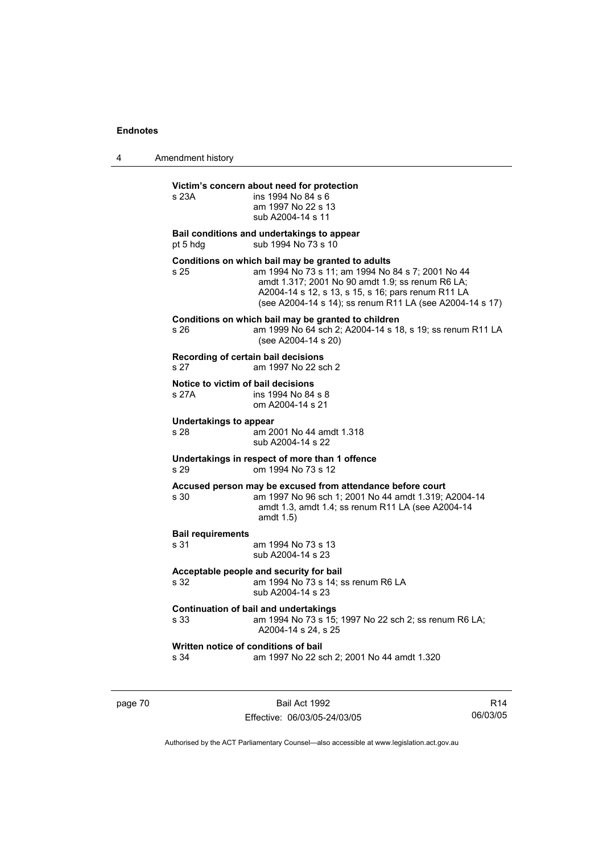4 Amendment history

# **Victim's concern about need for protection**

| s 23A                                        | victim's concern about need for protection<br>ins 1994 No 84 s 6<br>am 1997 No 22 s 13<br>sub A2004-14 s 11                                                                                                                                                                  |
|----------------------------------------------|------------------------------------------------------------------------------------------------------------------------------------------------------------------------------------------------------------------------------------------------------------------------------|
| pt 5 hdg                                     | Bail conditions and undertakings to appear<br>sub 1994 No 73 s 10                                                                                                                                                                                                            |
| s 25                                         | Conditions on which bail may be granted to adults<br>am 1994 No 73 s 11; am 1994 No 84 s 7; 2001 No 44<br>amdt 1.317; 2001 No 90 amdt 1.9; ss renum R6 LA;<br>A2004-14 s 12, s 13, s 15, s 16; pars renum R11 LA<br>(see A2004-14 s 14); ss renum R11 LA (see A2004-14 s 17) |
| s 26                                         | Conditions on which bail may be granted to children<br>am 1999 No 64 sch 2; A2004-14 s 18, s 19; ss renum R11 LA<br>(see A2004-14 s 20)                                                                                                                                      |
| Recording of certain bail decisions<br>s 27  | am 1997 No 22 sch 2                                                                                                                                                                                                                                                          |
| Notice to victim of bail decisions<br>s 27A  | ins 1994 No 84 s 8<br>om A2004-14 s 21                                                                                                                                                                                                                                       |
| <b>Undertakings to appear</b><br>s 28        | am 2001 No 44 amdt 1.318<br>sub A2004-14 s 22                                                                                                                                                                                                                                |
| s 29                                         | Undertakings in respect of more than 1 offence<br>om 1994 No 73 s 12                                                                                                                                                                                                         |
| s 30                                         | Accused person may be excused from attendance before court<br>am 1997 No 96 sch 1; 2001 No 44 amdt 1.319; A2004-14<br>amdt 1.3, amdt 1.4; ss renum R11 LA (see A2004-14<br>amdt 1.5)                                                                                         |
| <b>Bail requirements</b><br>s 31             | am 1994 No 73 s 13<br>sub A2004-14 s 23                                                                                                                                                                                                                                      |
| s 32                                         | Acceptable people and security for bail<br>am 1994 No 73 s 14; ss renum R6 LA<br>sub A2004-14 s 23                                                                                                                                                                           |
| s 33                                         | <b>Continuation of bail and undertakings</b><br>am 1994 No 73 s 15; 1997 No 22 sch 2; ss renum R6 LA;<br>A2004-14 s 24, s 25                                                                                                                                                 |
| Written notice of conditions of bail<br>s 34 | am 1997 No 22 sch 2; 2001 No 44 amdt 1.320                                                                                                                                                                                                                                   |

page 70 Bail Act 1992 Effective: 06/03/05-24/03/05

R14 06/03/05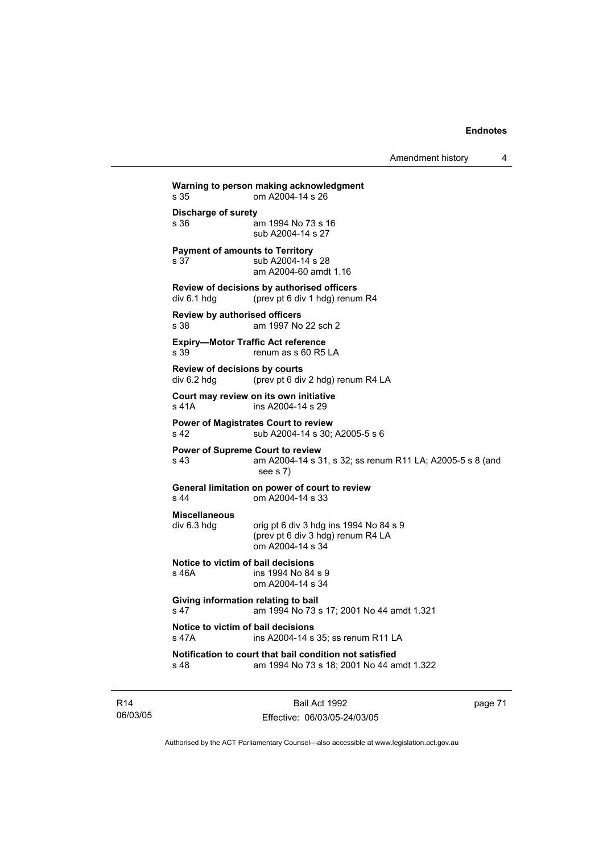Amendment history 4

**Warning to person making acknowledgment** s 35 om A2004-14 s 26 **Discharge of surety** s 36 am 1994 No 73 s 16 sub A2004-14 s 27 **Payment of amounts to Territory** s 37 sub A2004-14 s 28 am A2004-60 amdt 1.16 **Review of decisions by authorised officers**  div 6.1 hdg (prev pt 6 div 1 hdg) renum R4 **Review by authorised officers** s 38 am 1997 No 22 sch 2 **Expiry—Motor Traffic Act reference**  s 39 renum as s 60 R5 LA **Review of decisions by courts**  div 6.2 hdg (prev pt 6 div 2 hdg) renum R4 LA **Court may review on its own initiative** s 41A ins A2004-14 s 29 **Power of Magistrates Court to review** s 42 sub A2004-14 s 30; A2005-5 s 6 **Power of Supreme Court to review** s 43 am A2004-14 s 31, s 32; ss renum R11 LA; A2005-5 s 8 (and see s 7) **General limitation on power of court to review** s 44 om A2004-14 s 33 **Miscellaneous**   $div 6.3$  hdg orig pt 6 div 3 hdg ins 1994 No 84 s 9 (prev pt 6 div 3 hdg) renum R4 LA om A2004-14 s 34 **Notice to victim of bail decisions** s 46A ins 1994 No 84 s 9 om A2004-14 s 34 **Giving information relating to bail** s 47 am 1994 No 73 s 17; 2001 No 44 amdt 1.321 **Notice to victim of bail decisions** s 47A ins A2004-14 s 35; ss renum R11 LA **Notification to court that bail condition not satisfied** s 48 am 1994 No 73 s 18; 2001 No 44 amdt 1.322

R14 06/03/05

Bail Act 1992 Effective: 06/03/05-24/03/05 page 71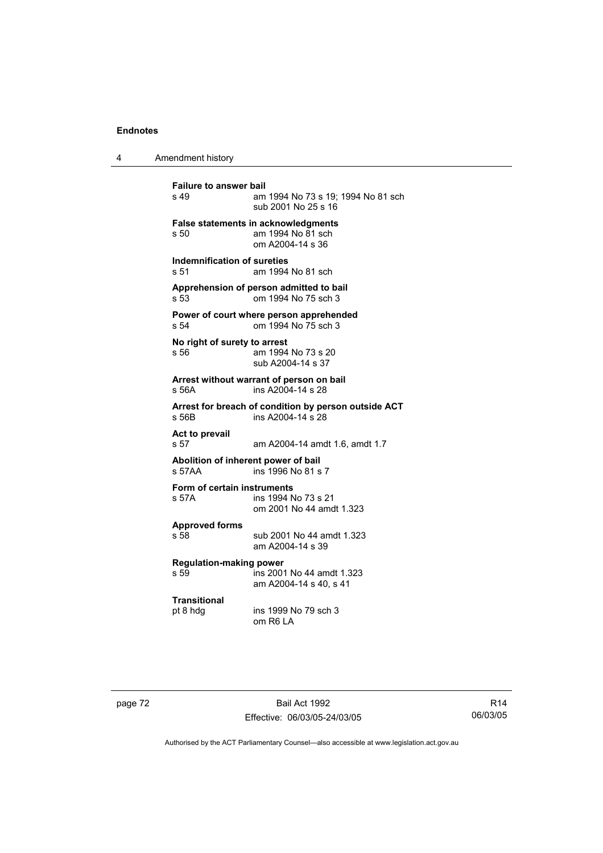4 Amendment history

**Failure to answer bail**<br>s 49 am am 1994 No 73 s 19: 1994 No 81 sch sub 2001 No 25 s 16 **False statements in acknowledgments** s 50 am 1994 No 81 sch om A2004-14 s 36 **Indemnification of sureties** s 51 am 1994 No 81 sch **Apprehension of person admitted to bail** s 53 om 1994 No 75 sch 3 **Power of court where person apprehended** s 54 om 1994 No 75 sch 3 **No right of surety to arrest** s 56 am 1994 No 73 s 20 sub A2004-14 s 37 **Arrest without warrant of person on bail** s 56A ins A2004-14 s 28 **Arrest for breach of condition by person outside ACT** s 56B ins A2004-14 s 28 **Act to prevail**  s 57 am A2004-14 amdt 1.6, amdt 1.7 **Abolition of inherent power of bail** s 57AA ins 1996 No 81 s 7 **Form of certain instruments** s 57A ins 1994 No 73 s 21 om 2001 No 44 amdt 1.323 **Approved forms**  s 58 sub 2001 No 44 amdt 1.323 am A2004-14 s 39 **Regulation-making power**  s 59 ins 2001 No 44 amdt 1.323 am A2004-14 s 40, s 41 **Transitional** pt 8 hdg ins 1999 No 79 sch 3 om R6 LA

page 72 Bail Act 1992 Effective: 06/03/05-24/03/05

R14 06/03/05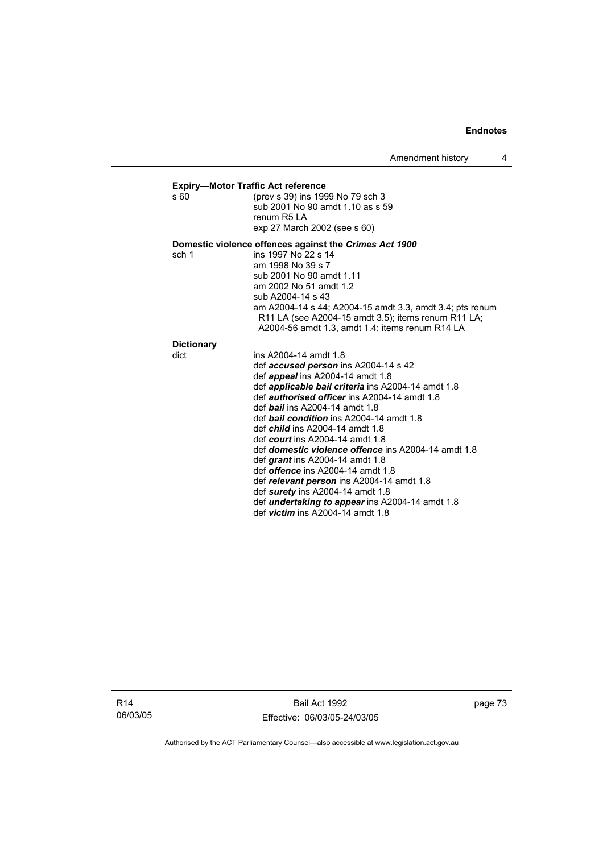# **Expiry—Motor Traffic Act reference**<br>s 60 (prev s 39) ins 199

(prev s 39) ins 1999 No 79 sch 3 sub 2001 No 90 amdt 1.10 as s 59 renum R5 LA exp 27 March 2002 (see s 60)

# **Domestic violence offences against the** *Crimes Act 1900*

sch 1 ins 1997 No 22 s 14 am 1998 No 39 s 7 sub 2001 No 90 amdt 1.11 am 2002 No 51 amdt 1.2 sub A2004-14 s 43 am A2004-14 s 44; A2004-15 amdt 3.3, amdt 3.4; pts renum R11 LA (see A2004-15 amdt 3.5); items renum R11 LA; A2004-56 amdt 1.3, amdt 1.4; items renum R14 LA

# **Dictionary**

| . .<br>w | I<br>×<br>×<br>۹ |  |
|----------|------------------|--|
|          |                  |  |

| dict | ins A2004-14 amdt 1.8                                      |
|------|------------------------------------------------------------|
|      | def accused person ins A2004-14 s 42                       |
|      | def <i>appeal</i> ins A2004-14 amdt 1.8                    |
|      | def <i>applicable bail criteria</i> ins A2004-14 amdt 1.8  |
|      | def <i>authorised officer</i> ins A2004-14 amdt 1.8        |
|      | def <b>bail</b> ins A2004-14 amdt 1.8                      |
|      | def <b>bail condition</b> ins A2004-14 amdt 1.8            |
|      | def <i>child</i> ins $A2004-14$ amdt 1.8                   |
|      | def court ins $A2004-14$ amdt 1.8                          |
|      | def <i>domestic violence offence</i> ins A2004-14 amdt 1.8 |
|      | def <i>grant</i> ins $A2004-14$ amdt 1.8                   |
|      | def offence ins A2004-14 amdt 1.8                          |
|      | def relevant person ins A2004-14 amdt 1.8                  |
|      | def surety ins $A2004-14$ amdt 1.8                         |
|      | def <i>undertaking to appear</i> ins A2004-14 amdt 1.8     |
|      | def <i>victim</i> ins $A2004-14$ amdt 1.8                  |
|      |                                                            |

R14 06/03/05

Bail Act 1992 Effective: 06/03/05-24/03/05 page 73